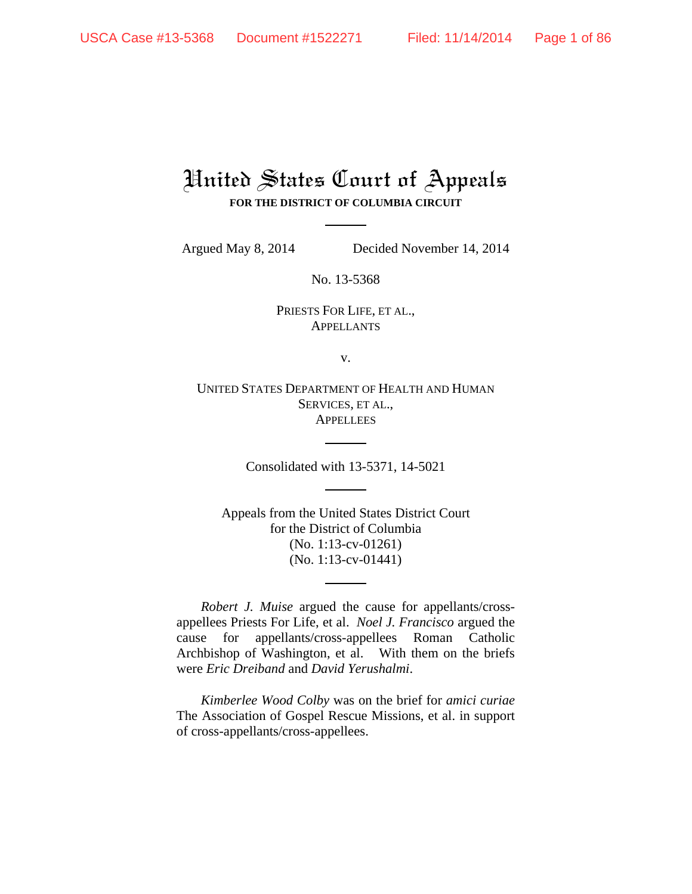# United States Court of Appeals **FOR THE DISTRICT OF COLUMBIA CIRCUIT**

Argued May 8, 2014 Decided November 14, 2014

No. 13-5368

PRIESTS FOR LIFE, ET AL., APPELLANTS

v.

UNITED STATES DEPARTMENT OF HEALTH AND HUMAN SERVICES, ET AL., **APPELLEES** 

Consolidated with 13-5371, 14-5021

Appeals from the United States District Court for the District of Columbia (No. 1:13-cv-01261) (No. 1:13-cv-01441)

 *Robert J. Muise* argued the cause for appellants/crossappellees Priests For Life, et al. *Noel J. Francisco* argued the cause for appellants/cross-appellees Roman Catholic Archbishop of Washington, et al. With them on the briefs were *Eric Dreiband* and *David Yerushalmi*.

 *Kimberlee Wood Colby* was on the brief for *amici curiae* The Association of Gospel Rescue Missions, et al. in support of cross-appellants/cross-appellees.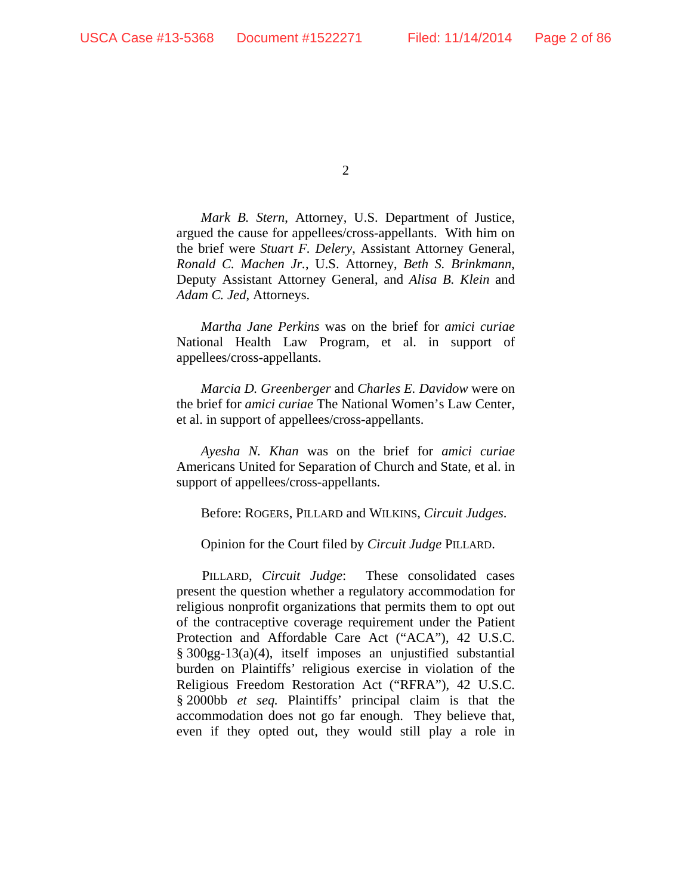*Mark B. Stern*, Attorney, U.S. Department of Justice, argued the cause for appellees/cross-appellants. With him on the brief were *Stuart F. Delery*, Assistant Attorney General, *Ronald C. Machen Jr.*, U.S. Attorney, *Beth S. Brinkmann*, Deputy Assistant Attorney General, and *Alisa B. Klein* and *Adam C. Jed*, Attorneys.

 *Martha Jane Perkins* was on the brief for *amici curiae*  National Health Law Program, et al. in support of appellees/cross-appellants.

 *Marcia D. Greenberger* and *Charles E. Davidow* were on the brief for *amici curiae* The National Women's Law Center, et al. in support of appellees/cross-appellants.

 *Ayesha N. Khan* was on the brief for *amici curiae* Americans United for Separation of Church and State, et al. in support of appellees/cross-appellants.

Before: ROGERS, PILLARD and WILKINS, *Circuit Judges*.

Opinion for the Court filed by *Circuit Judge* PILLARD.

PILLARD, *Circuit Judge*: These consolidated cases present the question whether a regulatory accommodation for religious nonprofit organizations that permits them to opt out of the contraceptive coverage requirement under the Patient Protection and Affordable Care Act ("ACA"), 42 U.S.C. § 300gg-13(a)(4), itself imposes an unjustified substantial burden on Plaintiffs' religious exercise in violation of the Religious Freedom Restoration Act ("RFRA"), 42 U.S.C. § 2000bb *et seq.* Plaintiffs' principal claim is that the accommodation does not go far enough. They believe that, even if they opted out, they would still play a role in

<sup>2</sup>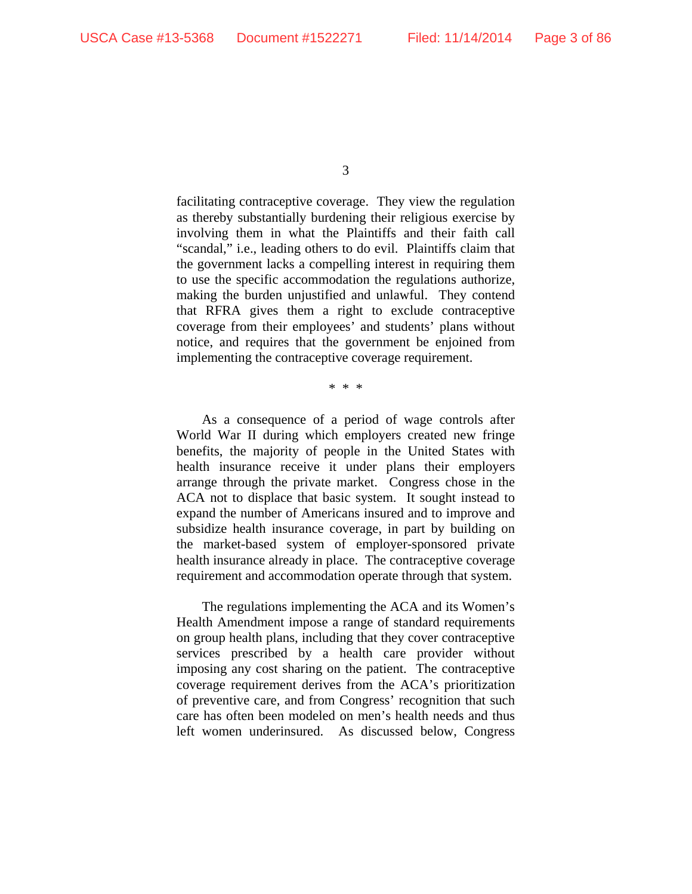facilitating contraceptive coverage. They view the regulation as thereby substantially burdening their religious exercise by involving them in what the Plaintiffs and their faith call "scandal," i.e., leading others to do evil. Plaintiffs claim that the government lacks a compelling interest in requiring them to use the specific accommodation the regulations authorize, making the burden unjustified and unlawful. They contend that RFRA gives them a right to exclude contraceptive coverage from their employees' and students' plans without notice, and requires that the government be enjoined from implementing the contraceptive coverage requirement.

\* \* \*

As a consequence of a period of wage controls after World War II during which employers created new fringe benefits, the majority of people in the United States with health insurance receive it under plans their employers arrange through the private market. Congress chose in the ACA not to displace that basic system. It sought instead to expand the number of Americans insured and to improve and subsidize health insurance coverage, in part by building on the market-based system of employer-sponsored private health insurance already in place. The contraceptive coverage requirement and accommodation operate through that system.

The regulations implementing the ACA and its Women's Health Amendment impose a range of standard requirements on group health plans, including that they cover contraceptive services prescribed by a health care provider without imposing any cost sharing on the patient. The contraceptive coverage requirement derives from the ACA's prioritization of preventive care, and from Congress' recognition that such care has often been modeled on men's health needs and thus left women underinsured. As discussed below, Congress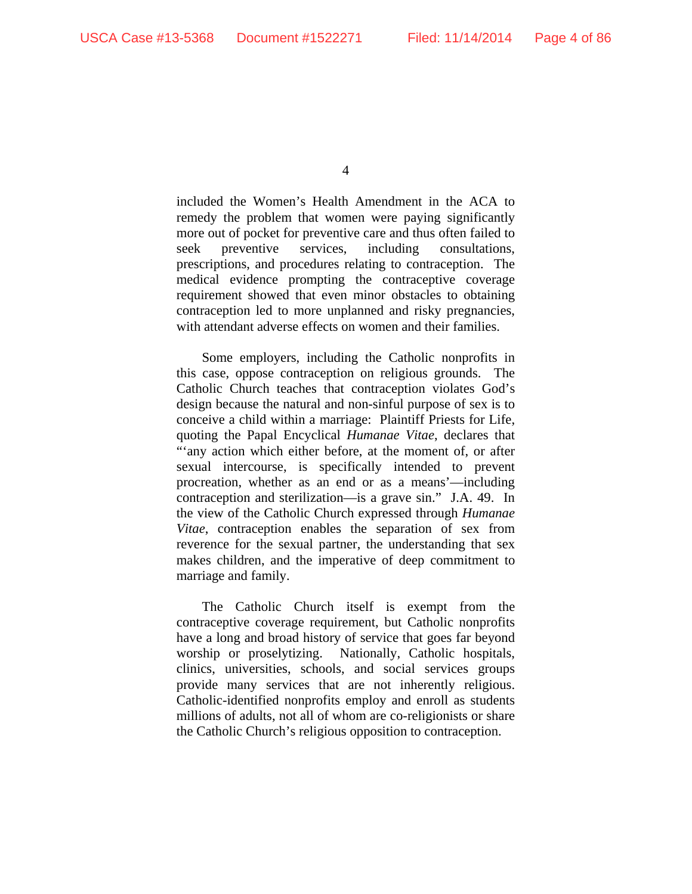included the Women's Health Amendment in the ACA to remedy the problem that women were paying significantly more out of pocket for preventive care and thus often failed to seek preventive services, including consultations, prescriptions, and procedures relating to contraception. The medical evidence prompting the contraceptive coverage requirement showed that even minor obstacles to obtaining contraception led to more unplanned and risky pregnancies, with attendant adverse effects on women and their families.

Some employers, including the Catholic nonprofits in this case, oppose contraception on religious grounds. The Catholic Church teaches that contraception violates God's design because the natural and non-sinful purpose of sex is to conceive a child within a marriage: Plaintiff Priests for Life, quoting the Papal Encyclical *Humanae Vitae*, declares that "'any action which either before, at the moment of, or after sexual intercourse, is specifically intended to prevent procreation, whether as an end or as a means'—including contraception and sterilization—is a grave sin." J.A. 49. In the view of the Catholic Church expressed through *Humanae Vitae*, contraception enables the separation of sex from reverence for the sexual partner, the understanding that sex makes children, and the imperative of deep commitment to marriage and family.

The Catholic Church itself is exempt from the contraceptive coverage requirement, but Catholic nonprofits have a long and broad history of service that goes far beyond worship or proselytizing. Nationally, Catholic hospitals, clinics, universities, schools, and social services groups provide many services that are not inherently religious. Catholic-identified nonprofits employ and enroll as students millions of adults, not all of whom are co-religionists or share the Catholic Church's religious opposition to contraception.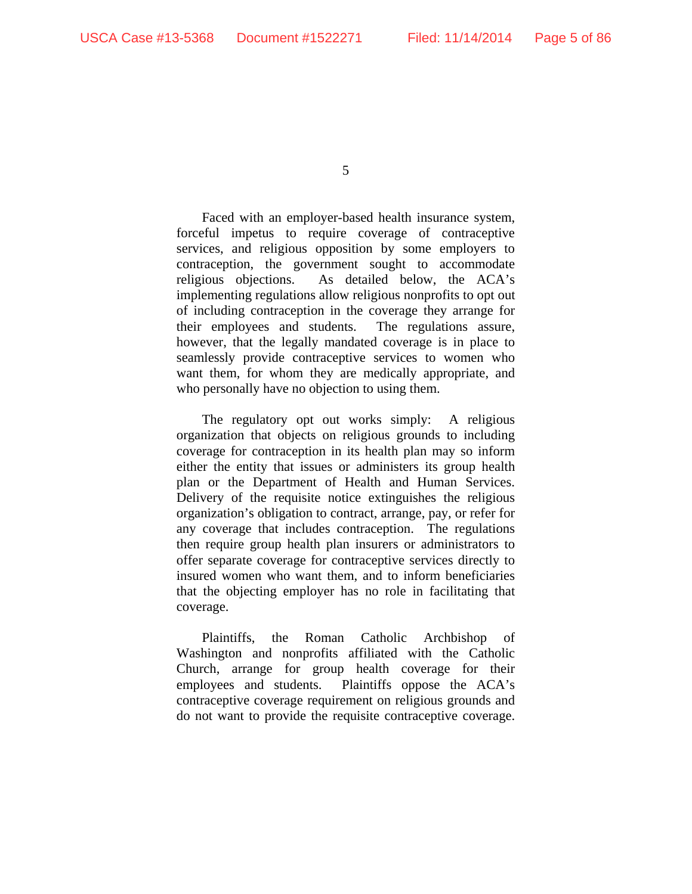Faced with an employer-based health insurance system, forceful impetus to require coverage of contraceptive services, and religious opposition by some employers to contraception, the government sought to accommodate religious objections. As detailed below, the ACA's implementing regulations allow religious nonprofits to opt out of including contraception in the coverage they arrange for their employees and students. The regulations assure, however, that the legally mandated coverage is in place to seamlessly provide contraceptive services to women who want them, for whom they are medically appropriate, and who personally have no objection to using them.

The regulatory opt out works simply: A religious organization that objects on religious grounds to including coverage for contraception in its health plan may so inform either the entity that issues or administers its group health plan or the Department of Health and Human Services. Delivery of the requisite notice extinguishes the religious organization's obligation to contract, arrange, pay, or refer for any coverage that includes contraception. The regulations then require group health plan insurers or administrators to offer separate coverage for contraceptive services directly to insured women who want them, and to inform beneficiaries that the objecting employer has no role in facilitating that coverage.

Plaintiffs, the Roman Catholic Archbishop of Washington and nonprofits affiliated with the Catholic Church, arrange for group health coverage for their employees and students. Plaintiffs oppose the ACA's contraceptive coverage requirement on religious grounds and do not want to provide the requisite contraceptive coverage.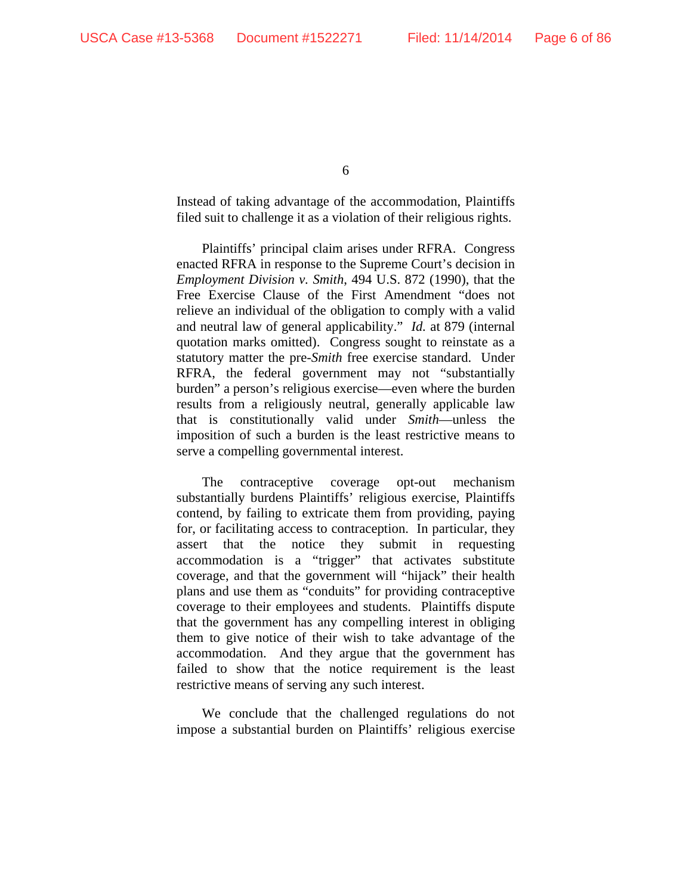Instead of taking advantage of the accommodation, Plaintiffs filed suit to challenge it as a violation of their religious rights.

Plaintiffs' principal claim arises under RFRA. Congress enacted RFRA in response to the Supreme Court's decision in *Employment Division v. Smith*, 494 U.S. 872 (1990), that the Free Exercise Clause of the First Amendment "does not relieve an individual of the obligation to comply with a valid and neutral law of general applicability." *Id.* at 879 (internal quotation marks omitted). Congress sought to reinstate as a statutory matter the pre-*Smith* free exercise standard. Under RFRA, the federal government may not "substantially burden" a person's religious exercise—even where the burden results from a religiously neutral, generally applicable law that is constitutionally valid under *Smith*—unless the imposition of such a burden is the least restrictive means to serve a compelling governmental interest.

The contraceptive coverage opt-out mechanism substantially burdens Plaintiffs' religious exercise, Plaintiffs contend, by failing to extricate them from providing, paying for, or facilitating access to contraception. In particular, they assert that the notice they submit in requesting accommodation is a "trigger" that activates substitute coverage, and that the government will "hijack" their health plans and use them as "conduits" for providing contraceptive coverage to their employees and students. Plaintiffs dispute that the government has any compelling interest in obliging them to give notice of their wish to take advantage of the accommodation. And they argue that the government has failed to show that the notice requirement is the least restrictive means of serving any such interest.

We conclude that the challenged regulations do not impose a substantial burden on Plaintiffs' religious exercise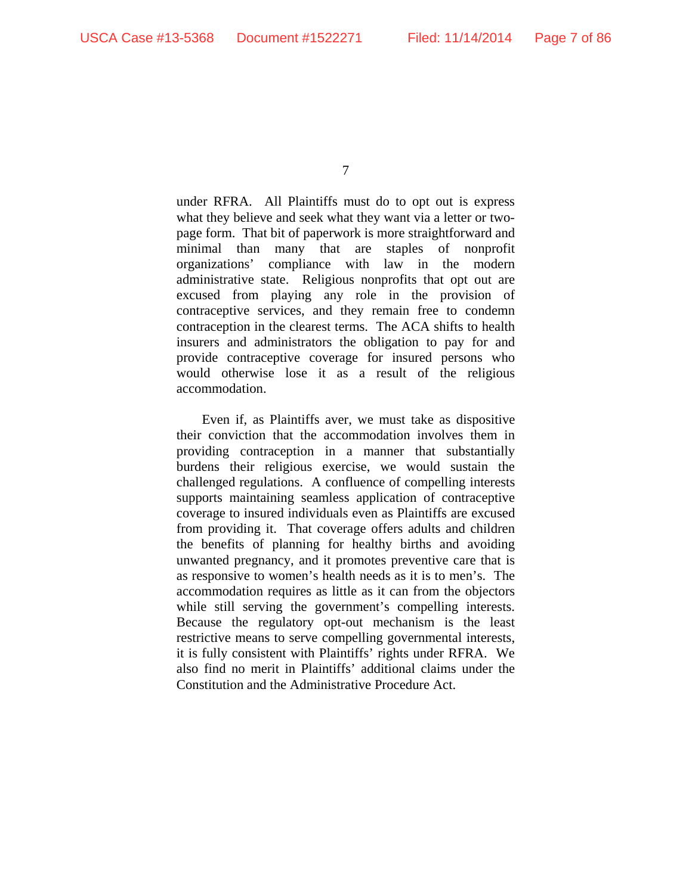under RFRA. All Plaintiffs must do to opt out is express what they believe and seek what they want via a letter or twopage form. That bit of paperwork is more straightforward and minimal than many that are staples of nonprofit organizations' compliance with law in the modern administrative state. Religious nonprofits that opt out are excused from playing any role in the provision of contraceptive services, and they remain free to condemn contraception in the clearest terms. The ACA shifts to health insurers and administrators the obligation to pay for and provide contraceptive coverage for insured persons who would otherwise lose it as a result of the religious accommodation.

Even if, as Plaintiffs aver, we must take as dispositive their conviction that the accommodation involves them in providing contraception in a manner that substantially burdens their religious exercise, we would sustain the challenged regulations. A confluence of compelling interests supports maintaining seamless application of contraceptive coverage to insured individuals even as Plaintiffs are excused from providing it. That coverage offers adults and children the benefits of planning for healthy births and avoiding unwanted pregnancy, and it promotes preventive care that is as responsive to women's health needs as it is to men's. The accommodation requires as little as it can from the objectors while still serving the government's compelling interests. Because the regulatory opt-out mechanism is the least restrictive means to serve compelling governmental interests, it is fully consistent with Plaintiffs' rights under RFRA. We also find no merit in Plaintiffs' additional claims under the Constitution and the Administrative Procedure Act.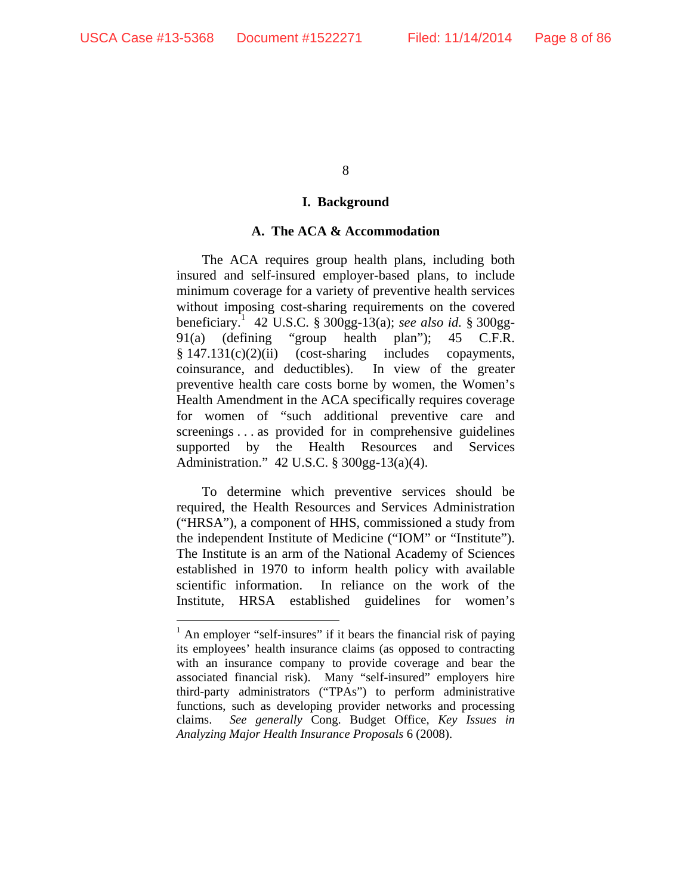8

#### **I. Background**

### **A. The ACA & Accommodation**

The ACA requires group health plans, including both insured and self-insured employer-based plans, to include minimum coverage for a variety of preventive health services without imposing cost-sharing requirements on the covered beneficiary.1 42 U.S.C. § 300gg-13(a); *see also id.* § 300gg-91(a) (defining "group health plan"); 45 C.F.R.  $§ 147.131(c)(2)(ii)$  (cost-sharing includes copayments, coinsurance, and deductibles). In view of the greater preventive health care costs borne by women, the Women's Health Amendment in the ACA specifically requires coverage for women of "such additional preventive care and screenings . . . as provided for in comprehensive guidelines supported by the Health Resources and Services Administration." 42 U.S.C. § 300gg-13(a)(4).

To determine which preventive services should be required, the Health Resources and Services Administration ("HRSA"), a component of HHS, commissioned a study from the independent Institute of Medicine ("IOM" or "Institute"). The Institute is an arm of the National Academy of Sciences established in 1970 to inform health policy with available scientific information. In reliance on the work of the Institute, HRSA established guidelines for women's

<sup>&</sup>lt;sup>1</sup> An employer "self-insures" if it bears the financial risk of paying its employees' health insurance claims (as opposed to contracting with an insurance company to provide coverage and bear the associated financial risk). Many "self-insured" employers hire third-party administrators ("TPAs") to perform administrative functions, such as developing provider networks and processing claims. *See generally* Cong. Budget Office, *Key Issues in Analyzing Major Health Insurance Proposals* 6 (2008).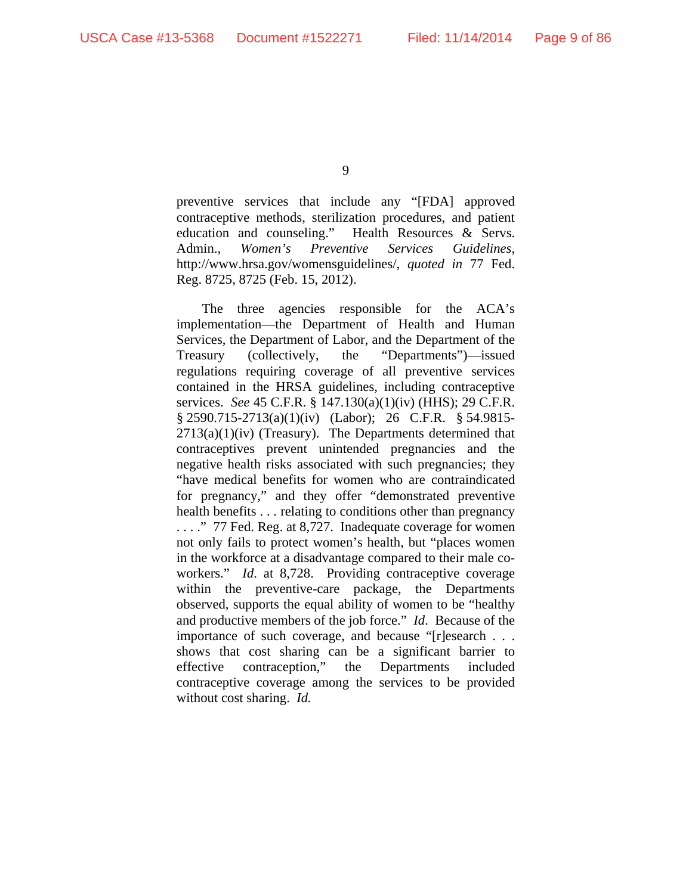preventive services that include any "[FDA] approved contraceptive methods, sterilization procedures, and patient education and counseling." Health Resources & Servs. Admin., *Women's Preventive Services Guidelines*, http://www.hrsa.gov/womensguidelines/, *quoted in* 77 Fed. Reg. 8725, 8725 (Feb. 15, 2012).

The three agencies responsible for the ACA's implementation—the Department of Health and Human Services, the Department of Labor, and the Department of the Treasury (collectively, the "Departments")—issued regulations requiring coverage of all preventive services contained in the HRSA guidelines, including contraceptive services. *See* 45 C.F.R. § 147.130(a)(1)(iv) (HHS); 29 C.F.R. § 2590.715-2713(a)(1)(iv) (Labor); 26 C.F.R. § 54.9815-  $2713(a)(1)(iv)$  (Treasury). The Departments determined that contraceptives prevent unintended pregnancies and the negative health risks associated with such pregnancies; they "have medical benefits for women who are contraindicated for pregnancy," and they offer "demonstrated preventive health benefits . . . relating to conditions other than pregnancy . . . ." 77 Fed. Reg. at 8,727. Inadequate coverage for women not only fails to protect women's health, but "places women in the workforce at a disadvantage compared to their male coworkers." *Id.* at 8,728. Providing contraceptive coverage within the preventive-care package, the Departments observed, supports the equal ability of women to be "healthy and productive members of the job force." *Id*. Because of the importance of such coverage, and because "[r]esearch . . . shows that cost sharing can be a significant barrier to effective contraception," the Departments included contraceptive coverage among the services to be provided without cost sharing. *Id.*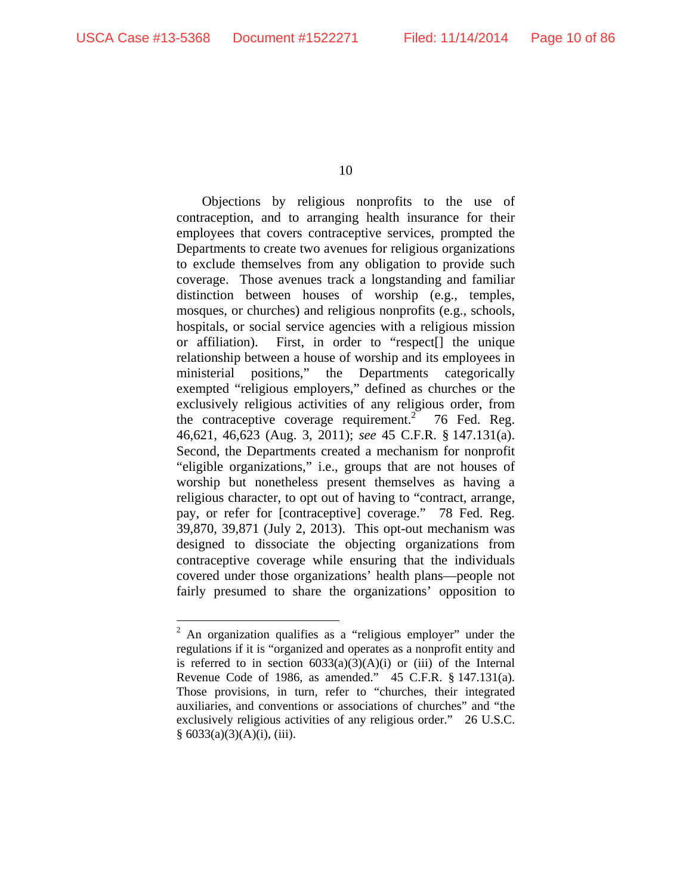10

Objections by religious nonprofits to the use of contraception, and to arranging health insurance for their employees that covers contraceptive services, prompted the Departments to create two avenues for religious organizations to exclude themselves from any obligation to provide such coverage. Those avenues track a longstanding and familiar distinction between houses of worship (e.g., temples, mosques, or churches) and religious nonprofits (e.g., schools, hospitals, or social service agencies with a religious mission or affiliation). First, in order to "respect[] the unique relationship between a house of worship and its employees in ministerial positions," the Departments categorically exempted "religious employers," defined as churches or the exclusively religious activities of any religious order, from the contraceptive coverage requirement.<sup>2</sup> 76 Fed. Reg. 46,621, 46,623 (Aug. 3, 2011); *see* 45 C.F.R. § 147.131(a). Second, the Departments created a mechanism for nonprofit "eligible organizations," i.e., groups that are not houses of worship but nonetheless present themselves as having a religious character, to opt out of having to "contract, arrange, pay, or refer for [contraceptive] coverage." 78 Fed. Reg. 39,870, 39,871 (July 2, 2013). This opt-out mechanism was designed to dissociate the objecting organizations from contraceptive coverage while ensuring that the individuals covered under those organizations' health plans—people not fairly presumed to share the organizations' opposition to

<sup>&</sup>lt;sup>2</sup> An organization qualifies as a "religious employer" under the regulations if it is "organized and operates as a nonprofit entity and is referred to in section  $6033(a)(3)(A)(i)$  or (iii) of the Internal Revenue Code of 1986, as amended." 45 C.F.R. § 147.131(a). Those provisions, in turn, refer to "churches, their integrated auxiliaries, and conventions or associations of churches" and "the exclusively religious activities of any religious order." 26 U.S.C.  $§ 6033(a)(3)(A)(i), (iii).$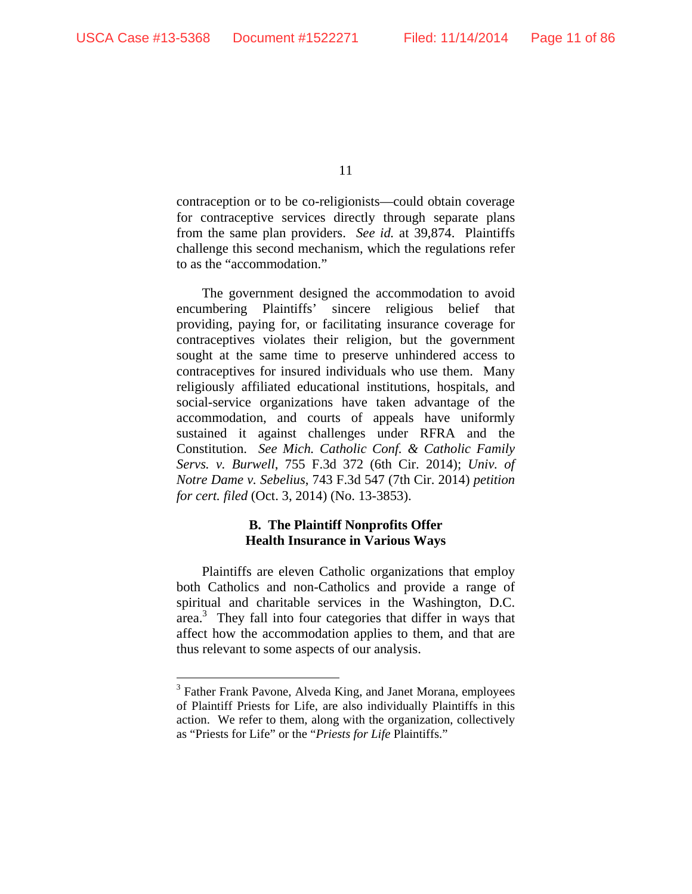11

contraception or to be co-religionists—could obtain coverage for contraceptive services directly through separate plans from the same plan providers. *See id.* at 39,874. Plaintiffs challenge this second mechanism, which the regulations refer to as the "accommodation."

The government designed the accommodation to avoid encumbering Plaintiffs' sincere religious belief that providing, paying for, or facilitating insurance coverage for contraceptives violates their religion, but the government sought at the same time to preserve unhindered access to contraceptives for insured individuals who use them. Many religiously affiliated educational institutions, hospitals, and social-service organizations have taken advantage of the accommodation, and courts of appeals have uniformly sustained it against challenges under RFRA and the Constitution. *See Mich. Catholic Conf. & Catholic Family Servs. v. Burwell*, 755 F.3d 372 (6th Cir. 2014); *Univ. of Notre Dame v. Sebelius*, 743 F.3d 547 (7th Cir. 2014) *petition for cert. filed* (Oct. 3, 2014) (No. 13-3853).

# **B. The Plaintiff Nonprofits Offer Health Insurance in Various Ways**

Plaintiffs are eleven Catholic organizations that employ both Catholics and non-Catholics and provide a range of spiritual and charitable services in the Washington, D.C. area.<sup>3</sup> They fall into four categories that differ in ways that affect how the accommodation applies to them, and that are thus relevant to some aspects of our analysis.

<sup>&</sup>lt;sup>3</sup> Father Frank Pavone, Alveda King, and Janet Morana, employees of Plaintiff Priests for Life, are also individually Plaintiffs in this action. We refer to them, along with the organization, collectively as "Priests for Life" or the "*Priests for Life* Plaintiffs."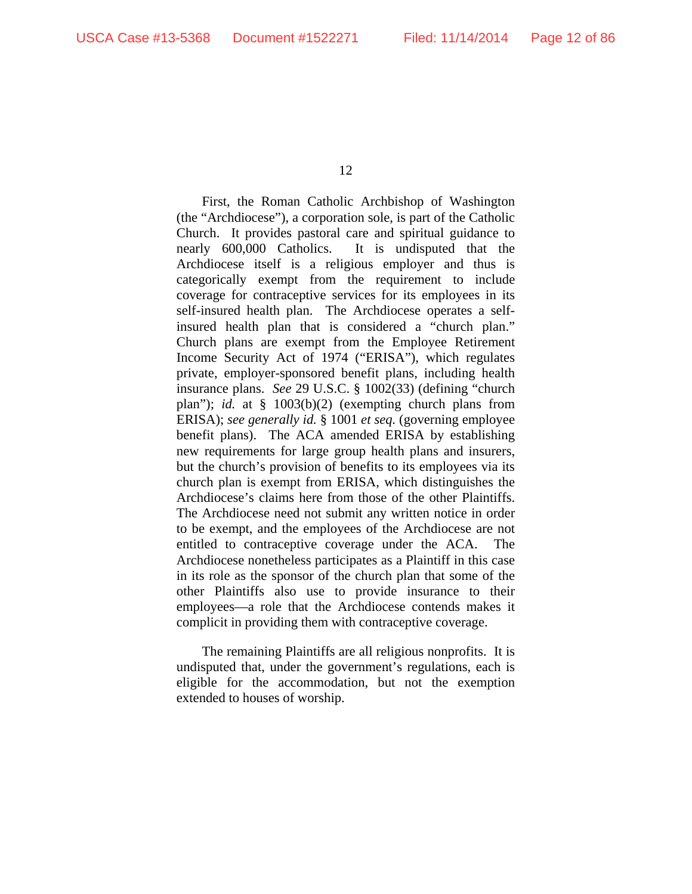First, the Roman Catholic Archbishop of Washington (the "Archdiocese"), a corporation sole, is part of the Catholic Church. It provides pastoral care and spiritual guidance to nearly 600,000 Catholics. It is undisputed that the Archdiocese itself is a religious employer and thus is categorically exempt from the requirement to include coverage for contraceptive services for its employees in its self-insured health plan. The Archdiocese operates a selfinsured health plan that is considered a "church plan." Church plans are exempt from the Employee Retirement Income Security Act of 1974 ("ERISA"), which regulates private, employer-sponsored benefit plans, including health insurance plans. *See* 29 U.S.C. § 1002(33) (defining "church plan"); *id.* at § 1003(b)(2) (exempting church plans from ERISA); *see generally id.* § 1001 *et seq.* (governing employee benefit plans). The ACA amended ERISA by establishing new requirements for large group health plans and insurers, but the church's provision of benefits to its employees via its church plan is exempt from ERISA, which distinguishes the Archdiocese's claims here from those of the other Plaintiffs. The Archdiocese need not submit any written notice in order to be exempt, and the employees of the Archdiocese are not entitled to contraceptive coverage under the ACA. The Archdiocese nonetheless participates as a Plaintiff in this case in its role as the sponsor of the church plan that some of the other Plaintiffs also use to provide insurance to their employees—a role that the Archdiocese contends makes it complicit in providing them with contraceptive coverage.

The remaining Plaintiffs are all religious nonprofits. It is undisputed that, under the government's regulations, each is eligible for the accommodation, but not the exemption extended to houses of worship.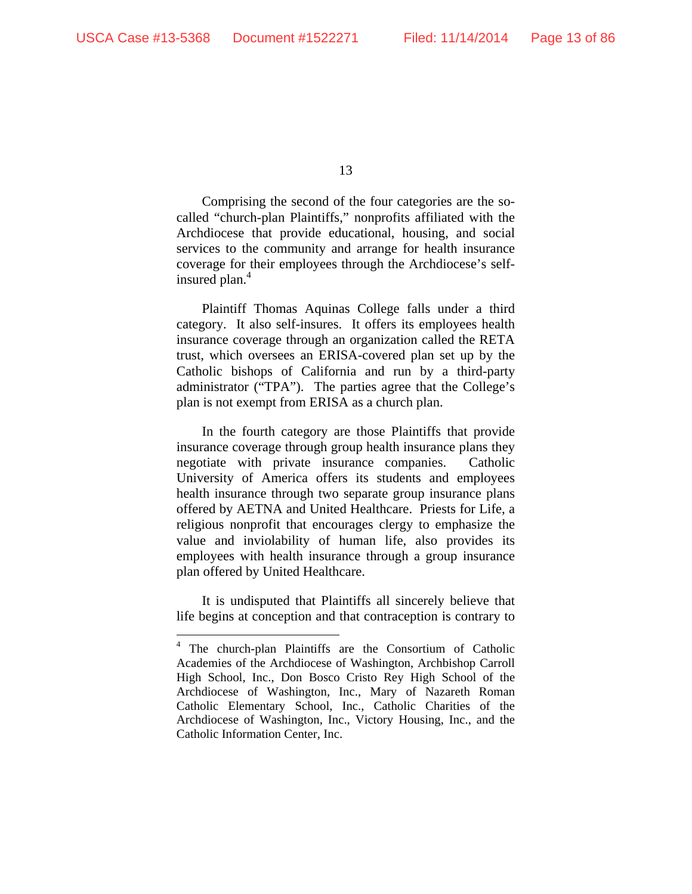13

Comprising the second of the four categories are the socalled "church-plan Plaintiffs," nonprofits affiliated with the Archdiocese that provide educational, housing, and social services to the community and arrange for health insurance coverage for their employees through the Archdiocese's selfinsured plan.<sup>4</sup>

Plaintiff Thomas Aquinas College falls under a third category. It also self-insures. It offers its employees health insurance coverage through an organization called the RETA trust, which oversees an ERISA-covered plan set up by the Catholic bishops of California and run by a third-party administrator ("TPA"). The parties agree that the College's plan is not exempt from ERISA as a church plan.

In the fourth category are those Plaintiffs that provide insurance coverage through group health insurance plans they negotiate with private insurance companies. Catholic University of America offers its students and employees health insurance through two separate group insurance plans offered by AETNA and United Healthcare. Priests for Life, a religious nonprofit that encourages clergy to emphasize the value and inviolability of human life, also provides its employees with health insurance through a group insurance plan offered by United Healthcare.

It is undisputed that Plaintiffs all sincerely believe that life begins at conception and that contraception is contrary to

<sup>4</sup> The church-plan Plaintiffs are the Consortium of Catholic Academies of the Archdiocese of Washington, Archbishop Carroll High School, Inc., Don Bosco Cristo Rey High School of the Archdiocese of Washington, Inc., Mary of Nazareth Roman Catholic Elementary School, Inc., Catholic Charities of the Archdiocese of Washington, Inc., Victory Housing, Inc., and the Catholic Information Center, Inc.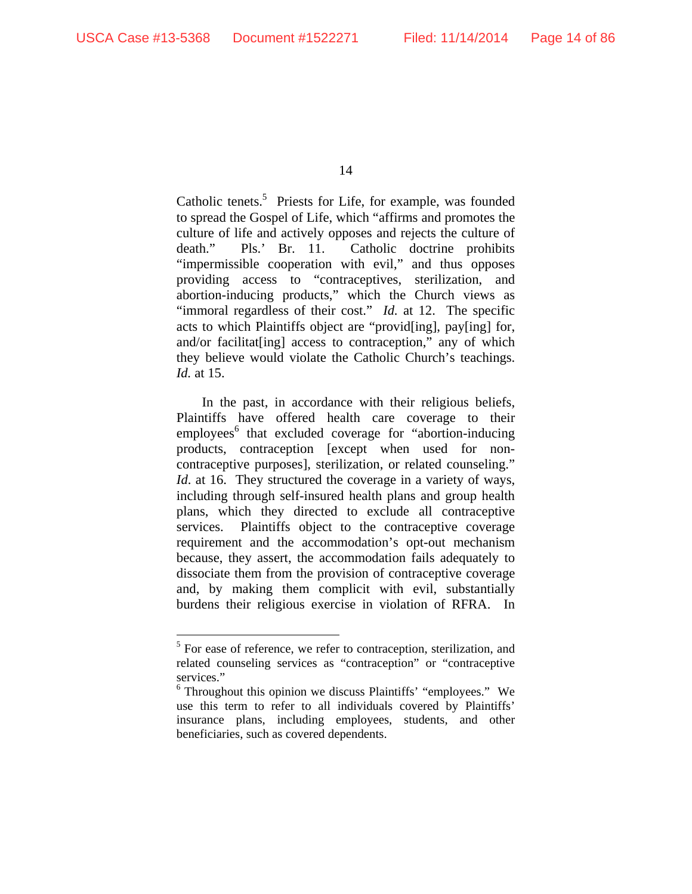14

Catholic tenets.<sup>5</sup> Priests for Life, for example, was founded to spread the Gospel of Life, which "affirms and promotes the culture of life and actively opposes and rejects the culture of death." Pls.' Br. 11. Catholic doctrine prohibits "impermissible cooperation with evil," and thus opposes providing access to "contraceptives, sterilization, and abortion-inducing products," which the Church views as "immoral regardless of their cost." *Id.* at 12. The specific acts to which Plaintiffs object are "provid[ing], pay[ing] for, and/or facilitat[ing] access to contraception," any of which they believe would violate the Catholic Church's teachings. *Id.* at 15.

In the past, in accordance with their religious beliefs, Plaintiffs have offered health care coverage to their employees<sup>6</sup> that excluded coverage for "abortion-inducing products, contraception [except when used for noncontraceptive purposes], sterilization, or related counseling." *Id.* at 16. They structured the coverage in a variety of ways, including through self-insured health plans and group health plans, which they directed to exclude all contraceptive services. Plaintiffs object to the contraceptive coverage requirement and the accommodation's opt-out mechanism because, they assert, the accommodation fails adequately to dissociate them from the provision of contraceptive coverage and, by making them complicit with evil, substantially burdens their religious exercise in violation of RFRA. In

<sup>&</sup>lt;sup>5</sup> For ease of reference, we refer to contraception, sterilization, and related counseling services as "contraception" or "contraceptive services."

<sup>&</sup>lt;sup>6</sup> Throughout this opinion we discuss Plaintiffs' "employees." We use this term to refer to all individuals covered by Plaintiffs' insurance plans, including employees, students, and other beneficiaries, such as covered dependents.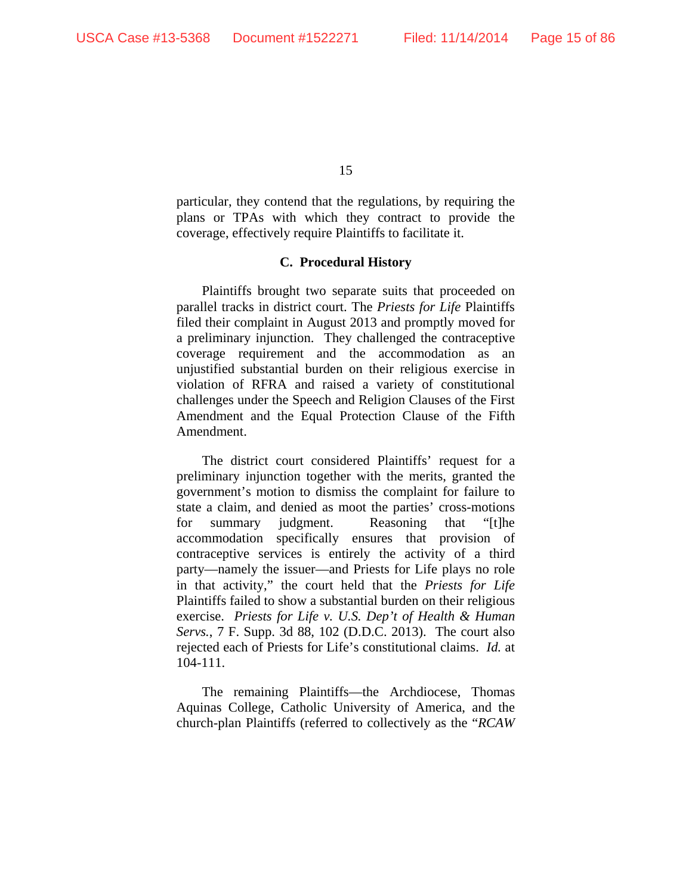particular, they contend that the regulations, by requiring the plans or TPAs with which they contract to provide the coverage, effectively require Plaintiffs to facilitate it.

#### **C. Procedural History**

Plaintiffs brought two separate suits that proceeded on parallel tracks in district court. The *Priests for Life* Plaintiffs filed their complaint in August 2013 and promptly moved for a preliminary injunction. They challenged the contraceptive coverage requirement and the accommodation as an unjustified substantial burden on their religious exercise in violation of RFRA and raised a variety of constitutional challenges under the Speech and Religion Clauses of the First Amendment and the Equal Protection Clause of the Fifth Amendment.

The district court considered Plaintiffs' request for a preliminary injunction together with the merits, granted the government's motion to dismiss the complaint for failure to state a claim, and denied as moot the parties' cross-motions for summary judgment. Reasoning that "[t]he accommodation specifically ensures that provision of contraceptive services is entirely the activity of a third party—namely the issuer—and Priests for Life plays no role in that activity," the court held that the *Priests for Life* Plaintiffs failed to show a substantial burden on their religious exercise. *Priests for Life v. U.S. Dep't of Health & Human Servs.*, 7 F. Supp. 3d 88, 102 (D.D.C. 2013). The court also rejected each of Priests for Life's constitutional claims. *Id.* at 104-111.

The remaining Plaintiffs—the Archdiocese, Thomas Aquinas College, Catholic University of America, and the church-plan Plaintiffs (referred to collectively as the "*RCAW*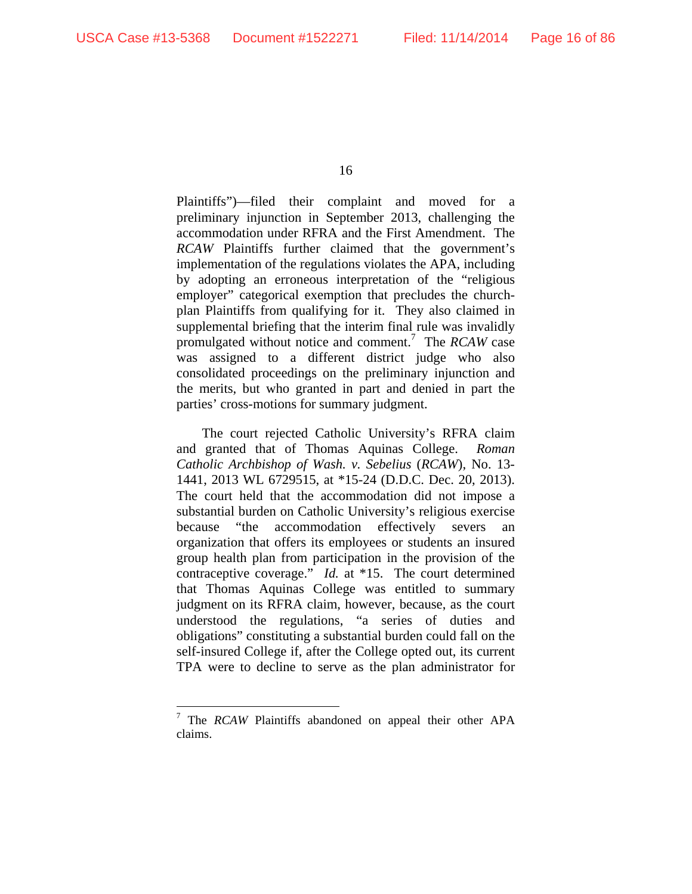16

Plaintiffs")—filed their complaint and moved for a preliminary injunction in September 2013, challenging the accommodation under RFRA and the First Amendment. The *RCAW* Plaintiffs further claimed that the government's implementation of the regulations violates the APA, including by adopting an erroneous interpretation of the "religious employer" categorical exemption that precludes the churchplan Plaintiffs from qualifying for it. They also claimed in supplemental briefing that the interim final rule was invalidly promulgated without notice and comment.<sup>7</sup> The *RCAW* case was assigned to a different district judge who also consolidated proceedings on the preliminary injunction and the merits, but who granted in part and denied in part the parties' cross-motions for summary judgment.

The court rejected Catholic University's RFRA claim and granted that of Thomas Aquinas College. *Roman Catholic Archbishop of Wash. v. Sebelius* (*RCAW*), No. 13- 1441, 2013 WL 6729515, at \*15-24 (D.D.C. Dec. 20, 2013). The court held that the accommodation did not impose a substantial burden on Catholic University's religious exercise because "the accommodation effectively severs organization that offers its employees or students an insured group health plan from participation in the provision of the contraceptive coverage." *Id.* at \*15. The court determined that Thomas Aquinas College was entitled to summary judgment on its RFRA claim, however, because, as the court understood the regulations, "a series of duties and obligations" constituting a substantial burden could fall on the self-insured College if, after the College opted out, its current TPA were to decline to serve as the plan administrator for

<sup>&</sup>lt;sup>7</sup> The *RCAW* Plaintiffs abandoned on appeal their other APA claims.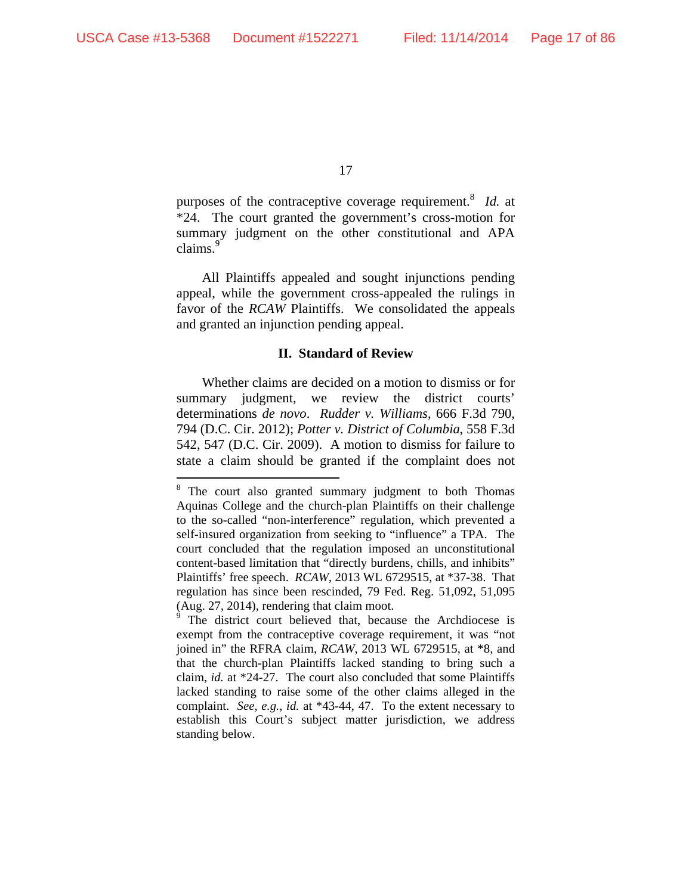17

purposes of the contraceptive coverage requirement.<sup>8</sup> *Id.* at \*24. The court granted the government's cross-motion for summary judgment on the other constitutional and APA claims.<sup>9</sup>

All Plaintiffs appealed and sought injunctions pending appeal, while the government cross-appealed the rulings in favor of the *RCAW* Plaintiffs. We consolidated the appeals and granted an injunction pending appeal.

### **II. Standard of Review**

Whether claims are decided on a motion to dismiss or for summary judgment, we review the district courts' determinations *de novo*. *Rudder v. Williams*, 666 F.3d 790, 794 (D.C. Cir. 2012); *Potter v. District of Columbia*, 558 F.3d 542, 547 (D.C. Cir. 2009). A motion to dismiss for failure to state a claim should be granted if the complaint does not

<sup>&</sup>lt;sup>8</sup> The court also granted summary judgment to both Thomas Aquinas College and the church-plan Plaintiffs on their challenge to the so-called "non-interference" regulation, which prevented a self-insured organization from seeking to "influence" a TPA. The court concluded that the regulation imposed an unconstitutional content-based limitation that "directly burdens, chills, and inhibits" Plaintiffs' free speech. *RCAW*, 2013 WL 6729515, at \*37-38. That regulation has since been rescinded, 79 Fed. Reg. 51,092, 51,095 (Aug. 27, 2014), rendering that claim moot.

<sup>&</sup>lt;sup>9</sup> The district court believed that, because the Archdiocese is exempt from the contraceptive coverage requirement, it was "not joined in" the RFRA claim, *RCAW*, 2013 WL 6729515, at \*8, and that the church-plan Plaintiffs lacked standing to bring such a claim, *id.* at \*24-27. The court also concluded that some Plaintiffs lacked standing to raise some of the other claims alleged in the complaint. *See, e.g.*, *id.* at \*43-44, 47. To the extent necessary to establish this Court's subject matter jurisdiction, we address standing below.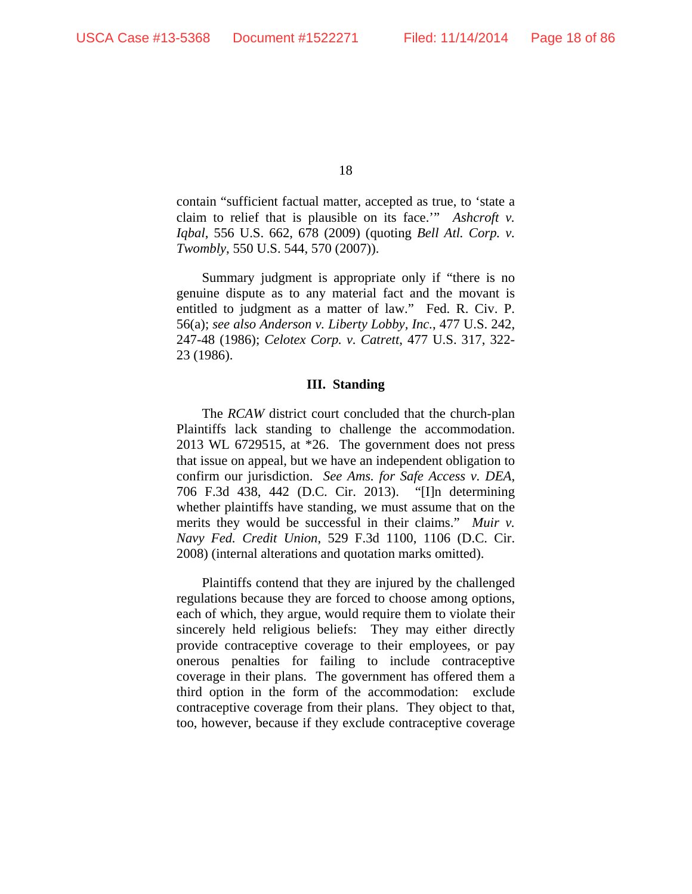contain "sufficient factual matter, accepted as true, to 'state a claim to relief that is plausible on its face.'" *Ashcroft v. Iqbal*, 556 U.S. 662, 678 (2009) (quoting *Bell Atl. Corp. v. Twombly*, 550 U.S. 544, 570 (2007)).

Summary judgment is appropriate only if "there is no genuine dispute as to any material fact and the movant is entitled to judgment as a matter of law." Fed. R. Civ. P. 56(a); *see also Anderson v. Liberty Lobby, Inc.*, 477 U.S. 242, 247-48 (1986); *Celotex Corp. v. Catrett*, 477 U.S. 317, 322- 23 (1986).

#### **III. Standing**

The *RCAW* district court concluded that the church-plan Plaintiffs lack standing to challenge the accommodation. 2013 WL 6729515, at \*26. The government does not press that issue on appeal, but we have an independent obligation to confirm our jurisdiction. *See Ams. for Safe Access v. DEA*, 706 F.3d 438, 442 (D.C. Cir. 2013). "[I]n determining whether plaintiffs have standing, we must assume that on the merits they would be successful in their claims." *Muir v. Navy Fed. Credit Union*, 529 F.3d 1100, 1106 (D.C. Cir. 2008) (internal alterations and quotation marks omitted).

Plaintiffs contend that they are injured by the challenged regulations because they are forced to choose among options, each of which, they argue, would require them to violate their sincerely held religious beliefs: They may either directly provide contraceptive coverage to their employees, or pay onerous penalties for failing to include contraceptive coverage in their plans. The government has offered them a third option in the form of the accommodation: exclude contraceptive coverage from their plans. They object to that, too, however, because if they exclude contraceptive coverage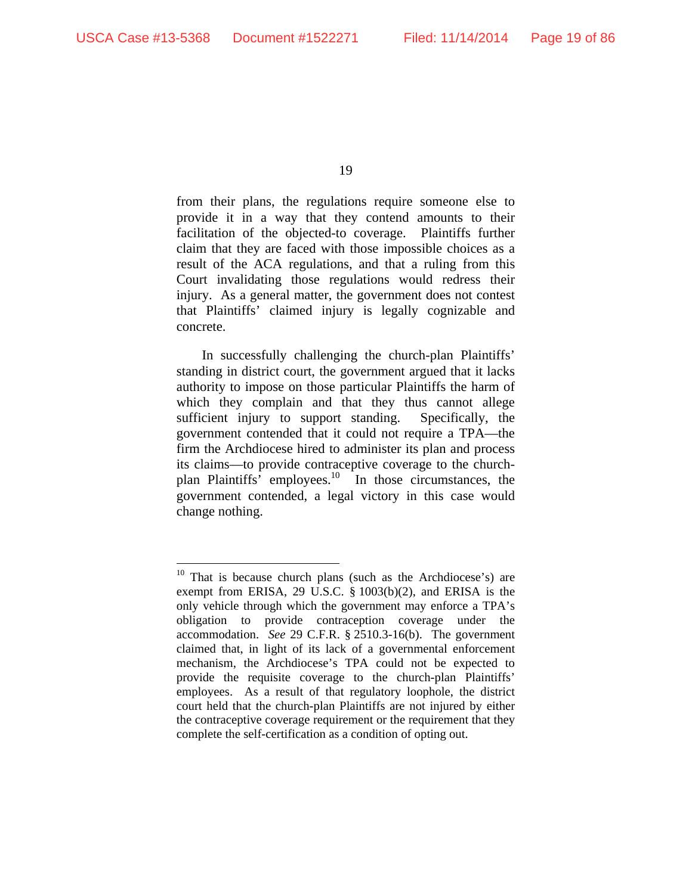19

from their plans, the regulations require someone else to provide it in a way that they contend amounts to their facilitation of the objected-to coverage. Plaintiffs further claim that they are faced with those impossible choices as a result of the ACA regulations, and that a ruling from this Court invalidating those regulations would redress their injury. As a general matter, the government does not contest that Plaintiffs' claimed injury is legally cognizable and concrete.

In successfully challenging the church-plan Plaintiffs' standing in district court, the government argued that it lacks authority to impose on those particular Plaintiffs the harm of which they complain and that they thus cannot allege sufficient injury to support standing. Specifically, the government contended that it could not require a TPA—the firm the Archdiocese hired to administer its plan and process its claims—to provide contraceptive coverage to the churchplan Plaintiffs' employees.10 In those circumstances, the government contended, a legal victory in this case would change nothing.

 $10$  That is because church plans (such as the Archdiocese's) are exempt from ERISA, 29 U.S.C. § 1003(b)(2), and ERISA is the only vehicle through which the government may enforce a TPA's obligation to provide contraception coverage under the accommodation. *See* 29 C.F.R. § 2510.3-16(b). The government claimed that, in light of its lack of a governmental enforcement mechanism, the Archdiocese's TPA could not be expected to provide the requisite coverage to the church-plan Plaintiffs' employees. As a result of that regulatory loophole, the district court held that the church-plan Plaintiffs are not injured by either the contraceptive coverage requirement or the requirement that they complete the self-certification as a condition of opting out.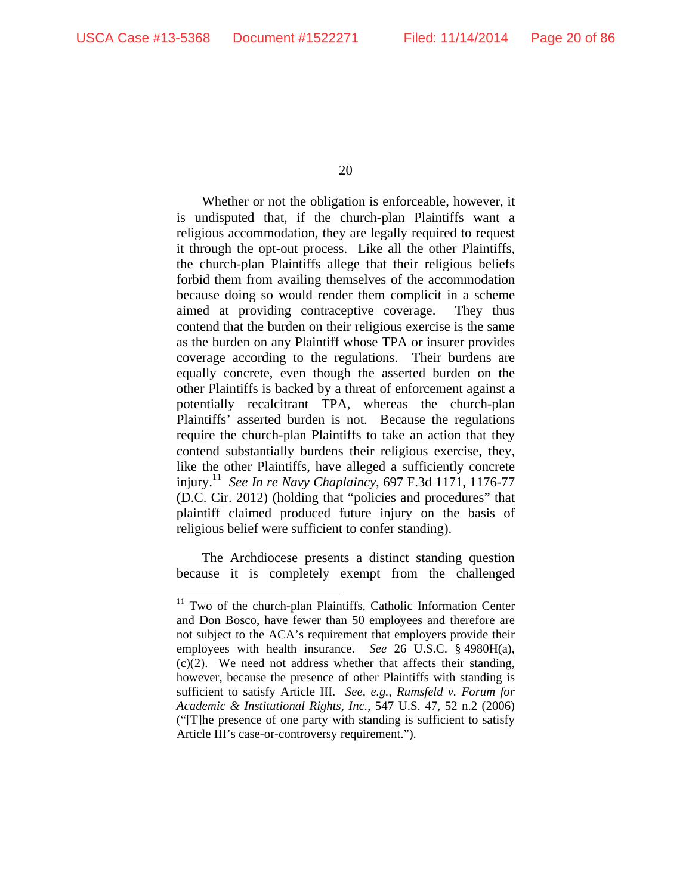20

Whether or not the obligation is enforceable, however, it is undisputed that, if the church-plan Plaintiffs want a religious accommodation, they are legally required to request it through the opt-out process. Like all the other Plaintiffs, the church-plan Plaintiffs allege that their religious beliefs forbid them from availing themselves of the accommodation because doing so would render them complicit in a scheme aimed at providing contraceptive coverage. They thus contend that the burden on their religious exercise is the same as the burden on any Plaintiff whose TPA or insurer provides coverage according to the regulations. Their burdens are equally concrete, even though the asserted burden on the other Plaintiffs is backed by a threat of enforcement against a potentially recalcitrant TPA, whereas the church-plan Plaintiffs' asserted burden is not. Because the regulations require the church-plan Plaintiffs to take an action that they contend substantially burdens their religious exercise, they, like the other Plaintiffs, have alleged a sufficiently concrete injury.11 *See In re Navy Chaplaincy*, 697 F.3d 1171, 1176-77 (D.C. Cir. 2012) (holding that "policies and procedures" that plaintiff claimed produced future injury on the basis of religious belief were sufficient to confer standing).

The Archdiocese presents a distinct standing question because it is completely exempt from the challenged

 $11$  Two of the church-plan Plaintiffs, Catholic Information Center and Don Bosco, have fewer than 50 employees and therefore are not subject to the ACA's requirement that employers provide their employees with health insurance. *See* 26 U.S.C. § 4980H(a), (c)(2). We need not address whether that affects their standing, however, because the presence of other Plaintiffs with standing is sufficient to satisfy Article III. *See, e.g.*, *Rumsfeld v. Forum for Academic & Institutional Rights, Inc.*, 547 U.S. 47, 52 n.2 (2006) ("[T]he presence of one party with standing is sufficient to satisfy Article III's case-or-controversy requirement.").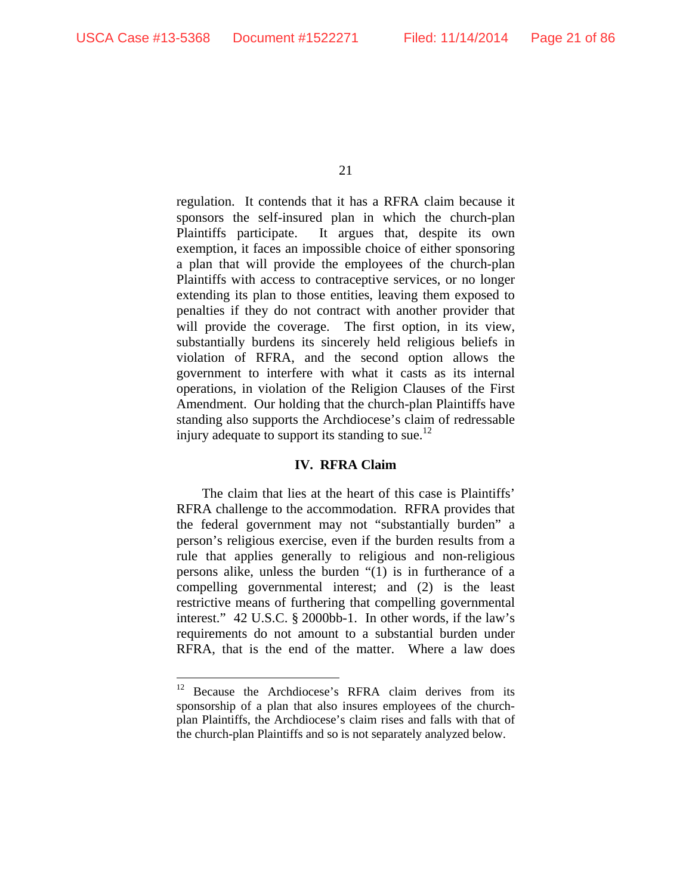21

regulation. It contends that it has a RFRA claim because it sponsors the self-insured plan in which the church-plan Plaintiffs participate. It argues that, despite its own exemption, it faces an impossible choice of either sponsoring a plan that will provide the employees of the church-plan Plaintiffs with access to contraceptive services, or no longer extending its plan to those entities, leaving them exposed to penalties if they do not contract with another provider that will provide the coverage. The first option, in its view, substantially burdens its sincerely held religious beliefs in violation of RFRA, and the second option allows the government to interfere with what it casts as its internal operations, in violation of the Religion Clauses of the First Amendment. Our holding that the church-plan Plaintiffs have standing also supports the Archdiocese's claim of redressable injury adequate to support its standing to sue.<sup>12</sup>

## **IV. RFRA Claim**

The claim that lies at the heart of this case is Plaintiffs' RFRA challenge to the accommodation. RFRA provides that the federal government may not "substantially burden" a person's religious exercise, even if the burden results from a rule that applies generally to religious and non-religious persons alike, unless the burden "(1) is in furtherance of a compelling governmental interest; and (2) is the least restrictive means of furthering that compelling governmental interest." 42 U.S.C. § 2000bb-1. In other words, if the law's requirements do not amount to a substantial burden under RFRA, that is the end of the matter. Where a law does

<sup>&</sup>lt;sup>12</sup> Because the Archdiocese's RFRA claim derives from its sponsorship of a plan that also insures employees of the churchplan Plaintiffs, the Archdiocese's claim rises and falls with that of the church-plan Plaintiffs and so is not separately analyzed below.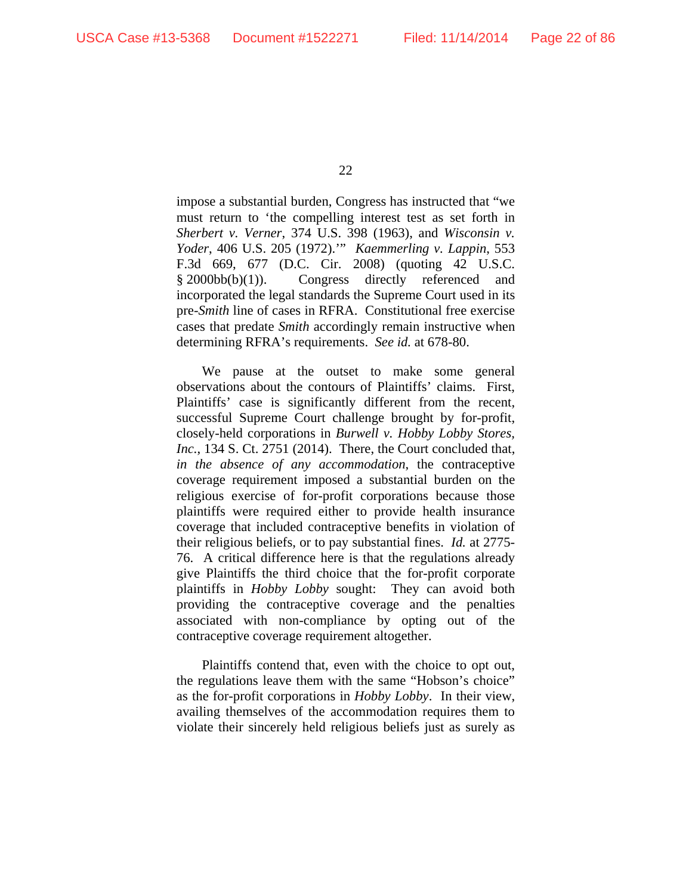impose a substantial burden, Congress has instructed that "we must return to 'the compelling interest test as set forth in *Sherbert v. Verner*, 374 U.S. 398 (1963), and *Wisconsin v. Yoder*, 406 U.S. 205 (1972).'" *Kaemmerling v. Lappin*, 553 F.3d 669, 677 (D.C. Cir. 2008) (quoting 42 U.S.C.  $§ 2000bb(b)(1)).$  Congress directly referenced and incorporated the legal standards the Supreme Court used in its pre-*Smith* line of cases in RFRA. Constitutional free exercise cases that predate *Smith* accordingly remain instructive when determining RFRA's requirements. *See id.* at 678-80.

We pause at the outset to make some general observations about the contours of Plaintiffs' claims. First, Plaintiffs' case is significantly different from the recent, successful Supreme Court challenge brought by for-profit, closely-held corporations in *Burwell v. Hobby Lobby Stores, Inc.*, 134 S. Ct. 2751 (2014). There, the Court concluded that, *in the absence of any accommodation*, the contraceptive coverage requirement imposed a substantial burden on the religious exercise of for-profit corporations because those plaintiffs were required either to provide health insurance coverage that included contraceptive benefits in violation of their religious beliefs, or to pay substantial fines. *Id.* at 2775- 76. A critical difference here is that the regulations already give Plaintiffs the third choice that the for-profit corporate plaintiffs in *Hobby Lobby* sought: They can avoid both providing the contraceptive coverage and the penalties associated with non-compliance by opting out of the contraceptive coverage requirement altogether.

Plaintiffs contend that, even with the choice to opt out, the regulations leave them with the same "Hobson's choice" as the for-profit corporations in *Hobby Lobby*. In their view, availing themselves of the accommodation requires them to violate their sincerely held religious beliefs just as surely as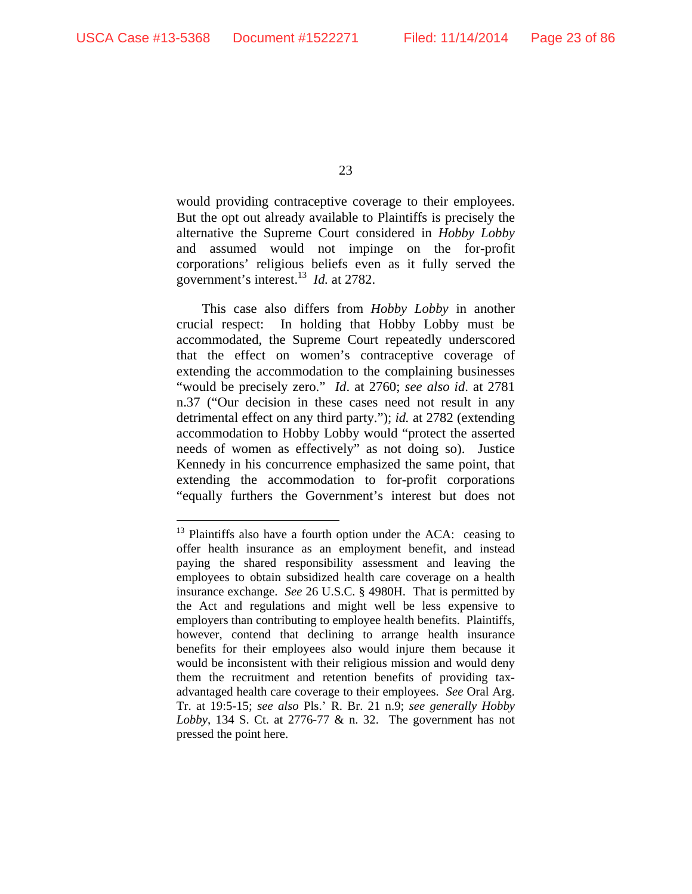23

would providing contraceptive coverage to their employees. But the opt out already available to Plaintiffs is precisely the alternative the Supreme Court considered in *Hobby Lobby* and assumed would not impinge on the for-profit corporations' religious beliefs even as it fully served the government's interest.13 *Id.* at 2782.

This case also differs from *Hobby Lobby* in another crucial respect: In holding that Hobby Lobby must be accommodated, the Supreme Court repeatedly underscored that the effect on women's contraceptive coverage of extending the accommodation to the complaining businesses "would be precisely zero." *Id*. at 2760; *see also id*. at 2781 n.37 ("Our decision in these cases need not result in any detrimental effect on any third party."); *id.* at 2782 (extending accommodation to Hobby Lobby would "protect the asserted needs of women as effectively" as not doing so). Justice Kennedy in his concurrence emphasized the same point, that extending the accommodation to for-profit corporations "equally furthers the Government's interest but does not

<sup>&</sup>lt;sup>13</sup> Plaintiffs also have a fourth option under the ACA: ceasing to offer health insurance as an employment benefit, and instead paying the shared responsibility assessment and leaving the employees to obtain subsidized health care coverage on a health insurance exchange. *See* 26 U.S.C. § 4980H. That is permitted by the Act and regulations and might well be less expensive to employers than contributing to employee health benefits. Plaintiffs, however, contend that declining to arrange health insurance benefits for their employees also would injure them because it would be inconsistent with their religious mission and would deny them the recruitment and retention benefits of providing taxadvantaged health care coverage to their employees. *See* Oral Arg. Tr. at 19:5-15; *see also* Pls.' R. Br. 21 n.9; *see generally Hobby Lobby*, 134 S. Ct. at 2776-77 & n. 32. The government has not pressed the point here.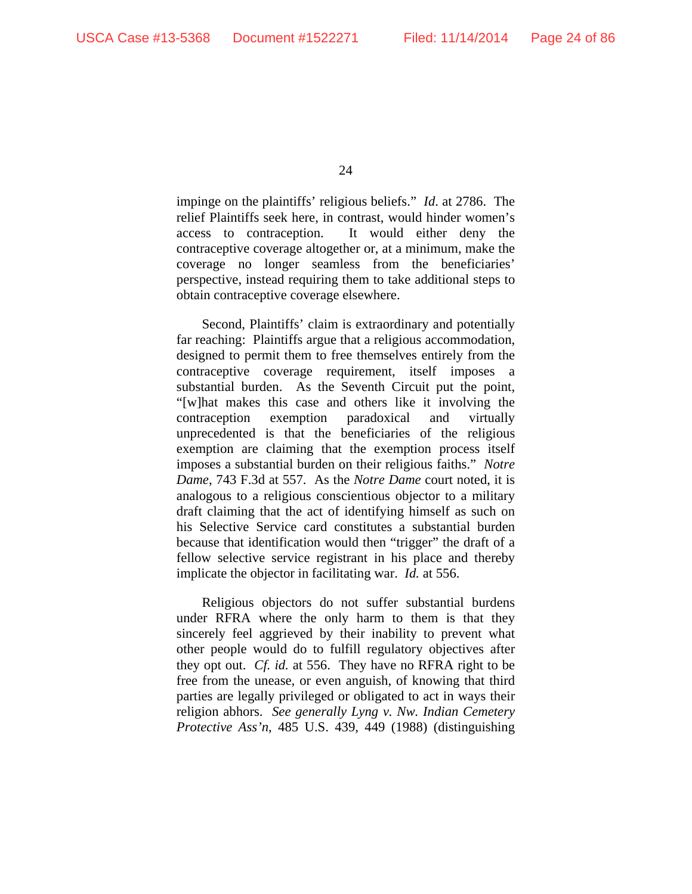impinge on the plaintiffs' religious beliefs." *Id*. at 2786. The relief Plaintiffs seek here, in contrast, would hinder women's access to contraception. It would either deny the contraceptive coverage altogether or, at a minimum, make the coverage no longer seamless from the beneficiaries' perspective, instead requiring them to take additional steps to obtain contraceptive coverage elsewhere.

Second, Plaintiffs' claim is extraordinary and potentially far reaching: Plaintiffs argue that a religious accommodation, designed to permit them to free themselves entirely from the contraceptive coverage requirement, itself imposes a substantial burden. As the Seventh Circuit put the point, "[w]hat makes this case and others like it involving the contraception exemption paradoxical and virtually unprecedented is that the beneficiaries of the religious exemption are claiming that the exemption process itself imposes a substantial burden on their religious faiths." *Notre Dame*, 743 F.3d at 557. As the *Notre Dame* court noted, it is analogous to a religious conscientious objector to a military draft claiming that the act of identifying himself as such on his Selective Service card constitutes a substantial burden because that identification would then "trigger" the draft of a fellow selective service registrant in his place and thereby implicate the objector in facilitating war. *Id.* at 556.

Religious objectors do not suffer substantial burdens under RFRA where the only harm to them is that they sincerely feel aggrieved by their inability to prevent what other people would do to fulfill regulatory objectives after they opt out. *Cf. id.* at 556. They have no RFRA right to be free from the unease, or even anguish, of knowing that third parties are legally privileged or obligated to act in ways their religion abhors. *See generally Lyng v. Nw. Indian Cemetery Protective Ass'n*, 485 U.S. 439, 449 (1988) (distinguishing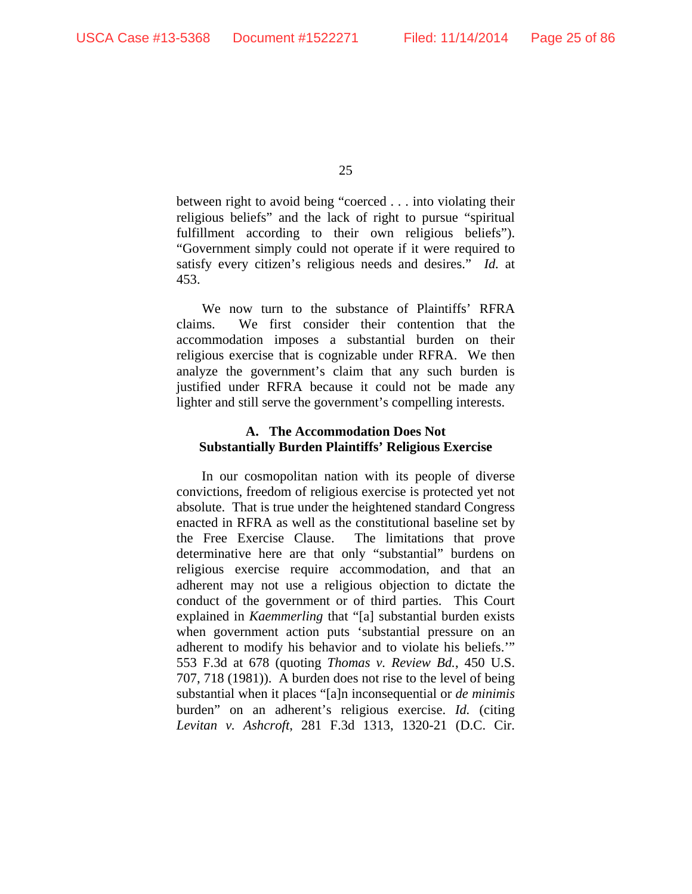between right to avoid being "coerced . . . into violating their religious beliefs" and the lack of right to pursue "spiritual fulfillment according to their own religious beliefs"). "Government simply could not operate if it were required to satisfy every citizen's religious needs and desires." *Id.* at 453.

We now turn to the substance of Plaintiffs' RFRA claims. We first consider their contention that the accommodation imposes a substantial burden on their religious exercise that is cognizable under RFRA. We then analyze the government's claim that any such burden is justified under RFRA because it could not be made any lighter and still serve the government's compelling interests.

# **A. The Accommodation Does Not Substantially Burden Plaintiffs' Religious Exercise**

In our cosmopolitan nation with its people of diverse convictions, freedom of religious exercise is protected yet not absolute. That is true under the heightened standard Congress enacted in RFRA as well as the constitutional baseline set by the Free Exercise Clause. The limitations that prove determinative here are that only "substantial" burdens on religious exercise require accommodation, and that an adherent may not use a religious objection to dictate the conduct of the government or of third parties. This Court explained in *Kaemmerling* that "[a] substantial burden exists when government action puts 'substantial pressure on an adherent to modify his behavior and to violate his beliefs.'" 553 F.3d at 678 (quoting *Thomas v. Review Bd.*, 450 U.S. 707, 718 (1981)). A burden does not rise to the level of being substantial when it places "[a]n inconsequential or *de minimis* burden" on an adherent's religious exercise. *Id.* (citing *Levitan v. Ashcroft*, 281 F.3d 1313, 1320-21 (D.C. Cir.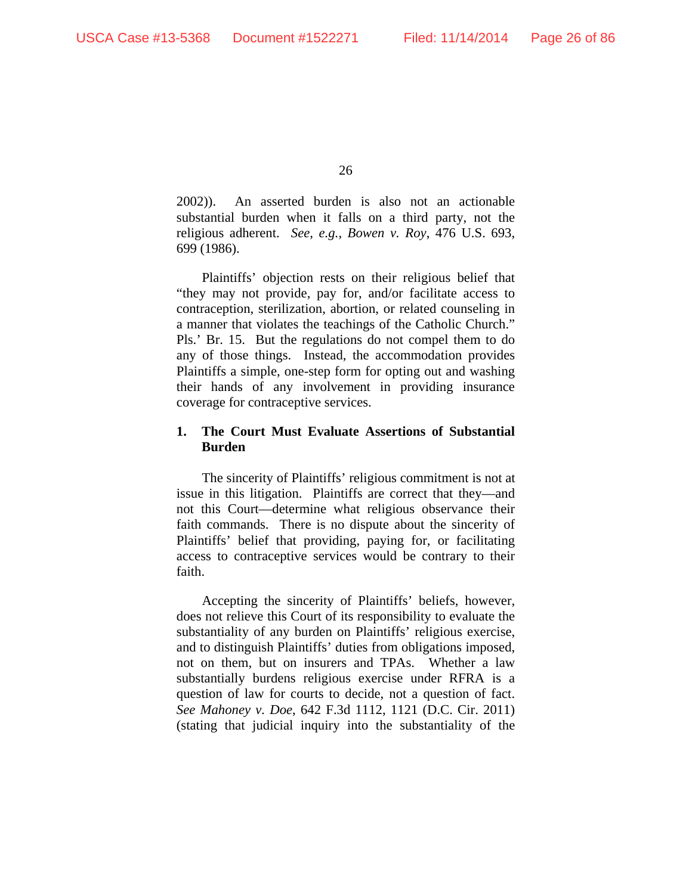2002)). An asserted burden is also not an actionable substantial burden when it falls on a third party, not the religious adherent. *See, e.g.*, *Bowen v. Roy*, 476 U.S. 693, 699 (1986).

Plaintiffs' objection rests on their religious belief that "they may not provide, pay for, and/or facilitate access to contraception, sterilization, abortion, or related counseling in a manner that violates the teachings of the Catholic Church." Pls.' Br. 15. But the regulations do not compel them to do any of those things. Instead, the accommodation provides Plaintiffs a simple, one-step form for opting out and washing their hands of any involvement in providing insurance coverage for contraceptive services.

# **1. The Court Must Evaluate Assertions of Substantial Burden**

The sincerity of Plaintiffs' religious commitment is not at issue in this litigation. Plaintiffs are correct that they—and not this Court—determine what religious observance their faith commands. There is no dispute about the sincerity of Plaintiffs' belief that providing, paying for, or facilitating access to contraceptive services would be contrary to their faith.

Accepting the sincerity of Plaintiffs' beliefs, however, does not relieve this Court of its responsibility to evaluate the substantiality of any burden on Plaintiffs' religious exercise, and to distinguish Plaintiffs' duties from obligations imposed, not on them, but on insurers and TPAs. Whether a law substantially burdens religious exercise under RFRA is a question of law for courts to decide, not a question of fact. *See Mahoney v. Doe*, 642 F.3d 1112, 1121 (D.C. Cir. 2011) (stating that judicial inquiry into the substantiality of the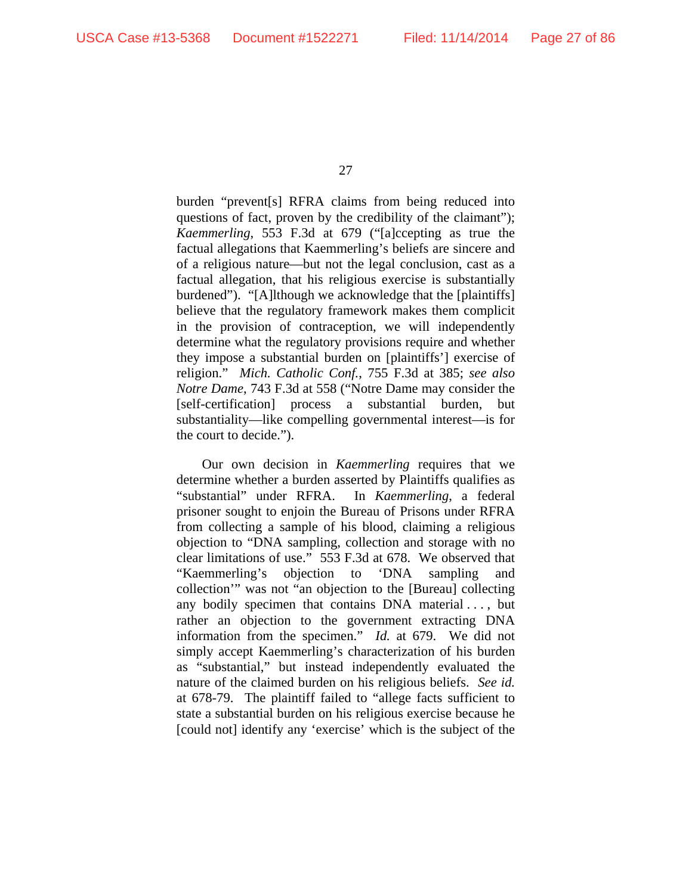burden "prevent[s] RFRA claims from being reduced into questions of fact, proven by the credibility of the claimant"); *Kaemmerling*, 553 F.3d at 679 ("[a]ccepting as true the factual allegations that Kaemmerling's beliefs are sincere and of a religious nature—but not the legal conclusion, cast as a factual allegation, that his religious exercise is substantially burdened"). "[A]lthough we acknowledge that the [plaintiffs] believe that the regulatory framework makes them complicit in the provision of contraception, we will independently determine what the regulatory provisions require and whether they impose a substantial burden on [plaintiffs'] exercise of religion." *Mich. Catholic Conf.*, 755 F.3d at 385; *see also Notre Dame*, 743 F.3d at 558 ("Notre Dame may consider the [self-certification] process a substantial burden, but substantiality—like compelling governmental interest—is for the court to decide.").

Our own decision in *Kaemmerling* requires that we determine whether a burden asserted by Plaintiffs qualifies as "substantial" under RFRA. In *Kaemmerling*, a federal prisoner sought to enjoin the Bureau of Prisons under RFRA from collecting a sample of his blood, claiming a religious objection to "DNA sampling, collection and storage with no clear limitations of use." 553 F.3d at 678. We observed that "Kaemmerling's objection to 'DNA sampling and collection'" was not "an objection to the [Bureau] collecting any bodily specimen that contains DNA material . . . , but rather an objection to the government extracting DNA information from the specimen." *Id.* at 679. We did not simply accept Kaemmerling's characterization of his burden as "substantial," but instead independently evaluated the nature of the claimed burden on his religious beliefs. *See id.* at 678-79. The plaintiff failed to "allege facts sufficient to state a substantial burden on his religious exercise because he [could not] identify any 'exercise' which is the subject of the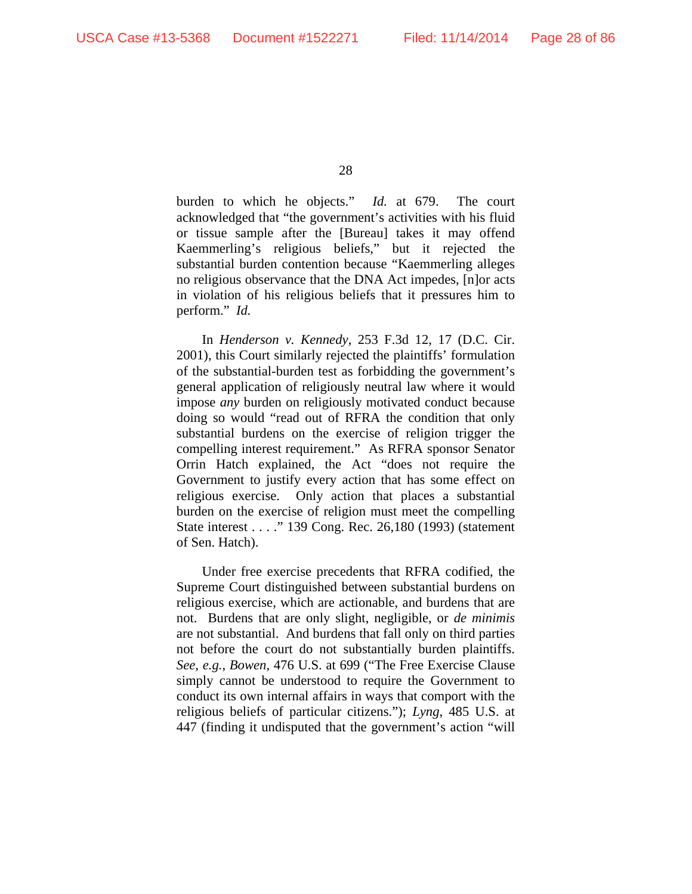burden to which he objects." *Id.* at 679.The court acknowledged that "the government's activities with his fluid or tissue sample after the [Bureau] takes it may offend Kaemmerling's religious beliefs," but it rejected the substantial burden contention because "Kaemmerling alleges no religious observance that the DNA Act impedes, [n]or acts in violation of his religious beliefs that it pressures him to perform." *Id.*

In *Henderson v. Kennedy*, 253 F.3d 12, 17 (D.C. Cir. 2001), this Court similarly rejected the plaintiffs' formulation of the substantial-burden test as forbidding the government's general application of religiously neutral law where it would impose *any* burden on religiously motivated conduct because doing so would "read out of RFRA the condition that only substantial burdens on the exercise of religion trigger the compelling interest requirement." As RFRA sponsor Senator Orrin Hatch explained, the Act "does not require the Government to justify every action that has some effect on religious exercise. Only action that places a substantial burden on the exercise of religion must meet the compelling State interest . . . ." 139 Cong. Rec. 26,180 (1993) (statement of Sen. Hatch).

Under free exercise precedents that RFRA codified, the Supreme Court distinguished between substantial burdens on religious exercise, which are actionable, and burdens that are not. Burdens that are only slight, negligible, or *de minimis* are not substantial. And burdens that fall only on third parties not before the court do not substantially burden plaintiffs. *See, e.g.*, *Bowen*, 476 U.S. at 699 ("The Free Exercise Clause simply cannot be understood to require the Government to conduct its own internal affairs in ways that comport with the religious beliefs of particular citizens."); *Lyng*, 485 U.S. at 447 (finding it undisputed that the government's action "will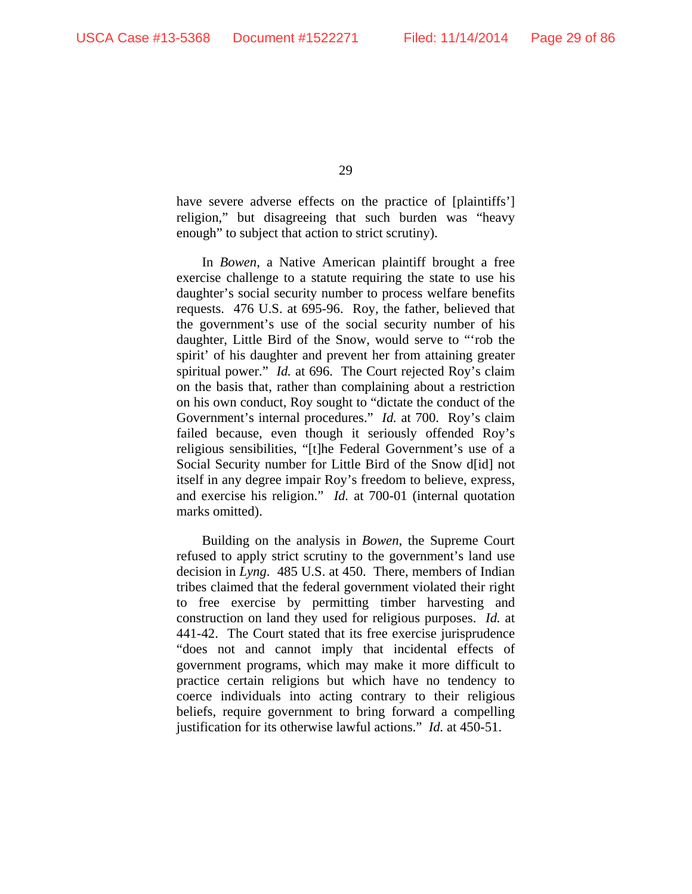have severe adverse effects on the practice of [plaintiffs'] religion," but disagreeing that such burden was "heavy enough" to subject that action to strict scrutiny).

In *Bowen*, a Native American plaintiff brought a free exercise challenge to a statute requiring the state to use his daughter's social security number to process welfare benefits requests. 476 U.S. at 695-96. Roy, the father, believed that the government's use of the social security number of his daughter, Little Bird of the Snow, would serve to "'rob the spirit' of his daughter and prevent her from attaining greater spiritual power." *Id.* at 696. The Court rejected Roy's claim on the basis that, rather than complaining about a restriction on his own conduct, Roy sought to "dictate the conduct of the Government's internal procedures." *Id.* at 700. Roy's claim failed because, even though it seriously offended Roy's religious sensibilities, "[t]he Federal Government's use of a Social Security number for Little Bird of the Snow d[id] not itself in any degree impair Roy's freedom to believe, express, and exercise his religion." *Id.* at 700-01 (internal quotation marks omitted).

Building on the analysis in *Bowen*, the Supreme Court refused to apply strict scrutiny to the government's land use decision in *Lyng*. 485 U.S. at 450. There, members of Indian tribes claimed that the federal government violated their right to free exercise by permitting timber harvesting and construction on land they used for religious purposes. *Id.* at 441-42. The Court stated that its free exercise jurisprudence "does not and cannot imply that incidental effects of government programs, which may make it more difficult to practice certain religions but which have no tendency to coerce individuals into acting contrary to their religious beliefs, require government to bring forward a compelling justification for its otherwise lawful actions." *Id.* at 450-51.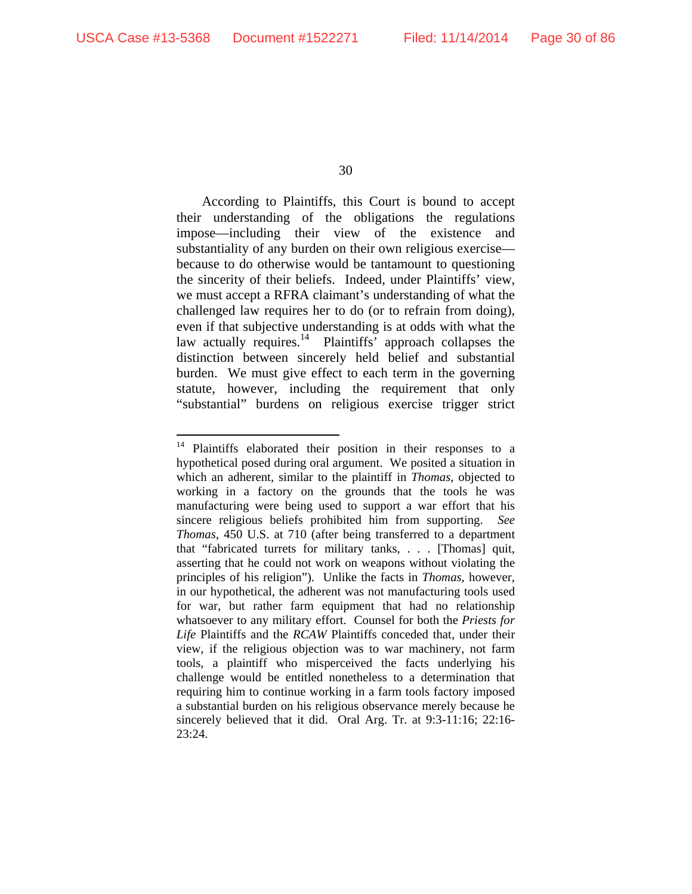30

According to Plaintiffs, this Court is bound to accept their understanding of the obligations the regulations impose—including their view of the existence and substantiality of any burden on their own religious exercise because to do otherwise would be tantamount to questioning the sincerity of their beliefs. Indeed, under Plaintiffs' view, we must accept a RFRA claimant's understanding of what the challenged law requires her to do (or to refrain from doing), even if that subjective understanding is at odds with what the law actually requires. $14$  Plaintiffs<sup>5</sup> approach collapses the distinction between sincerely held belief and substantial burden. We must give effect to each term in the governing statute, however, including the requirement that only "substantial" burdens on religious exercise trigger strict

Plaintiffs elaborated their position in their responses to a hypothetical posed during oral argument. We posited a situation in which an adherent, similar to the plaintiff in *Thomas*, objected to working in a factory on the grounds that the tools he was manufacturing were being used to support a war effort that his sincere religious beliefs prohibited him from supporting. *See Thomas*, 450 U.S. at 710 (after being transferred to a department that "fabricated turrets for military tanks, . . . [Thomas] quit, asserting that he could not work on weapons without violating the principles of his religion").Unlike the facts in *Thomas*, however, in our hypothetical, the adherent was not manufacturing tools used for war, but rather farm equipment that had no relationship whatsoever to any military effort. Counsel for both the *Priests for Life* Plaintiffs and the *RCAW* Plaintiffs conceded that, under their view, if the religious objection was to war machinery, not farm tools, a plaintiff who misperceived the facts underlying his challenge would be entitled nonetheless to a determination that requiring him to continue working in a farm tools factory imposed a substantial burden on his religious observance merely because he sincerely believed that it did. Oral Arg. Tr. at 9:3-11:16; 22:16- 23:24.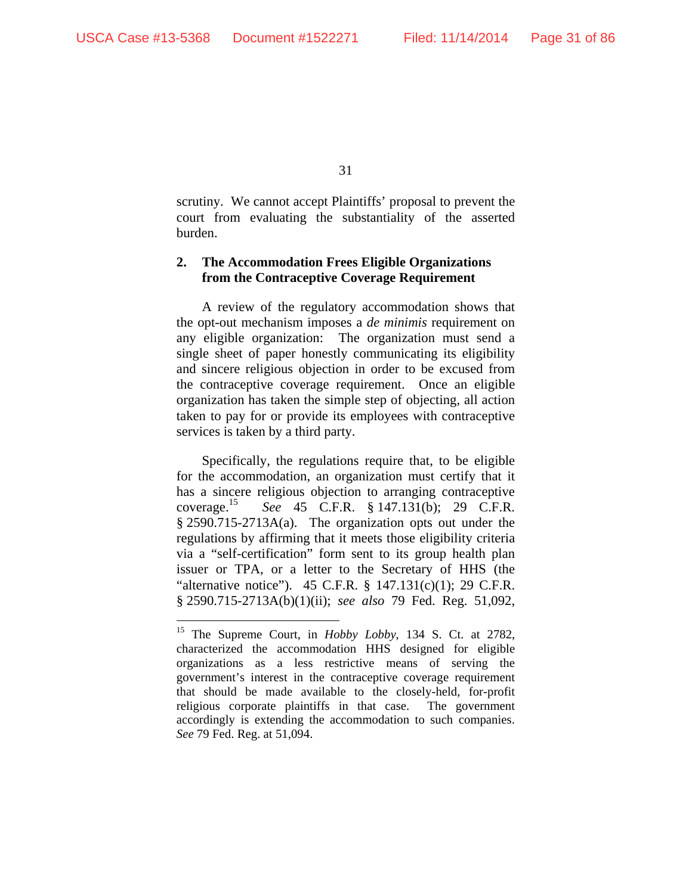31

scrutiny. We cannot accept Plaintiffs' proposal to prevent the court from evaluating the substantiality of the asserted burden.

# **2. The Accommodation Frees Eligible Organizations from the Contraceptive Coverage Requirement**

A review of the regulatory accommodation shows that the opt-out mechanism imposes a *de minimis* requirement on any eligible organization: The organization must send a single sheet of paper honestly communicating its eligibility and sincere religious objection in order to be excused from the contraceptive coverage requirement. Once an eligible organization has taken the simple step of objecting, all action taken to pay for or provide its employees with contraceptive services is taken by a third party.

Specifically, the regulations require that, to be eligible for the accommodation, an organization must certify that it has a sincere religious objection to arranging contraceptive coverage.15 *See* 45 C.F.R. § 147.131(b); 29 C.F.R. § 2590.715-2713A(a). The organization opts out under the regulations by affirming that it meets those eligibility criteria via a "self-certification" form sent to its group health plan issuer or TPA, or a letter to the Secretary of HHS (the "alternative notice"). 45 C.F.R.  $\S$  147.131(c)(1); 29 C.F.R. § 2590.715-2713A(b)(1)(ii); *see also* 79 Fed. Reg. 51,092,

<sup>15</sup> The Supreme Court, in *Hobby Lobby*, 134 S. Ct. at 2782, characterized the accommodation HHS designed for eligible organizations as a less restrictive means of serving the government's interest in the contraceptive coverage requirement that should be made available to the closely-held, for-profit religious corporate plaintiffs in that case. The government accordingly is extending the accommodation to such companies. *See* 79 Fed. Reg. at 51,094.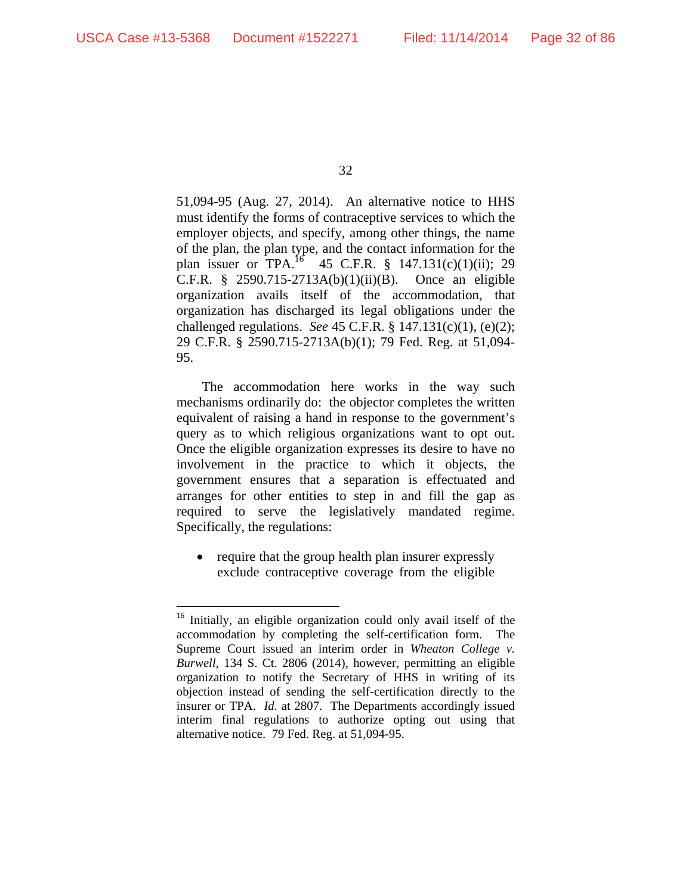32

51,094-95 (Aug. 27, 2014). An alternative notice to HHS must identify the forms of contraceptive services to which the employer objects, and specify, among other things, the name of the plan, the plan type, and the contact information for the plan issuer or TPA.<sup>16</sup> 45 C.F.R. § 147.131(c)(1)(ii); 29 C.F.R. § 2590.715-2713A(b)(1)(ii)(B). Once an eligible organization avails itself of the accommodation, that organization has discharged its legal obligations under the challenged regulations. *See* 45 C.F.R. § 147.131(c)(1), (e)(2); 29 C.F.R. § 2590.715-2713A(b)(1); 79 Fed. Reg. at 51,094- 95.

The accommodation here works in the way such mechanisms ordinarily do: the objector completes the written equivalent of raising a hand in response to the government's query as to which religious organizations want to opt out. Once the eligible organization expresses its desire to have no involvement in the practice to which it objects, the government ensures that a separation is effectuated and arranges for other entities to step in and fill the gap as required to serve the legislatively mandated regime. Specifically, the regulations:

• require that the group health plan insurer expressly exclude contraceptive coverage from the eligible

<sup>&</sup>lt;sup>16</sup> Initially, an eligible organization could only avail itself of the accommodation by completing the self-certification form. The Supreme Court issued an interim order in *Wheaton College v. Burwell*, 134 S. Ct. 2806 (2014), however, permitting an eligible organization to notify the Secretary of HHS in writing of its objection instead of sending the self-certification directly to the insurer or TPA. *Id.* at 2807. The Departments accordingly issued interim final regulations to authorize opting out using that alternative notice. 79 Fed. Reg. at 51,094-95.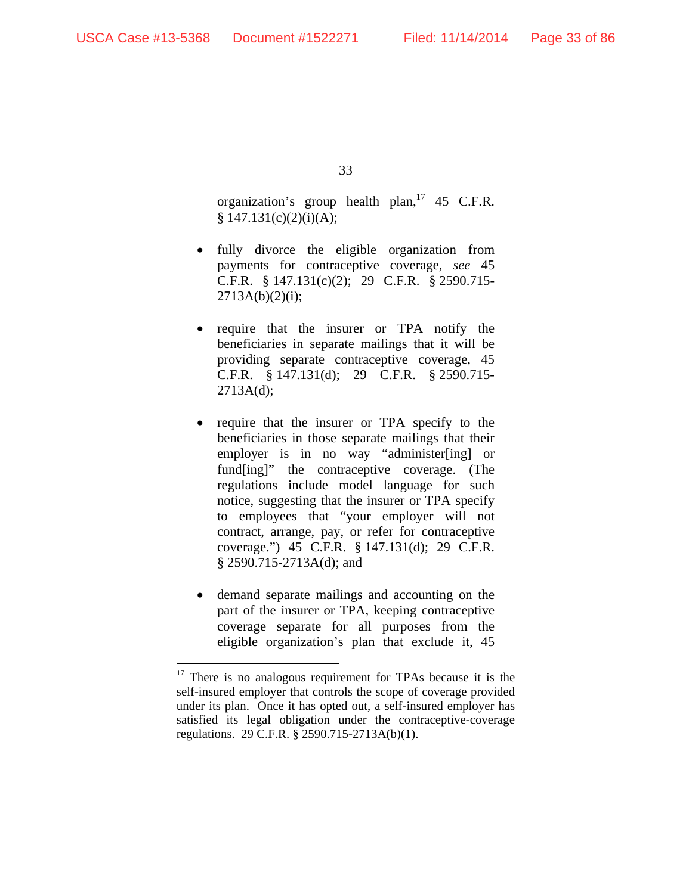33

organization's group health plan,  $17\,45$  C.F.R.  $§ 147.131(c)(2)(i)(A);$ 

- fully divorce the eligible organization from payments for contraceptive coverage, *see* 45 C.F.R. § 147.131(c)(2); 29 C.F.R. § 2590.715-  $2713A(b)(2)(i);$
- require that the insurer or TPA notify the beneficiaries in separate mailings that it will be providing separate contraceptive coverage, 45 C.F.R. § 147.131(d); 29 C.F.R. § 2590.715- 2713A(d);
- require that the insurer or TPA specify to the beneficiaries in those separate mailings that their employer is in no way "administer[ing] or fund[ing]" the contraceptive coverage. (The regulations include model language for such notice, suggesting that the insurer or TPA specify to employees that "your employer will not contract, arrange, pay, or refer for contraceptive coverage.") 45 C.F.R. § 147.131(d); 29 C.F.R. § 2590.715-2713A(d); and
- demand separate mailings and accounting on the part of the insurer or TPA, keeping contraceptive coverage separate for all purposes from the eligible organization's plan that exclude it, 45

<sup>&</sup>lt;sup>17</sup> There is no analogous requirement for TPAs because it is the self-insured employer that controls the scope of coverage provided under its plan. Once it has opted out, a self-insured employer has satisfied its legal obligation under the contraceptive-coverage regulations. 29 C.F.R. § 2590.715-2713A(b)(1).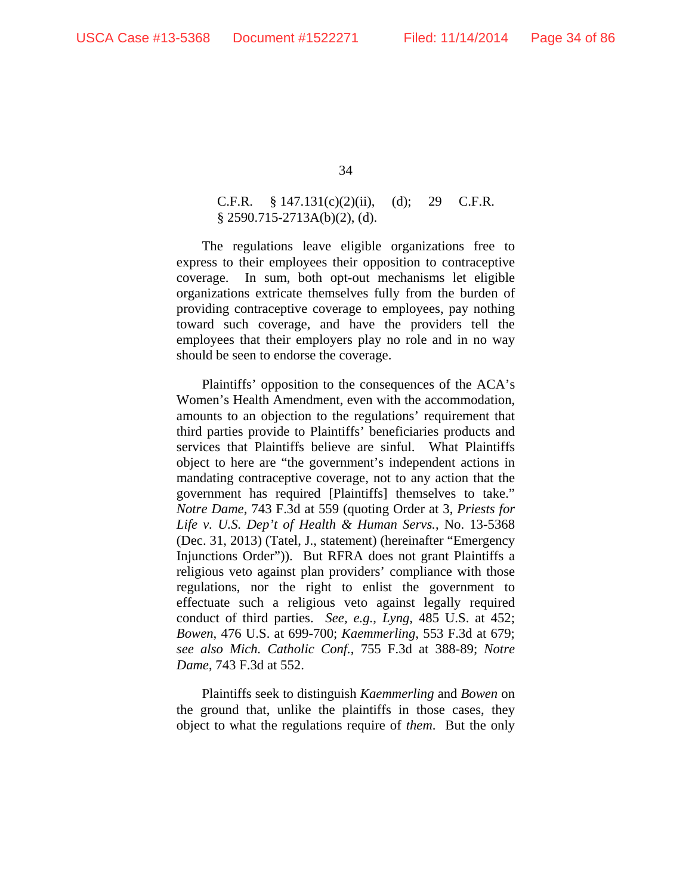# C.F.R.  $\S 147.131(c)(2)(ii)$ , (d); 29 C.F.R. § 2590.715-2713A(b)(2), (d).

The regulations leave eligible organizations free to express to their employees their opposition to contraceptive coverage. In sum, both opt-out mechanisms let eligible organizations extricate themselves fully from the burden of providing contraceptive coverage to employees, pay nothing toward such coverage, and have the providers tell the employees that their employers play no role and in no way should be seen to endorse the coverage.

Plaintiffs' opposition to the consequences of the ACA's Women's Health Amendment, even with the accommodation, amounts to an objection to the regulations' requirement that third parties provide to Plaintiffs' beneficiaries products and services that Plaintiffs believe are sinful. What Plaintiffs object to here are "the government's independent actions in mandating contraceptive coverage, not to any action that the government has required [Plaintiffs] themselves to take." *Notre Dame*, 743 F.3d at 559 (quoting Order at 3, *Priests for Life v. U.S. Dep't of Health & Human Servs.*, No. 13-5368 (Dec. 31, 2013) (Tatel, J., statement) (hereinafter "Emergency Injunctions Order")). But RFRA does not grant Plaintiffs a religious veto against plan providers' compliance with those regulations, nor the right to enlist the government to effectuate such a religious veto against legally required conduct of third parties. *See, e.g.*, *Lyng*, 485 U.S. at 452; *Bowen*, 476 U.S. at 699-700; *Kaemmerling*, 553 F.3d at 679; *see also Mich. Catholic Conf.*, 755 F.3d at 388-89; *Notre Dame*, 743 F.3d at 552.

Plaintiffs seek to distinguish *Kaemmerling* and *Bowen* on the ground that, unlike the plaintiffs in those cases, they object to what the regulations require of *them*. But the only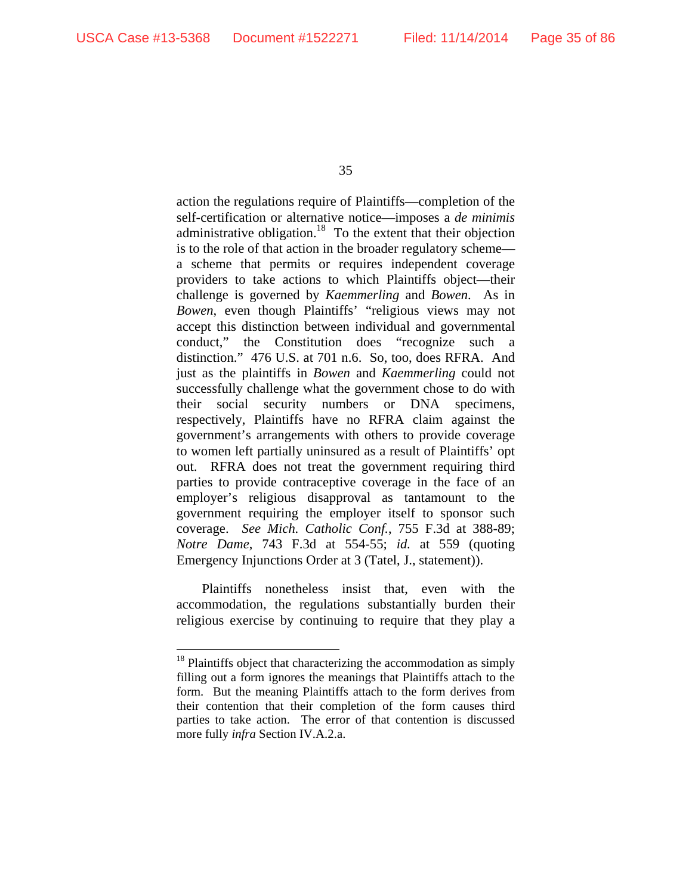35

action the regulations require of Plaintiffs—completion of the self-certification or alternative notice—imposes a *de minimis* administrative obligation.<sup>18</sup> To the extent that their objection is to the role of that action in the broader regulatory scheme a scheme that permits or requires independent coverage providers to take actions to which Plaintiffs object—their challenge is governed by *Kaemmerling* and *Bowen*. As in *Bowen*, even though Plaintiffs' "religious views may not accept this distinction between individual and governmental conduct," the Constitution does "recognize such a distinction." 476 U.S. at 701 n.6. So, too, does RFRA. And just as the plaintiffs in *Bowen* and *Kaemmerling* could not successfully challenge what the government chose to do with their social security numbers or DNA specimens, respectively, Plaintiffs have no RFRA claim against the government's arrangements with others to provide coverage to women left partially uninsured as a result of Plaintiffs' opt out. RFRA does not treat the government requiring third parties to provide contraceptive coverage in the face of an employer's religious disapproval as tantamount to the government requiring the employer itself to sponsor such coverage. *See Mich. Catholic Conf.*, 755 F.3d at 388-89; *Notre Dame*, 743 F.3d at 554-55; *id.* at 559 (quoting Emergency Injunctions Order at 3 (Tatel, J., statement)).

Plaintiffs nonetheless insist that, even with the accommodation, the regulations substantially burden their religious exercise by continuing to require that they play a

 $18$  Plaintiffs object that characterizing the accommodation as simply filling out a form ignores the meanings that Plaintiffs attach to the form. But the meaning Plaintiffs attach to the form derives from their contention that their completion of the form causes third parties to take action. The error of that contention is discussed more fully *infra* Section IV.A.2.a.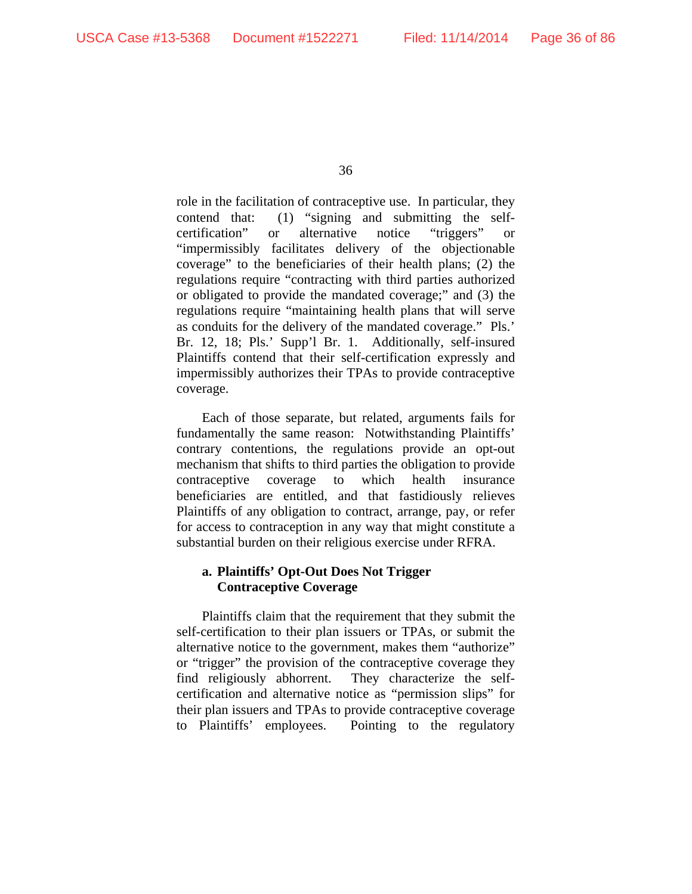role in the facilitation of contraceptive use. In particular, they contend that: (1) "signing and submitting the selfcertification" or alternative notice "triggers" or "impermissibly facilitates delivery of the objectionable coverage" to the beneficiaries of their health plans; (2) the regulations require "contracting with third parties authorized or obligated to provide the mandated coverage;" and (3) the regulations require "maintaining health plans that will serve as conduits for the delivery of the mandated coverage." Pls.' Br. 12, 18; Pls.' Supp'l Br. 1. Additionally, self-insured Plaintiffs contend that their self-certification expressly and impermissibly authorizes their TPAs to provide contraceptive coverage.

Each of those separate, but related, arguments fails for fundamentally the same reason: Notwithstanding Plaintiffs' contrary contentions, the regulations provide an opt-out mechanism that shifts to third parties the obligation to provide contraceptive coverage to which health insurance beneficiaries are entitled, and that fastidiously relieves Plaintiffs of any obligation to contract, arrange, pay, or refer for access to contraception in any way that might constitute a substantial burden on their religious exercise under RFRA.

# **a. Plaintiffs' Opt-Out Does Not Trigger Contraceptive Coverage**

Plaintiffs claim that the requirement that they submit the self-certification to their plan issuers or TPAs, or submit the alternative notice to the government, makes them "authorize" or "trigger" the provision of the contraceptive coverage they find religiously abhorrent. They characterize the selfcertification and alternative notice as "permission slips" for their plan issuers and TPAs to provide contraceptive coverage to Plaintiffs' employees. Pointing to the regulatory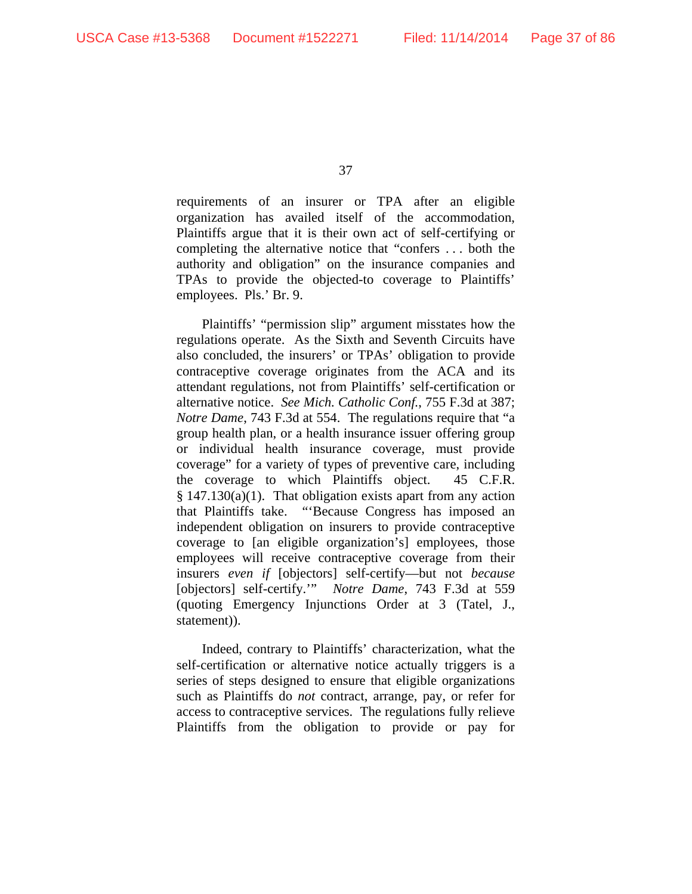requirements of an insurer or TPA after an eligible organization has availed itself of the accommodation, Plaintiffs argue that it is their own act of self-certifying or completing the alternative notice that "confers . . . both the authority and obligation" on the insurance companies and TPAs to provide the objected-to coverage to Plaintiffs' employees. Pls.' Br. 9.

Plaintiffs' "permission slip" argument misstates how the regulations operate. As the Sixth and Seventh Circuits have also concluded, the insurers' or TPAs' obligation to provide contraceptive coverage originates from the ACA and its attendant regulations, not from Plaintiffs' self-certification or alternative notice. *See Mich. Catholic Conf.*, 755 F.3d at 387; *Notre Dame*, 743 F.3d at 554. The regulations require that "a group health plan, or a health insurance issuer offering group or individual health insurance coverage, must provide coverage" for a variety of types of preventive care, including the coverage to which Plaintiffs object. 45 C.F.R. § 147.130(a)(1). That obligation exists apart from any action that Plaintiffs take. "'Because Congress has imposed an independent obligation on insurers to provide contraceptive coverage to [an eligible organization's] employees, those employees will receive contraceptive coverage from their insurers *even if* [objectors] self-certify—but not *because* [objectors] self-certify.'" *Notre Dame*, 743 F.3d at 559 (quoting Emergency Injunctions Order at 3 (Tatel, J., statement)).

Indeed, contrary to Plaintiffs' characterization, what the self-certification or alternative notice actually triggers is a series of steps designed to ensure that eligible organizations such as Plaintiffs do *not* contract, arrange, pay, or refer for access to contraceptive services. The regulations fully relieve Plaintiffs from the obligation to provide or pay for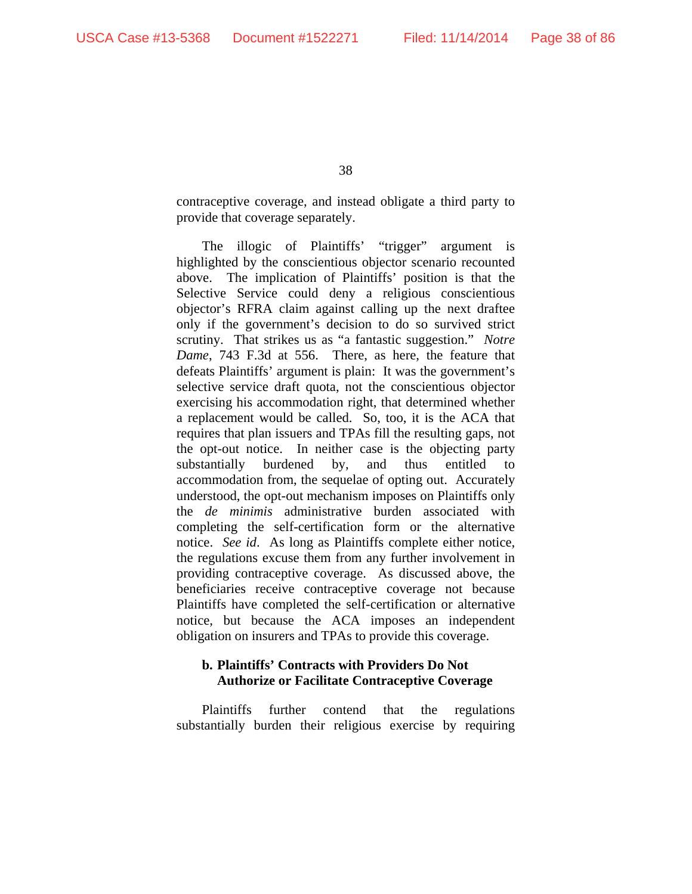contraceptive coverage, and instead obligate a third party to provide that coverage separately.

The illogic of Plaintiffs' "trigger" argument is highlighted by the conscientious objector scenario recounted above. The implication of Plaintiffs' position is that the Selective Service could deny a religious conscientious objector's RFRA claim against calling up the next draftee only if the government's decision to do so survived strict scrutiny. That strikes us as "a fantastic suggestion." *Notre Dame*, 743 F.3d at 556. There, as here, the feature that defeats Plaintiffs' argument is plain: It was the government's selective service draft quota, not the conscientious objector exercising his accommodation right, that determined whether a replacement would be called. So, too, it is the ACA that requires that plan issuers and TPAs fill the resulting gaps, not the opt-out notice. In neither case is the objecting party substantially burdened by, and thus entitled to accommodation from, the sequelae of opting out. Accurately understood, the opt-out mechanism imposes on Plaintiffs only the *de minimis* administrative burden associated with completing the self-certification form or the alternative notice. *See id*. As long as Plaintiffs complete either notice, the regulations excuse them from any further involvement in providing contraceptive coverage. As discussed above, the beneficiaries receive contraceptive coverage not because Plaintiffs have completed the self-certification or alternative notice, but because the ACA imposes an independent obligation on insurers and TPAs to provide this coverage.

## **b. Plaintiffs' Contracts with Providers Do Not Authorize or Facilitate Contraceptive Coverage**

Plaintiffs further contend that the regulations substantially burden their religious exercise by requiring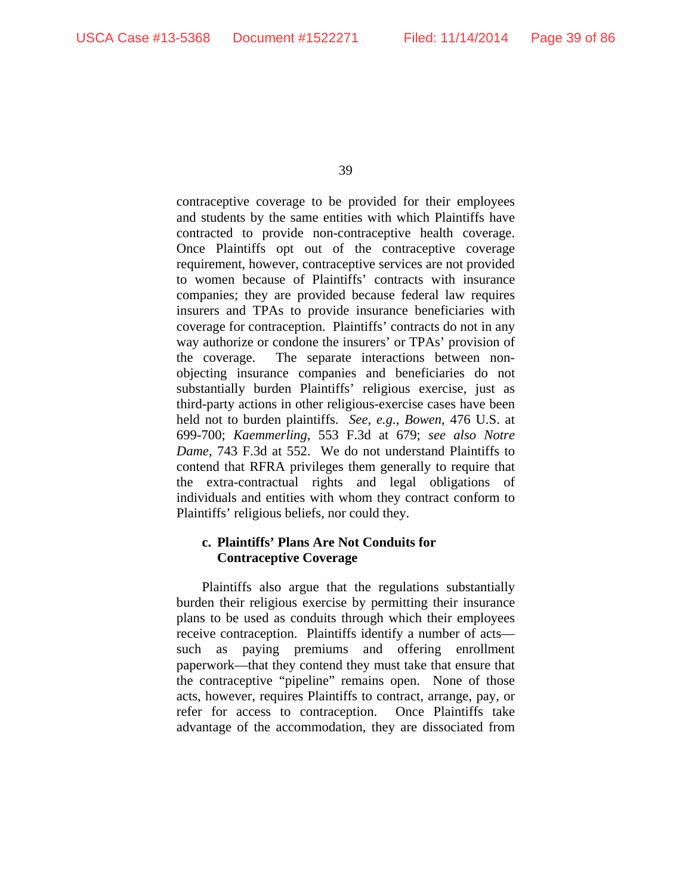contraceptive coverage to be provided for their employees and students by the same entities with which Plaintiffs have contracted to provide non-contraceptive health coverage. Once Plaintiffs opt out of the contraceptive coverage requirement, however, contraceptive services are not provided to women because of Plaintiffs' contracts with insurance companies; they are provided because federal law requires insurers and TPAs to provide insurance beneficiaries with coverage for contraception. Plaintiffs' contracts do not in any way authorize or condone the insurers' or TPAs' provision of the coverage. The separate interactions between nonobjecting insurance companies and beneficiaries do not substantially burden Plaintiffs' religious exercise, just as third-party actions in other religious-exercise cases have been held not to burden plaintiffs. *See, e.g.*, *Bowen*, 476 U.S. at 699-700; *Kaemmerling*, 553 F.3d at 679; *see also Notre Dame*, 743 F.3d at 552. We do not understand Plaintiffs to contend that RFRA privileges them generally to require that the extra-contractual rights and legal obligations of individuals and entities with whom they contract conform to Plaintiffs' religious beliefs, nor could they.

### **c. Plaintiffs' Plans Are Not Conduits for Contraceptive Coverage**

Plaintiffs also argue that the regulations substantially burden their religious exercise by permitting their insurance plans to be used as conduits through which their employees receive contraception. Plaintiffs identify a number of acts such as paying premiums and offering enrollment paperwork—that they contend they must take that ensure that the contraceptive "pipeline" remains open. None of those acts, however, requires Plaintiffs to contract, arrange, pay, or refer for access to contraception. Once Plaintiffs take advantage of the accommodation, they are dissociated from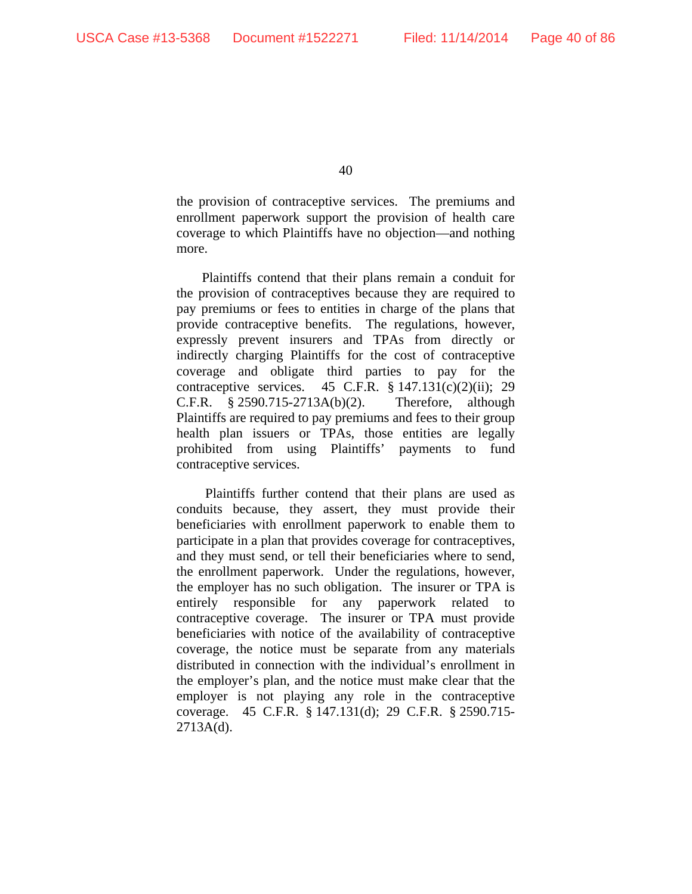the provision of contraceptive services. The premiums and enrollment paperwork support the provision of health care coverage to which Plaintiffs have no objection—and nothing more.

Plaintiffs contend that their plans remain a conduit for the provision of contraceptives because they are required to pay premiums or fees to entities in charge of the plans that provide contraceptive benefits. The regulations, however, expressly prevent insurers and TPAs from directly or indirectly charging Plaintiffs for the cost of contraceptive coverage and obligate third parties to pay for the contraceptive services. 45 C.F.R.  $\S$  147.131(c)(2)(ii); 29 C.F.R. § 2590.715-2713A(b)(2). Therefore, although Plaintiffs are required to pay premiums and fees to their group health plan issuers or TPAs, those entities are legally prohibited from using Plaintiffs' payments to fund contraceptive services.

 Plaintiffs further contend that their plans are used as conduits because, they assert, they must provide their beneficiaries with enrollment paperwork to enable them to participate in a plan that provides coverage for contraceptives, and they must send, or tell their beneficiaries where to send, the enrollment paperwork. Under the regulations, however, the employer has no such obligation. The insurer or TPA is entirely responsible for any paperwork related to contraceptive coverage. The insurer or TPA must provide beneficiaries with notice of the availability of contraceptive coverage, the notice must be separate from any materials distributed in connection with the individual's enrollment in the employer's plan, and the notice must make clear that the employer is not playing any role in the contraceptive coverage. 45 C.F.R. § 147.131(d); 29 C.F.R. § 2590.715-  $2713A(d)$ .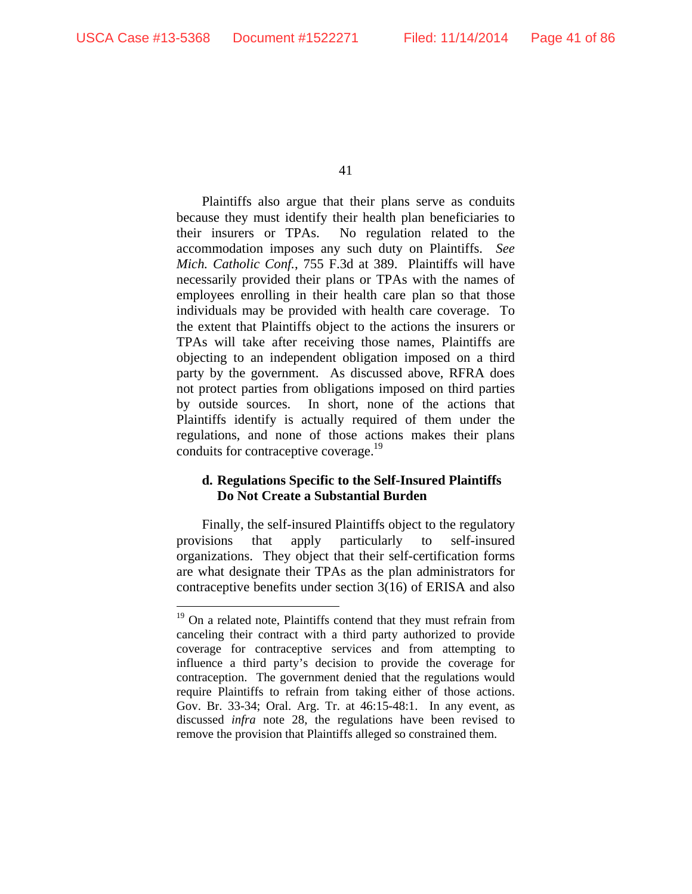$\overline{a}$ 

41

Plaintiffs also argue that their plans serve as conduits because they must identify their health plan beneficiaries to their insurers or TPAs. No regulation related to the accommodation imposes any such duty on Plaintiffs. *See Mich. Catholic Conf.*, 755 F.3d at 389. Plaintiffs will have necessarily provided their plans or TPAs with the names of employees enrolling in their health care plan so that those individuals may be provided with health care coverage. To the extent that Plaintiffs object to the actions the insurers or TPAs will take after receiving those names, Plaintiffs are objecting to an independent obligation imposed on a third party by the government. As discussed above, RFRA does not protect parties from obligations imposed on third parties by outside sources. In short, none of the actions that Plaintiffs identify is actually required of them under the regulations, and none of those actions makes their plans conduits for contraceptive coverage.<sup>19</sup>

## **d. Regulations Specific to the Self-Insured Plaintiffs Do Not Create a Substantial Burden**

Finally, the self-insured Plaintiffs object to the regulatory provisions that apply particularly to self-insured organizations. They object that their self-certification forms are what designate their TPAs as the plan administrators for contraceptive benefits under section 3(16) of ERISA and also

 $19$  On a related note, Plaintiffs contend that they must refrain from canceling their contract with a third party authorized to provide coverage for contraceptive services and from attempting to influence a third party's decision to provide the coverage for contraception. The government denied that the regulations would require Plaintiffs to refrain from taking either of those actions. Gov. Br. 33-34; Oral. Arg. Tr. at 46:15-48:1. In any event, as discussed *infra* note 28, the regulations have been revised to remove the provision that Plaintiffs alleged so constrained them.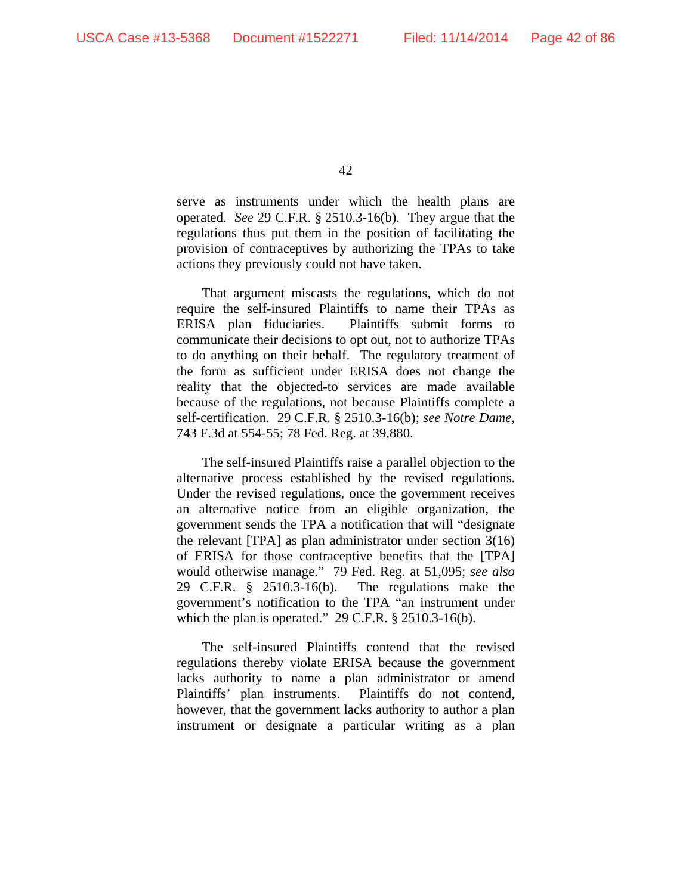serve as instruments under which the health plans are operated. *See* 29 C.F.R. § 2510.3-16(b). They argue that the regulations thus put them in the position of facilitating the provision of contraceptives by authorizing the TPAs to take actions they previously could not have taken.

That argument miscasts the regulations, which do not require the self-insured Plaintiffs to name their TPAs as ERISA plan fiduciaries. Plaintiffs submit forms to communicate their decisions to opt out, not to authorize TPAs to do anything on their behalf. The regulatory treatment of the form as sufficient under ERISA does not change the reality that the objected-to services are made available because of the regulations, not because Plaintiffs complete a self-certification. 29 C.F.R. § 2510.3-16(b); *see Notre Dame*, 743 F.3d at 554-55; 78 Fed. Reg. at 39,880.

The self-insured Plaintiffs raise a parallel objection to the alternative process established by the revised regulations. Under the revised regulations, once the government receives an alternative notice from an eligible organization, the government sends the TPA a notification that will "designate the relevant [TPA] as plan administrator under section 3(16) of ERISA for those contraceptive benefits that the [TPA] would otherwise manage." 79 Fed. Reg. at 51,095; *see also*  29 C.F.R. § 2510.3-16(b). The regulations make the government's notification to the TPA "an instrument under which the plan is operated." 29 C.F.R. § 2510.3-16(b).

The self-insured Plaintiffs contend that the revised regulations thereby violate ERISA because the government lacks authority to name a plan administrator or amend Plaintiffs' plan instruments. Plaintiffs do not contend, however, that the government lacks authority to author a plan instrument or designate a particular writing as a plan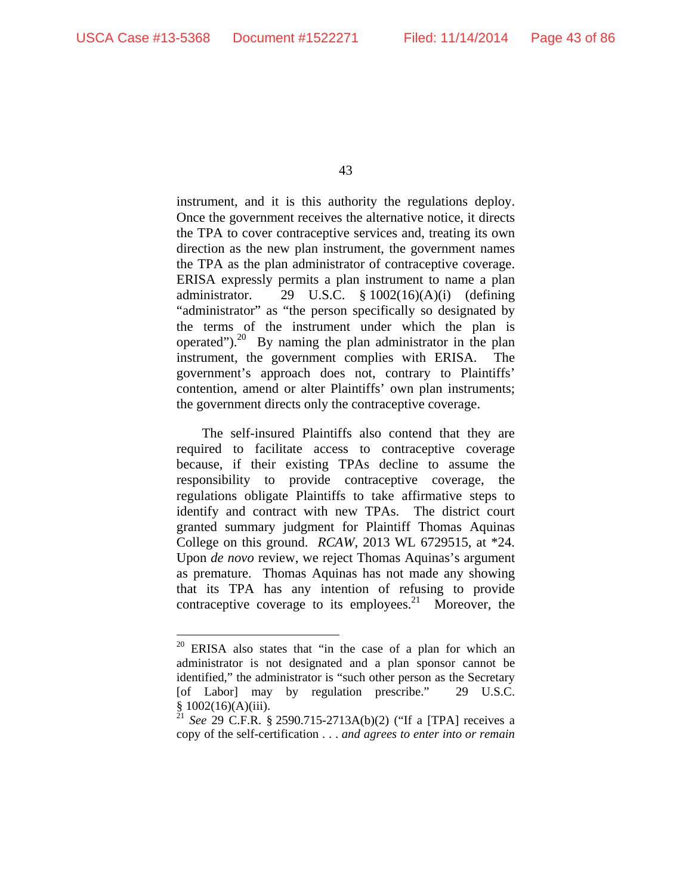$\overline{a}$ 

43

instrument, and it is this authority the regulations deploy. Once the government receives the alternative notice, it directs the TPA to cover contraceptive services and, treating its own direction as the new plan instrument, the government names the TPA as the plan administrator of contraceptive coverage. ERISA expressly permits a plan instrument to name a plan administrator. 29 U.S.C. § 1002(16)(A)(i) (defining "administrator" as "the person specifically so designated by the terms of the instrument under which the plan is operated"). $^{20}$  By naming the plan administrator in the plan instrument, the government complies with ERISA. The government's approach does not, contrary to Plaintiffs' contention, amend or alter Plaintiffs' own plan instruments; the government directs only the contraceptive coverage.

The self-insured Plaintiffs also contend that they are required to facilitate access to contraceptive coverage because, if their existing TPAs decline to assume the responsibility to provide contraceptive coverage, the regulations obligate Plaintiffs to take affirmative steps to identify and contract with new TPAs. The district court granted summary judgment for Plaintiff Thomas Aquinas College on this ground. *RCAW*, 2013 WL 6729515, at \*24. Upon *de novo* review, we reject Thomas Aquinas's argument as premature. Thomas Aquinas has not made any showing that its TPA has any intention of refusing to provide contraceptive coverage to its employees.<sup>21</sup> Moreover, the

<sup>&</sup>lt;sup>20</sup> ERISA also states that "in the case of a plan for which an administrator is not designated and a plan sponsor cannot be identified," the administrator is "such other person as the Secretary [of Labor] may by regulation prescribe." 29 U.S.C.  $$1002(16)(A)(iii).$ 

<sup>21</sup> *See* 29 C.F.R. § 2590.715-2713A(b)(2) ("If a [TPA] receives a copy of the self-certification . . . *and agrees to enter into or remain*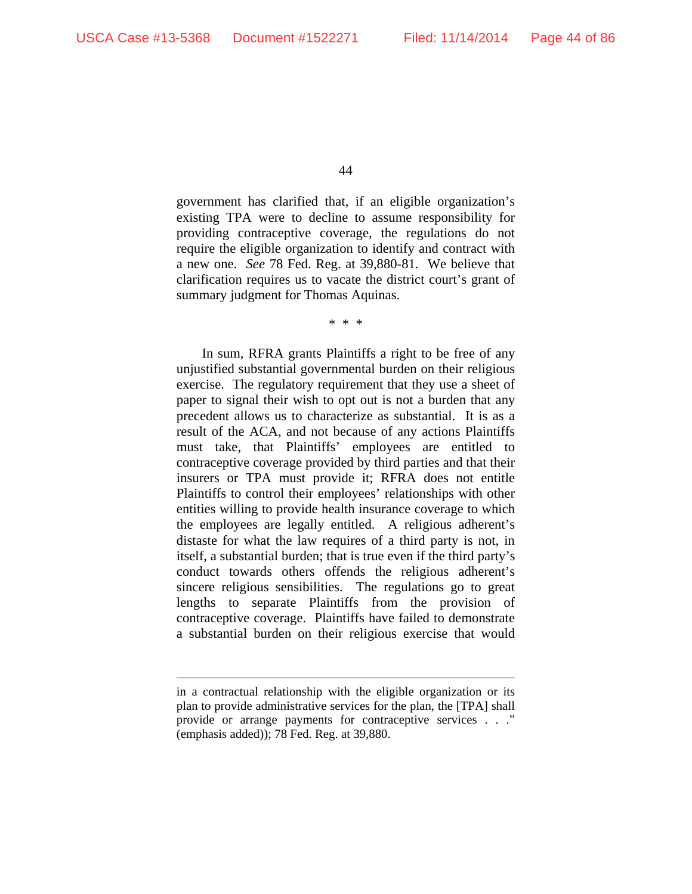$\overline{a}$ 

44

government has clarified that, if an eligible organization's existing TPA were to decline to assume responsibility for providing contraceptive coverage, the regulations do not require the eligible organization to identify and contract with a new one. *See* 78 Fed. Reg. at 39,880-81. We believe that clarification requires us to vacate the district court's grant of summary judgment for Thomas Aquinas.

\* \* \*

In sum, RFRA grants Plaintiffs a right to be free of any unjustified substantial governmental burden on their religious exercise. The regulatory requirement that they use a sheet of paper to signal their wish to opt out is not a burden that any precedent allows us to characterize as substantial. It is as a result of the ACA, and not because of any actions Plaintiffs must take, that Plaintiffs' employees are entitled to contraceptive coverage provided by third parties and that their insurers or TPA must provide it; RFRA does not entitle Plaintiffs to control their employees' relationships with other entities willing to provide health insurance coverage to which the employees are legally entitled. A religious adherent's distaste for what the law requires of a third party is not, in itself, a substantial burden; that is true even if the third party's conduct towards others offends the religious adherent's sincere religious sensibilities. The regulations go to great lengths to separate Plaintiffs from the provision of contraceptive coverage. Plaintiffs have failed to demonstrate a substantial burden on their religious exercise that would

in a contractual relationship with the eligible organization or its plan to provide administrative services for the plan, the [TPA] shall provide or arrange payments for contraceptive services . . ." (emphasis added)); 78 Fed. Reg. at 39,880.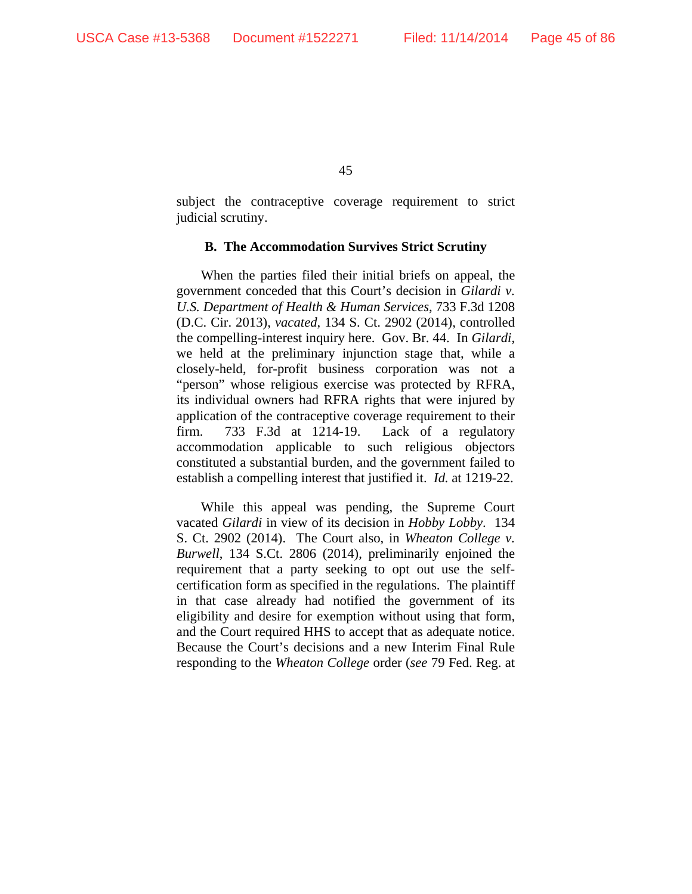subject the contraceptive coverage requirement to strict judicial scrutiny.

#### **B. The Accommodation Survives Strict Scrutiny**

When the parties filed their initial briefs on appeal, the government conceded that this Court's decision in *Gilardi v. U.S. Department of Health & Human Services*, 733 F.3d 1208 (D.C. Cir. 2013), *vacated*, 134 S. Ct. 2902 (2014), controlled the compelling-interest inquiry here. Gov. Br. 44. In *Gilardi*, we held at the preliminary injunction stage that, while a closely-held, for-profit business corporation was not a "person" whose religious exercise was protected by RFRA, its individual owners had RFRA rights that were injured by application of the contraceptive coverage requirement to their firm. 733 F.3d at 1214-19. Lack of a regulatory accommodation applicable to such religious objectors constituted a substantial burden, and the government failed to establish a compelling interest that justified it. *Id.* at 1219-22.

While this appeal was pending, the Supreme Court vacated *Gilardi* in view of its decision in *Hobby Lobby*. 134 S. Ct. 2902 (2014). The Court also, in *Wheaton College v. Burwell*, 134 S.Ct. 2806 (2014), preliminarily enjoined the requirement that a party seeking to opt out use the selfcertification form as specified in the regulations. The plaintiff in that case already had notified the government of its eligibility and desire for exemption without using that form, and the Court required HHS to accept that as adequate notice. Because the Court's decisions and a new Interim Final Rule responding to the *Wheaton College* order (*see* 79 Fed. Reg. at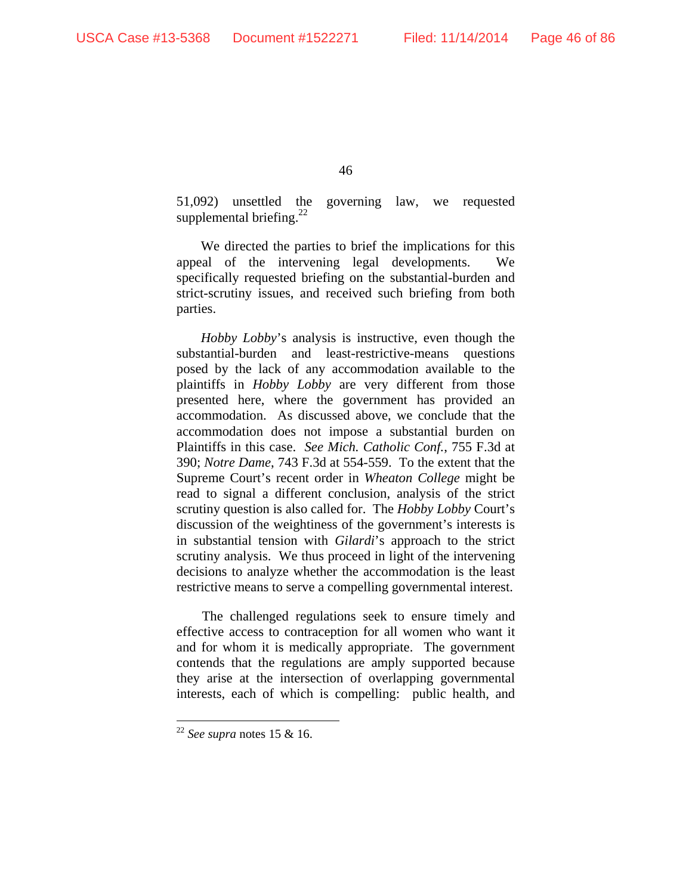51,092) unsettled the governing law, we requested supplemental briefing. $^{22}$ 

We directed the parties to brief the implications for this appeal of the intervening legal developments. We specifically requested briefing on the substantial-burden and strict-scrutiny issues, and received such briefing from both parties.

*Hobby Lobby*'s analysis is instructive, even though the substantial-burden and least-restrictive-means questions posed by the lack of any accommodation available to the plaintiffs in *Hobby Lobby* are very different from those presented here, where the government has provided an accommodation. As discussed above, we conclude that the accommodation does not impose a substantial burden on Plaintiffs in this case. *See Mich. Catholic Conf.*, 755 F.3d at 390; *Notre Dame*, 743 F.3d at 554-559. To the extent that the Supreme Court's recent order in *Wheaton College* might be read to signal a different conclusion, analysis of the strict scrutiny question is also called for. The *Hobby Lobby* Court's discussion of the weightiness of the government's interests is in substantial tension with *Gilardi*'s approach to the strict scrutiny analysis. We thus proceed in light of the intervening decisions to analyze whether the accommodation is the least restrictive means to serve a compelling governmental interest.

The challenged regulations seek to ensure timely and effective access to contraception for all women who want it and for whom it is medically appropriate. The government contends that the regulations are amply supported because they arise at the intersection of overlapping governmental interests, each of which is compelling: public health, and

 $\overline{a}$ 

<sup>22</sup> *See supra* notes 15 & 16.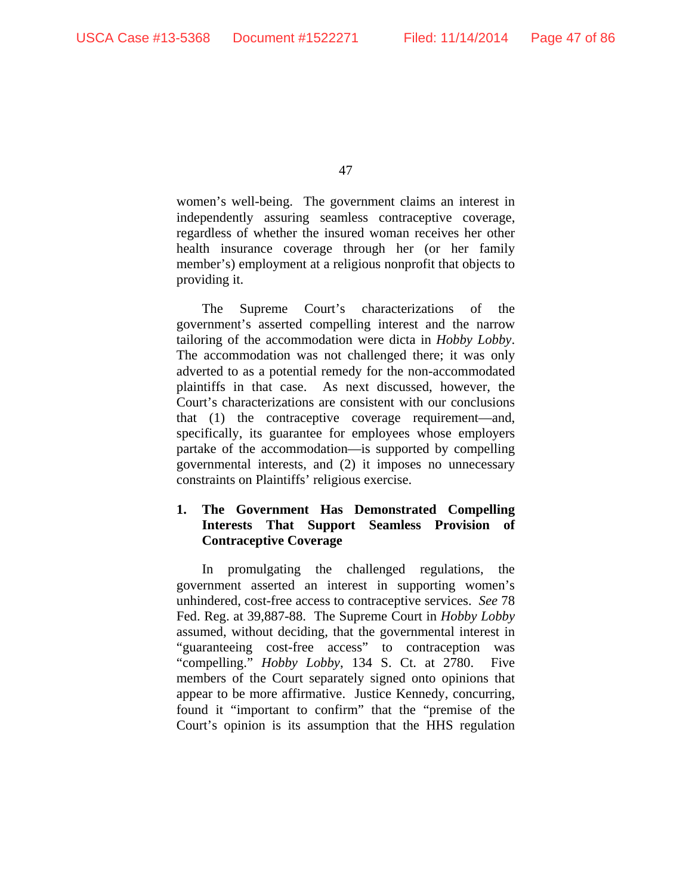women's well-being. The government claims an interest in independently assuring seamless contraceptive coverage, regardless of whether the insured woman receives her other health insurance coverage through her (or her family member's) employment at a religious nonprofit that objects to providing it.

The Supreme Court's characterizations of the government's asserted compelling interest and the narrow tailoring of the accommodation were dicta in *Hobby Lobby*. The accommodation was not challenged there; it was only adverted to as a potential remedy for the non-accommodated plaintiffs in that case. As next discussed, however, the Court's characterizations are consistent with our conclusions that (1) the contraceptive coverage requirement—and, specifically, its guarantee for employees whose employers partake of the accommodation—is supported by compelling governmental interests, and (2) it imposes no unnecessary constraints on Plaintiffs' religious exercise.

## **1. The Government Has Demonstrated Compelling Interests That Support Seamless Provision of Contraceptive Coverage**

In promulgating the challenged regulations, the government asserted an interest in supporting women's unhindered, cost-free access to contraceptive services. *See* 78 Fed. Reg. at 39,887-88. The Supreme Court in *Hobby Lobby* assumed, without deciding, that the governmental interest in "guaranteeing cost-free access" to contraception was "compelling." *Hobby Lobby*, 134 S. Ct. at 2780. Five members of the Court separately signed onto opinions that appear to be more affirmative. Justice Kennedy, concurring, found it "important to confirm" that the "premise of the Court's opinion is its assumption that the HHS regulation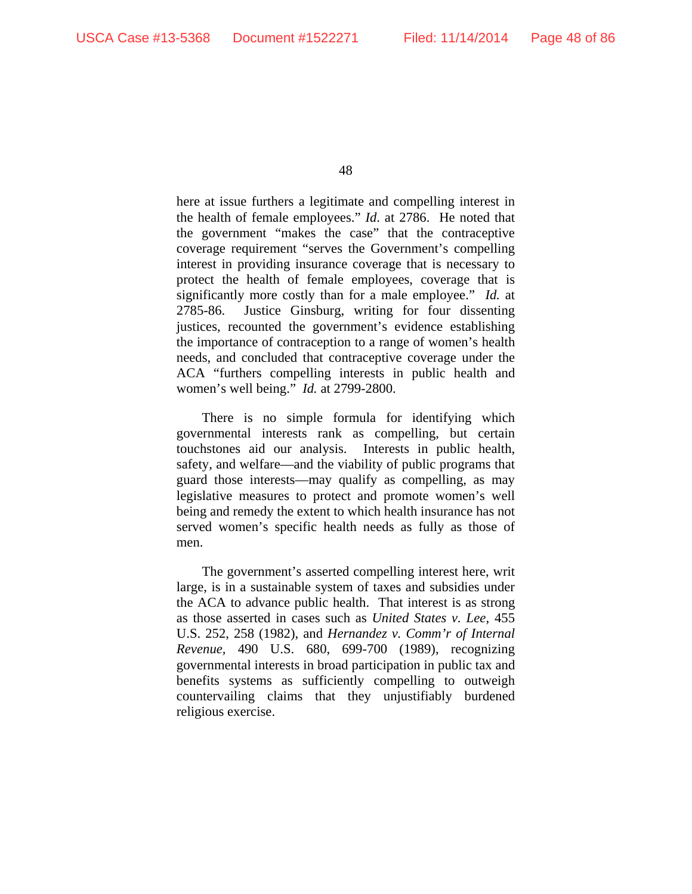here at issue furthers a legitimate and compelling interest in the health of female employees." *Id*. at 2786. He noted that the government "makes the case" that the contraceptive coverage requirement "serves the Government's compelling interest in providing insurance coverage that is necessary to protect the health of female employees, coverage that is significantly more costly than for a male employee." *Id.* at 2785-86. Justice Ginsburg, writing for four dissenting justices, recounted the government's evidence establishing the importance of contraception to a range of women's health needs, and concluded that contraceptive coverage under the ACA "furthers compelling interests in public health and women's well being." *Id.* at 2799-2800.

There is no simple formula for identifying which governmental interests rank as compelling, but certain touchstones aid our analysis. Interests in public health, safety, and welfare—and the viability of public programs that guard those interests—may qualify as compelling, as may legislative measures to protect and promote women's well being and remedy the extent to which health insurance has not served women's specific health needs as fully as those of men.

The government's asserted compelling interest here, writ large, is in a sustainable system of taxes and subsidies under the ACA to advance public health. That interest is as strong as those asserted in cases such as *United States v. Lee*, 455 U.S. 252, 258 (1982), and *Hernandez v. Comm'r of Internal Revenue,* 490 U.S. 680, 699-700 (1989), recognizing governmental interests in broad participation in public tax and benefits systems as sufficiently compelling to outweigh countervailing claims that they unjustifiably burdened religious exercise.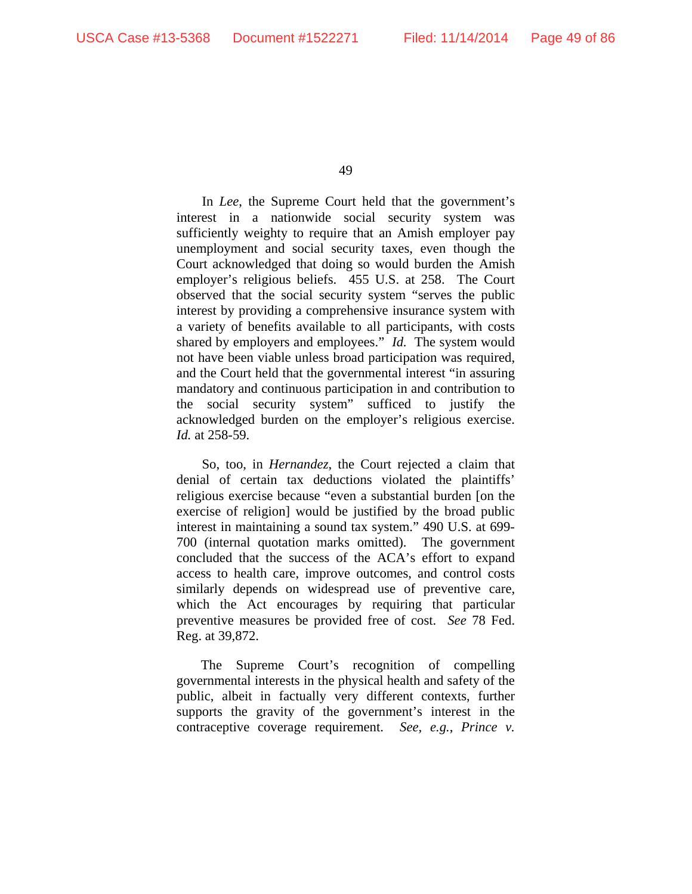In *Lee*, the Supreme Court held that the government's interest in a nationwide social security system was sufficiently weighty to require that an Amish employer pay unemployment and social security taxes, even though the Court acknowledged that doing so would burden the Amish employer's religious beliefs. 455 U.S. at 258. The Court observed that the social security system "serves the public interest by providing a comprehensive insurance system with a variety of benefits available to all participants, with costs shared by employers and employees." *Id.* The system would not have been viable unless broad participation was required, and the Court held that the governmental interest "in assuring mandatory and continuous participation in and contribution to the social security system" sufficed to justify the acknowledged burden on the employer's religious exercise. *Id.* at 258-59.

So, too, in *Hernandez*, the Court rejected a claim that denial of certain tax deductions violated the plaintiffs' religious exercise because "even a substantial burden [on the exercise of religion] would be justified by the broad public interest in maintaining a sound tax system." 490 U.S. at 699- 700 (internal quotation marks omitted). The government concluded that the success of the ACA's effort to expand access to health care, improve outcomes, and control costs similarly depends on widespread use of preventive care, which the Act encourages by requiring that particular preventive measures be provided free of cost. *See* 78 Fed. Reg. at 39,872.

The Supreme Court's recognition of compelling governmental interests in the physical health and safety of the public, albeit in factually very different contexts, further supports the gravity of the government's interest in the contraceptive coverage requirement. *See, e.g.*, *Prince v.*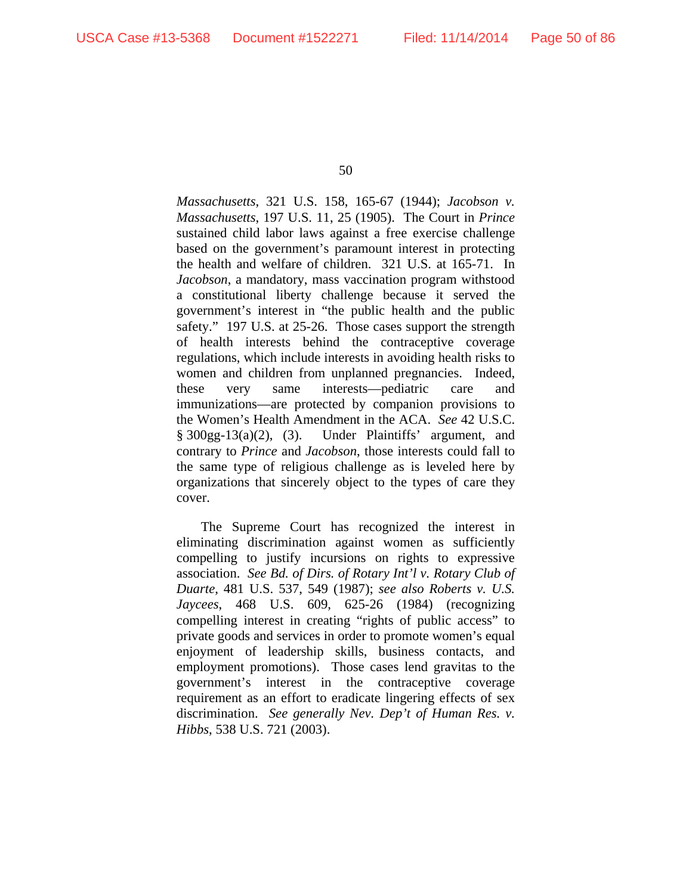*Massachusetts*, 321 U.S. 158, 165-67 (1944); *Jacobson v. Massachusetts*, 197 U.S. 11, 25 (1905). The Court in *Prince* sustained child labor laws against a free exercise challenge based on the government's paramount interest in protecting the health and welfare of children. 321 U.S. at 165-71. In *Jacobson*, a mandatory, mass vaccination program withstood a constitutional liberty challenge because it served the government's interest in "the public health and the public safety." 197 U.S. at 25-26. Those cases support the strength of health interests behind the contraceptive coverage regulations, which include interests in avoiding health risks to women and children from unplanned pregnancies. Indeed, these very same interests—pediatric care and immunizations—are protected by companion provisions to the Women's Health Amendment in the ACA. *See* 42 U.S.C.  $§ 300gg-13(a)(2)$ , (3). Under Plaintiffs' argument, and contrary to *Prince* and *Jacobson*, those interests could fall to the same type of religious challenge as is leveled here by organizations that sincerely object to the types of care they cover.

The Supreme Court has recognized the interest in eliminating discrimination against women as sufficiently compelling to justify incursions on rights to expressive association. *See Bd. of Dirs. of Rotary Int'l v. Rotary Club of Duarte*, 481 U.S. 537, 549 (1987); *see also Roberts v. U.S. Jaycees*, 468 U.S. 609, 625-26 (1984) (recognizing compelling interest in creating "rights of public access" to private goods and services in order to promote women's equal enjoyment of leadership skills, business contacts, and employment promotions). Those cases lend gravitas to the government's interest in the contraceptive coverage requirement as an effort to eradicate lingering effects of sex discrimination. *See generally Nev. Dep't of Human Res. v. Hibbs*, 538 U.S. 721 (2003).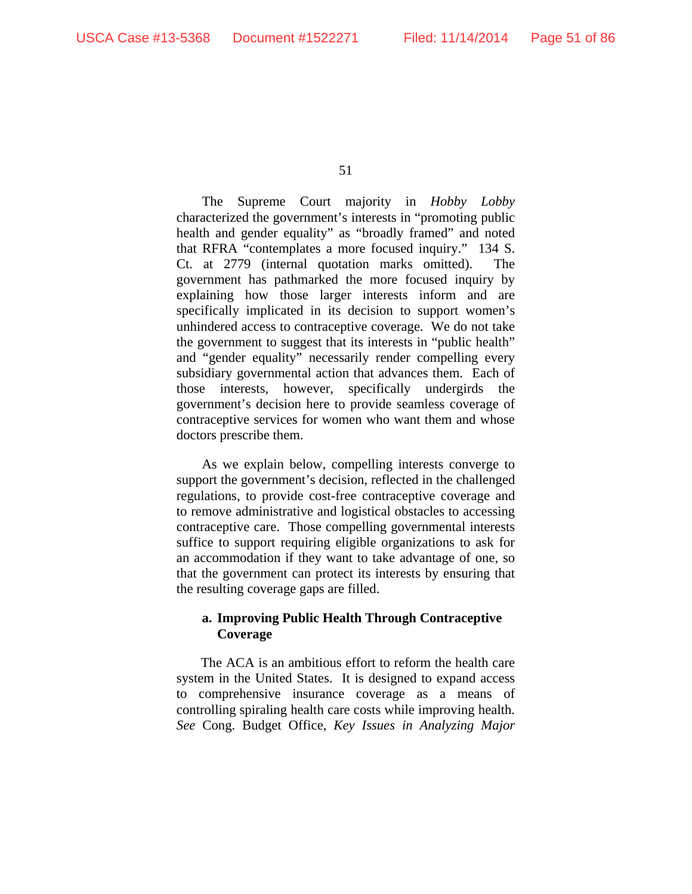The Supreme Court majority in *Hobby Lobby* characterized the government's interests in "promoting public health and gender equality" as "broadly framed" and noted that RFRA "contemplates a more focused inquiry." 134 S. Ct. at 2779 (internal quotation marks omitted). The government has pathmarked the more focused inquiry by explaining how those larger interests inform and are specifically implicated in its decision to support women's unhindered access to contraceptive coverage. We do not take the government to suggest that its interests in "public health" and "gender equality" necessarily render compelling every subsidiary governmental action that advances them. Each of those interests, however, specifically undergirds the government's decision here to provide seamless coverage of contraceptive services for women who want them and whose doctors prescribe them.

As we explain below, compelling interests converge to support the government's decision, reflected in the challenged regulations, to provide cost-free contraceptive coverage and to remove administrative and logistical obstacles to accessing contraceptive care. Those compelling governmental interests suffice to support requiring eligible organizations to ask for an accommodation if they want to take advantage of one, so that the government can protect its interests by ensuring that the resulting coverage gaps are filled.

### **a. Improving Public Health Through Contraceptive Coverage**

The ACA is an ambitious effort to reform the health care system in the United States. It is designed to expand access to comprehensive insurance coverage as a means of controlling spiraling health care costs while improving health. *See* Cong. Budget Office, *Key Issues in Analyzing Major*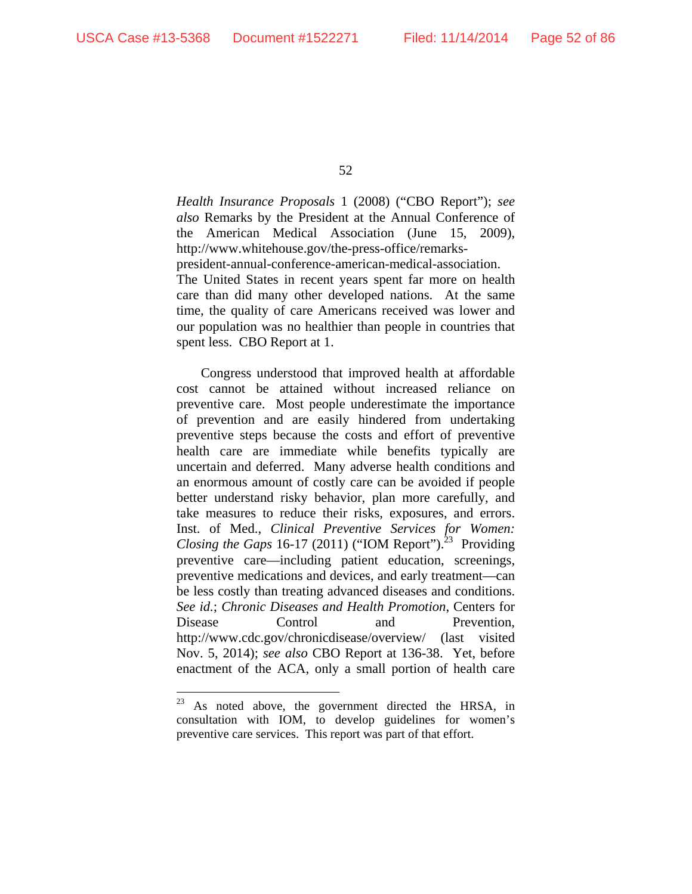$\overline{a}$ 

52

*Health Insurance Proposals* 1 (2008) ("CBO Report"); *see also* Remarks by the President at the Annual Conference of the American Medical Association (June 15, 2009), http://www.whitehouse.gov/the-press-office/remarkspresident-annual-conference-american-medical-association. The United States in recent years spent far more on health care than did many other developed nations. At the same time, the quality of care Americans received was lower and our population was no healthier than people in countries that spent less. CBO Report at 1.

Congress understood that improved health at affordable cost cannot be attained without increased reliance on preventive care. Most people underestimate the importance of prevention and are easily hindered from undertaking preventive steps because the costs and effort of preventive health care are immediate while benefits typically are uncertain and deferred. Many adverse health conditions and an enormous amount of costly care can be avoided if people better understand risky behavior, plan more carefully, and take measures to reduce their risks, exposures, and errors. Inst. of Med., *Clinical Preventive Services for Women: Closing the Gaps* 16-17 (2011) ("IOM Report").<sup>23</sup> Providing preventive care—including patient education, screenings, preventive medications and devices, and early treatment—can be less costly than treating advanced diseases and conditions. *See id.*; *Chronic Diseases and Health Promotion*, Centers for Disease Control and Prevention, http://www.cdc.gov/chronicdisease/overview/ (last visited Nov. 5, 2014); *see also* CBO Report at 136-38. Yet, before enactment of the ACA, only a small portion of health care

<sup>&</sup>lt;sup>23</sup> As noted above, the government directed the HRSA, in consultation with IOM, to develop guidelines for women's preventive care services. This report was part of that effort.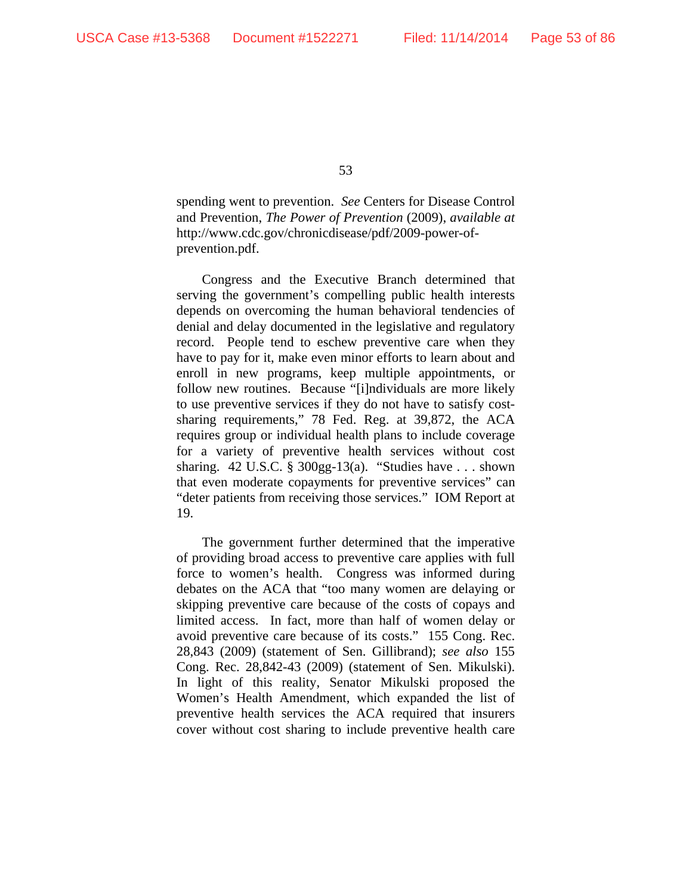spending went to prevention. *See* Centers for Disease Control and Prevention, *The Power of Prevention* (2009), *available at* http://www.cdc.gov/chronicdisease/pdf/2009-power-ofprevention.pdf.

Congress and the Executive Branch determined that serving the government's compelling public health interests depends on overcoming the human behavioral tendencies of denial and delay documented in the legislative and regulatory record. People tend to eschew preventive care when they have to pay for it, make even minor efforts to learn about and enroll in new programs, keep multiple appointments, or follow new routines. Because "[i]ndividuals are more likely to use preventive services if they do not have to satisfy costsharing requirements," 78 Fed. Reg. at 39,872, the ACA requires group or individual health plans to include coverage for a variety of preventive health services without cost sharing. 42 U.S.C. § 300gg-13(a). "Studies have  $\dots$  shown that even moderate copayments for preventive services" can "deter patients from receiving those services." IOM Report at 19.

The government further determined that the imperative of providing broad access to preventive care applies with full force to women's health. Congress was informed during debates on the ACA that "too many women are delaying or skipping preventive care because of the costs of copays and limited access. In fact, more than half of women delay or avoid preventive care because of its costs." 155 Cong. Rec. 28,843 (2009) (statement of Sen. Gillibrand); *see also* 155 Cong. Rec. 28,842-43 (2009) (statement of Sen. Mikulski). In light of this reality, Senator Mikulski proposed the Women's Health Amendment, which expanded the list of preventive health services the ACA required that insurers cover without cost sharing to include preventive health care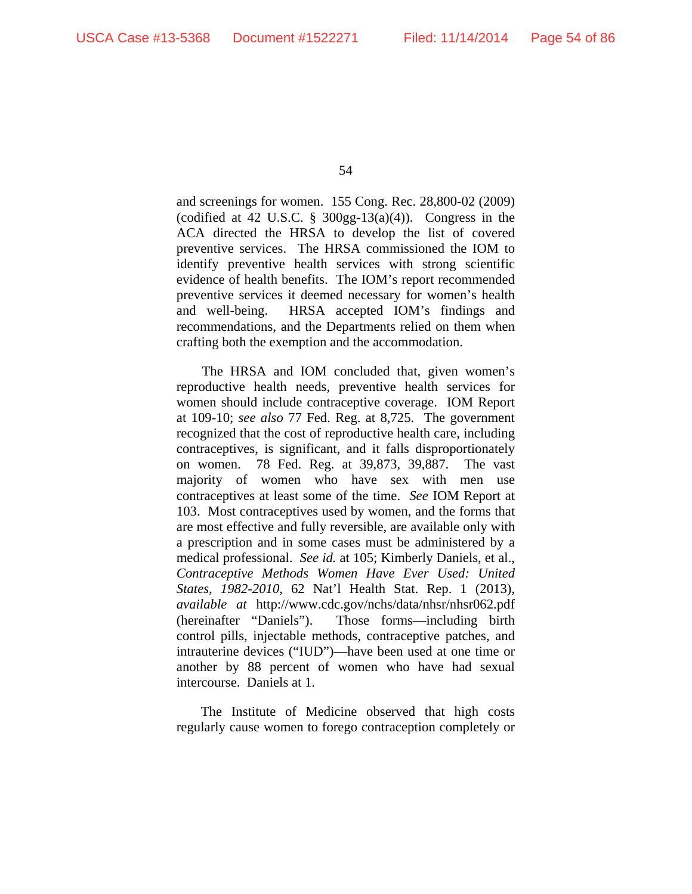and screenings for women. 155 Cong. Rec. 28,800-02 (2009) (codified at 42 U.S.C.  $\S$  300gg-13(a)(4)). Congress in the ACA directed the HRSA to develop the list of covered preventive services. The HRSA commissioned the IOM to identify preventive health services with strong scientific evidence of health benefits. The IOM's report recommended preventive services it deemed necessary for women's health and well-being. HRSA accepted IOM's findings and recommendations, and the Departments relied on them when crafting both the exemption and the accommodation.

The HRSA and IOM concluded that, given women's reproductive health needs, preventive health services for women should include contraceptive coverage. IOM Report at 109-10; *see also* 77 Fed. Reg. at 8,725. The government recognized that the cost of reproductive health care, including contraceptives, is significant, and it falls disproportionately on women. 78 Fed. Reg. at 39,873, 39,887. The vast majority of women who have sex with men use contraceptives at least some of the time. *See* IOM Report at 103. Most contraceptives used by women, and the forms that are most effective and fully reversible, are available only with a prescription and in some cases must be administered by a medical professional. *See id.* at 105; Kimberly Daniels, et al., *Contraceptive Methods Women Have Ever Used: United States, 1982-2010*, 62 Nat'l Health Stat. Rep. 1 (2013), *available at* http://www.cdc.gov/nchs/data/nhsr/nhsr062.pdf (hereinafter "Daniels"). Those forms—including birth control pills, injectable methods, contraceptive patches, and intrauterine devices ("IUD")—have been used at one time or another by 88 percent of women who have had sexual intercourse. Daniels at 1.

The Institute of Medicine observed that high costs regularly cause women to forego contraception completely or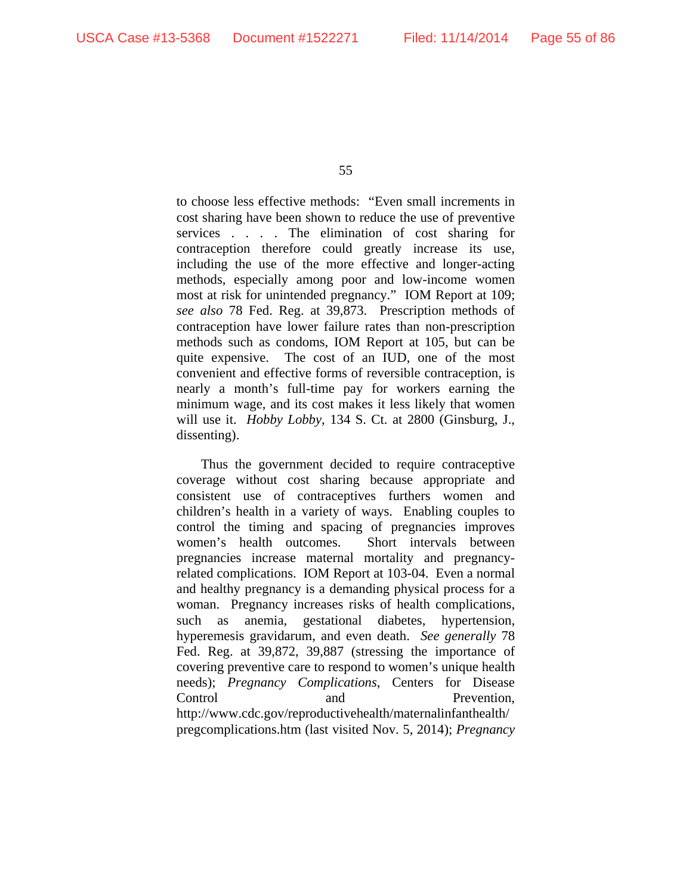to choose less effective methods: "Even small increments in cost sharing have been shown to reduce the use of preventive services . . . . The elimination of cost sharing for contraception therefore could greatly increase its use, including the use of the more effective and longer-acting methods, especially among poor and low-income women most at risk for unintended pregnancy." IOM Report at 109; *see also* 78 Fed. Reg. at 39,873. Prescription methods of contraception have lower failure rates than non-prescription methods such as condoms, IOM Report at 105, but can be quite expensive. The cost of an IUD, one of the most convenient and effective forms of reversible contraception, is nearly a month's full-time pay for workers earning the minimum wage, and its cost makes it less likely that women will use it. *Hobby Lobby*, 134 S. Ct. at 2800 (Ginsburg, J., dissenting).

Thus the government decided to require contraceptive coverage without cost sharing because appropriate and consistent use of contraceptives furthers women and children's health in a variety of ways. Enabling couples to control the timing and spacing of pregnancies improves women's health outcomes. Short intervals between pregnancies increase maternal mortality and pregnancyrelated complications. IOM Report at 103-04. Even a normal and healthy pregnancy is a demanding physical process for a woman. Pregnancy increases risks of health complications, such as anemia, gestational diabetes, hypertension, hyperemesis gravidarum, and even death. *See generally* 78 Fed. Reg. at 39,872, 39,887 (stressing the importance of covering preventive care to respond to women's unique health needs); *Pregnancy Complications*, Centers for Disease Control and Prevention, http://www.cdc.gov/reproductivehealth/maternalinfanthealth/ pregcomplications.htm (last visited Nov. 5, 2014); *Pregnancy*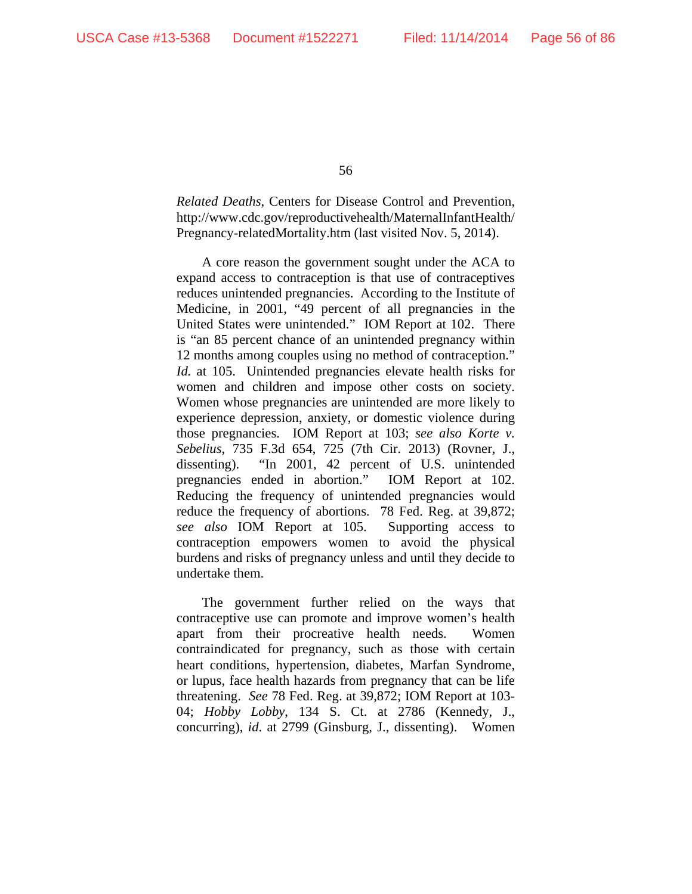*Related Deaths*, Centers for Disease Control and Prevention, http://www.cdc.gov/reproductivehealth/MaternalInfantHealth/ Pregnancy-relatedMortality.htm (last visited Nov. 5, 2014).

A core reason the government sought under the ACA to expand access to contraception is that use of contraceptives reduces unintended pregnancies. According to the Institute of Medicine, in 2001, "49 percent of all pregnancies in the United States were unintended." IOM Report at 102. There is "an 85 percent chance of an unintended pregnancy within 12 months among couples using no method of contraception." *Id.* at 105. Unintended pregnancies elevate health risks for women and children and impose other costs on society. Women whose pregnancies are unintended are more likely to experience depression, anxiety, or domestic violence during those pregnancies. IOM Report at 103; *see also Korte v. Sebelius*, 735 F.3d 654, 725 (7th Cir. 2013) (Rovner, J., dissenting). "In 2001, 42 percent of U.S. unintended pregnancies ended in abortion." IOM Report at 102. Reducing the frequency of unintended pregnancies would reduce the frequency of abortions. 78 Fed. Reg. at 39,872; *see also* IOM Report at 105. Supporting access to contraception empowers women to avoid the physical burdens and risks of pregnancy unless and until they decide to undertake them.

The government further relied on the ways that contraceptive use can promote and improve women's health apart from their procreative health needs. Women contraindicated for pregnancy, such as those with certain heart conditions, hypertension, diabetes, Marfan Syndrome, or lupus, face health hazards from pregnancy that can be life threatening. *See* 78 Fed. Reg. at 39,872; IOM Report at 103- 04; *Hobby Lobby*, 134 S. Ct. at 2786 (Kennedy, J., concurring), *id*. at 2799 (Ginsburg, J., dissenting). Women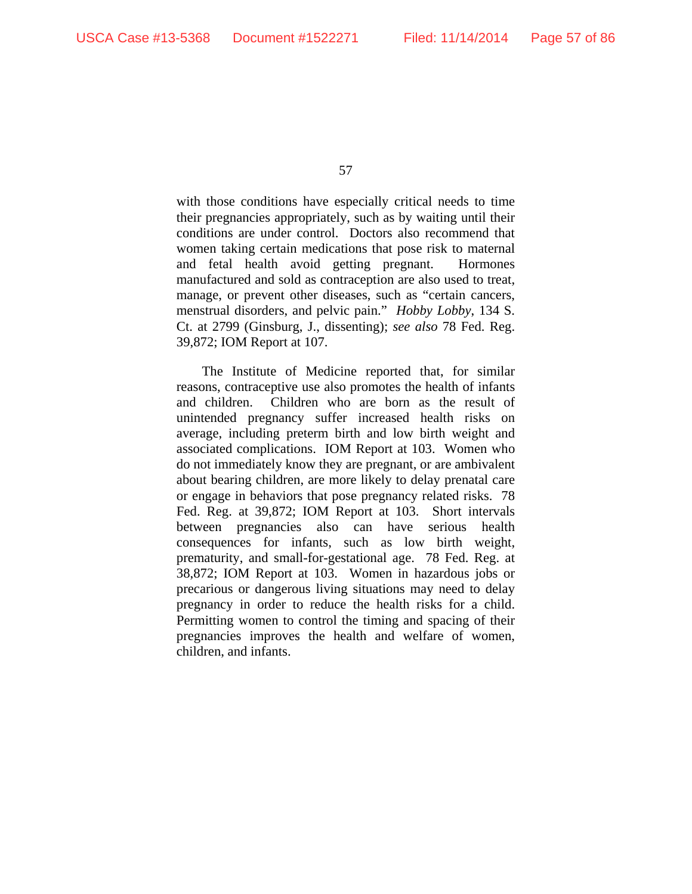with those conditions have especially critical needs to time their pregnancies appropriately, such as by waiting until their conditions are under control. Doctors also recommend that women taking certain medications that pose risk to maternal and fetal health avoid getting pregnant. Hormones manufactured and sold as contraception are also used to treat, manage, or prevent other diseases, such as "certain cancers, menstrual disorders, and pelvic pain." *Hobby Lobby*, 134 S. Ct. at 2799 (Ginsburg, J., dissenting); *see also* 78 Fed. Reg. 39,872; IOM Report at 107.

The Institute of Medicine reported that, for similar reasons, contraceptive use also promotes the health of infants and children. Children who are born as the result of unintended pregnancy suffer increased health risks on average, including preterm birth and low birth weight and associated complications. IOM Report at 103. Women who do not immediately know they are pregnant, or are ambivalent about bearing children, are more likely to delay prenatal care or engage in behaviors that pose pregnancy related risks. 78 Fed. Reg. at 39,872; IOM Report at 103. Short intervals between pregnancies also can have serious health consequences for infants, such as low birth weight, prematurity, and small-for-gestational age. 78 Fed. Reg. at 38,872; IOM Report at 103. Women in hazardous jobs or precarious or dangerous living situations may need to delay pregnancy in order to reduce the health risks for a child. Permitting women to control the timing and spacing of their pregnancies improves the health and welfare of women, children, and infants.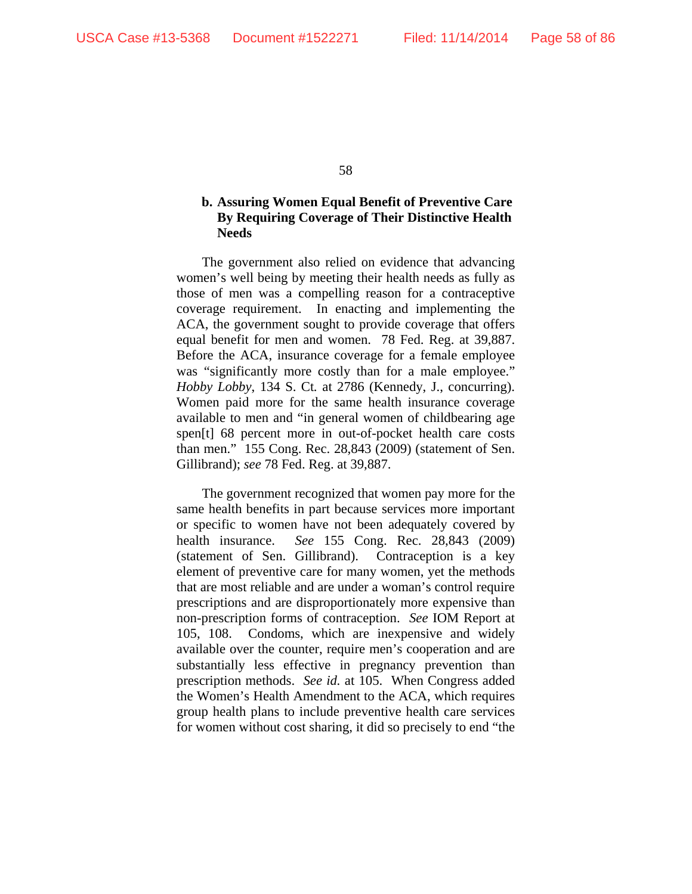### **b. Assuring Women Equal Benefit of Preventive Care By Requiring Coverage of Their Distinctive Health Needs**

The government also relied on evidence that advancing women's well being by meeting their health needs as fully as those of men was a compelling reason for a contraceptive coverage requirement. In enacting and implementing the ACA, the government sought to provide coverage that offers equal benefit for men and women. 78 Fed. Reg. at 39,887. Before the ACA, insurance coverage for a female employee was "significantly more costly than for a male employee." *Hobby Lobby*, 134 S. Ct*.* at 2786 (Kennedy, J., concurring). Women paid more for the same health insurance coverage available to men and "in general women of childbearing age spen[t] 68 percent more in out-of-pocket health care costs than men." 155 Cong. Rec. 28,843 (2009) (statement of Sen. Gillibrand); *see* 78 Fed. Reg. at 39,887.

The government recognized that women pay more for the same health benefits in part because services more important or specific to women have not been adequately covered by health insurance. *See* 155 Cong. Rec. 28,843 (2009) (statement of Sen. Gillibrand). Contraception is a key element of preventive care for many women, yet the methods that are most reliable and are under a woman's control require prescriptions and are disproportionately more expensive than non-prescription forms of contraception. *See* IOM Report at 105, 108. Condoms, which are inexpensive and widely available over the counter, require men's cooperation and are substantially less effective in pregnancy prevention than prescription methods. *See id.* at 105. When Congress added the Women's Health Amendment to the ACA, which requires group health plans to include preventive health care services for women without cost sharing, it did so precisely to end "the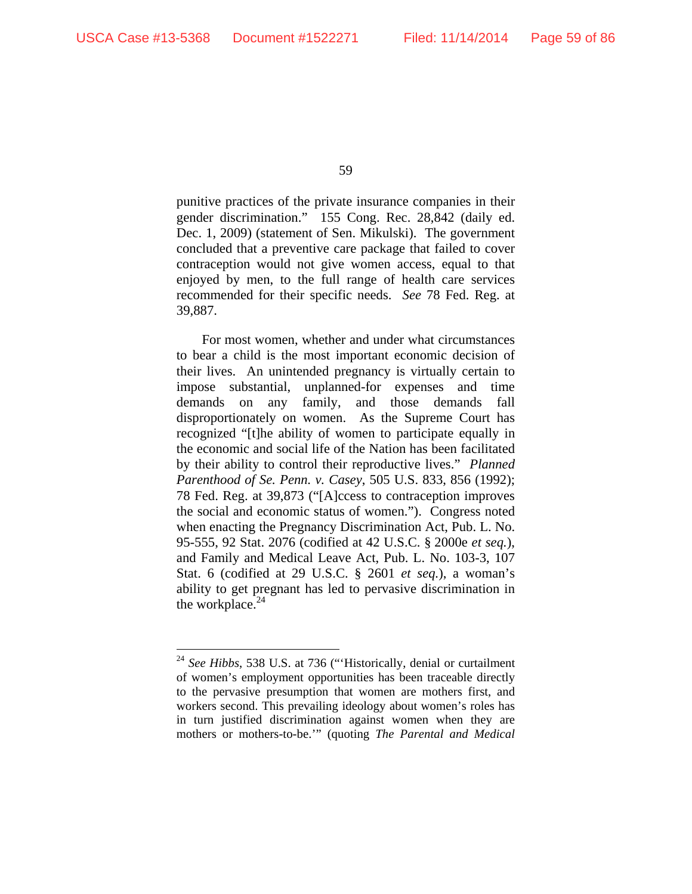$\overline{a}$ 

59

punitive practices of the private insurance companies in their gender discrimination." 155 Cong. Rec. 28,842 (daily ed. Dec. 1, 2009) (statement of Sen. Mikulski). The government concluded that a preventive care package that failed to cover contraception would not give women access, equal to that enjoyed by men, to the full range of health care services recommended for their specific needs. *See* 78 Fed. Reg. at 39,887.

For most women, whether and under what circumstances to bear a child is the most important economic decision of their lives. An unintended pregnancy is virtually certain to impose substantial, unplanned-for expenses and time demands on any family, and those demands fall disproportionately on women. As the Supreme Court has recognized "[t]he ability of women to participate equally in the economic and social life of the Nation has been facilitated by their ability to control their reproductive lives." *Planned Parenthood of Se. Penn. v. Casey*, 505 U.S. 833, 856 (1992); 78 Fed. Reg. at 39,873 ("[A]ccess to contraception improves the social and economic status of women."). Congress noted when enacting the Pregnancy Discrimination Act, Pub. L. No. 95-555, 92 Stat. 2076 (codified at 42 U.S.C. § 2000e *et seq.*), and Family and Medical Leave Act, Pub. L. No. 103-3, 107 Stat. 6 (codified at 29 U.S.C. § 2601 *et seq.*), a woman's ability to get pregnant has led to pervasive discrimination in the workplace. $24$ 

<sup>&</sup>lt;sup>24</sup> See Hibbs, 538 U.S. at 736 ("'Historically, denial or curtailment of women's employment opportunities has been traceable directly to the pervasive presumption that women are mothers first, and workers second. This prevailing ideology about women's roles has in turn justified discrimination against women when they are mothers or mothers-to-be.'" (quoting *The Parental and Medical*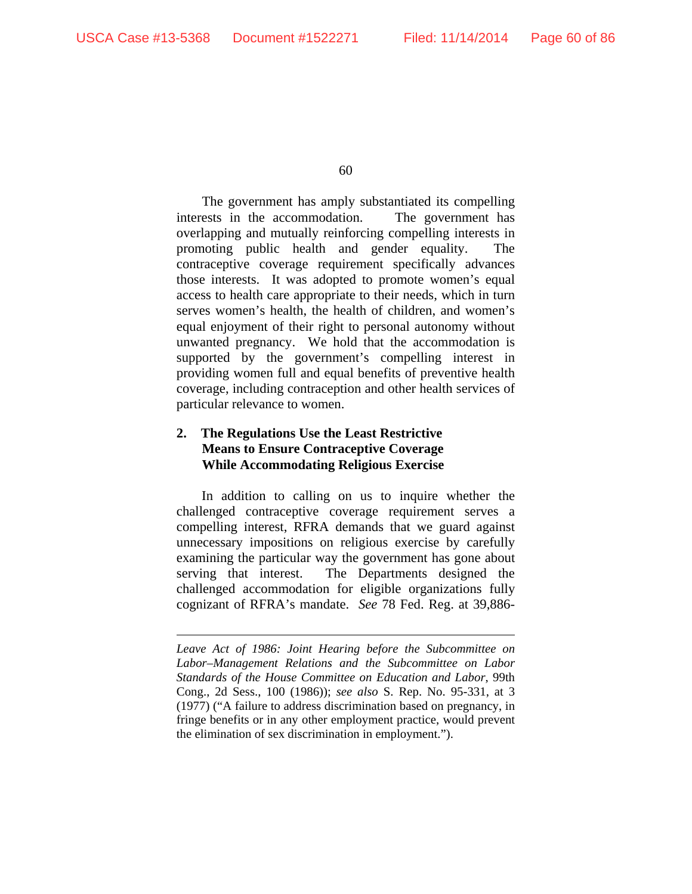$\overline{a}$ 

60

The government has amply substantiated its compelling interests in the accommodation. The government has overlapping and mutually reinforcing compelling interests in promoting public health and gender equality. The contraceptive coverage requirement specifically advances those interests. It was adopted to promote women's equal access to health care appropriate to their needs, which in turn serves women's health, the health of children, and women's equal enjoyment of their right to personal autonomy without unwanted pregnancy. We hold that the accommodation is supported by the government's compelling interest in providing women full and equal benefits of preventive health coverage, including contraception and other health services of particular relevance to women.

# **2. The Regulations Use the Least Restrictive Means to Ensure Contraceptive Coverage While Accommodating Religious Exercise**

In addition to calling on us to inquire whether the challenged contraceptive coverage requirement serves a compelling interest, RFRA demands that we guard against unnecessary impositions on religious exercise by carefully examining the particular way the government has gone about serving that interest. The Departments designed the challenged accommodation for eligible organizations fully cognizant of RFRA's mandate. *See* 78 Fed. Reg. at 39,886-

*Leave Act of 1986: Joint Hearing before the Subcommittee on Labor–Management Relations and the Subcommittee on Labor Standards of the House Committee on Education and Labor*, 99th Cong., 2d Sess., 100 (1986)); *see also* S. Rep. No. 95-331, at 3 (1977) ("A failure to address discrimination based on pregnancy, in fringe benefits or in any other employment practice, would prevent the elimination of sex discrimination in employment.").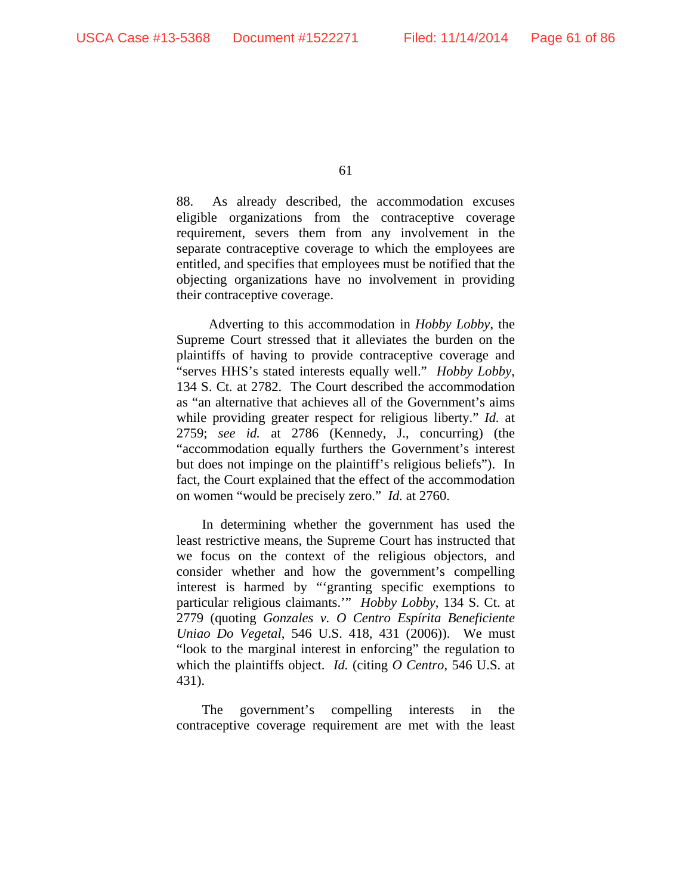88. As already described, the accommodation excuses eligible organizations from the contraceptive coverage requirement, severs them from any involvement in the separate contraceptive coverage to which the employees are entitled, and specifies that employees must be notified that the objecting organizations have no involvement in providing their contraceptive coverage.

 Adverting to this accommodation in *Hobby Lobby*, the Supreme Court stressed that it alleviates the burden on the plaintiffs of having to provide contraceptive coverage and "serves HHS's stated interests equally well." *Hobby Lobby*, 134 S. Ct*.* at 2782. The Court described the accommodation as "an alternative that achieves all of the Government's aims while providing greater respect for religious liberty." *Id.* at 2759; *see id.* at 2786 (Kennedy, J., concurring) (the "accommodation equally furthers the Government's interest but does not impinge on the plaintiff's religious beliefs"). In fact, the Court explained that the effect of the accommodation on women "would be precisely zero." *Id.* at 2760.

In determining whether the government has used the least restrictive means, the Supreme Court has instructed that we focus on the context of the religious objectors, and consider whether and how the government's compelling interest is harmed by "'granting specific exemptions to particular religious claimants.'" *Hobby Lobby*, 134 S. Ct. at 2779 (quoting *Gonzales v. O Centro Espírita Beneficiente Uniao Do Vegetal*, 546 U.S. 418, 431 (2006)). We must "look to the marginal interest in enforcing" the regulation to which the plaintiffs object. *Id.* (citing *O Centro*, 546 U.S. at 431).

The government's compelling interests in the contraceptive coverage requirement are met with the least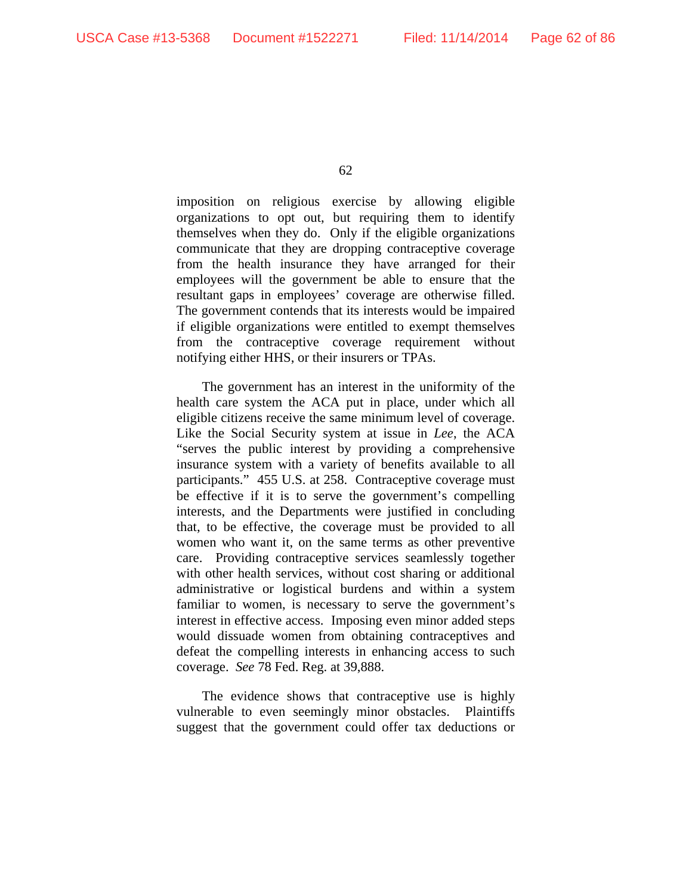imposition on religious exercise by allowing eligible organizations to opt out, but requiring them to identify themselves when they do. Only if the eligible organizations communicate that they are dropping contraceptive coverage from the health insurance they have arranged for their employees will the government be able to ensure that the resultant gaps in employees' coverage are otherwise filled. The government contends that its interests would be impaired if eligible organizations were entitled to exempt themselves from the contraceptive coverage requirement without notifying either HHS, or their insurers or TPAs.

The government has an interest in the uniformity of the health care system the ACA put in place, under which all eligible citizens receive the same minimum level of coverage. Like the Social Security system at issue in *Lee*, the ACA "serves the public interest by providing a comprehensive insurance system with a variety of benefits available to all participants." 455 U.S. at 258. Contraceptive coverage must be effective if it is to serve the government's compelling interests, and the Departments were justified in concluding that, to be effective, the coverage must be provided to all women who want it, on the same terms as other preventive care. Providing contraceptive services seamlessly together with other health services, without cost sharing or additional administrative or logistical burdens and within a system familiar to women, is necessary to serve the government's interest in effective access. Imposing even minor added steps would dissuade women from obtaining contraceptives and defeat the compelling interests in enhancing access to such coverage. *See* 78 Fed. Reg. at 39,888.

The evidence shows that contraceptive use is highly vulnerable to even seemingly minor obstacles. Plaintiffs suggest that the government could offer tax deductions or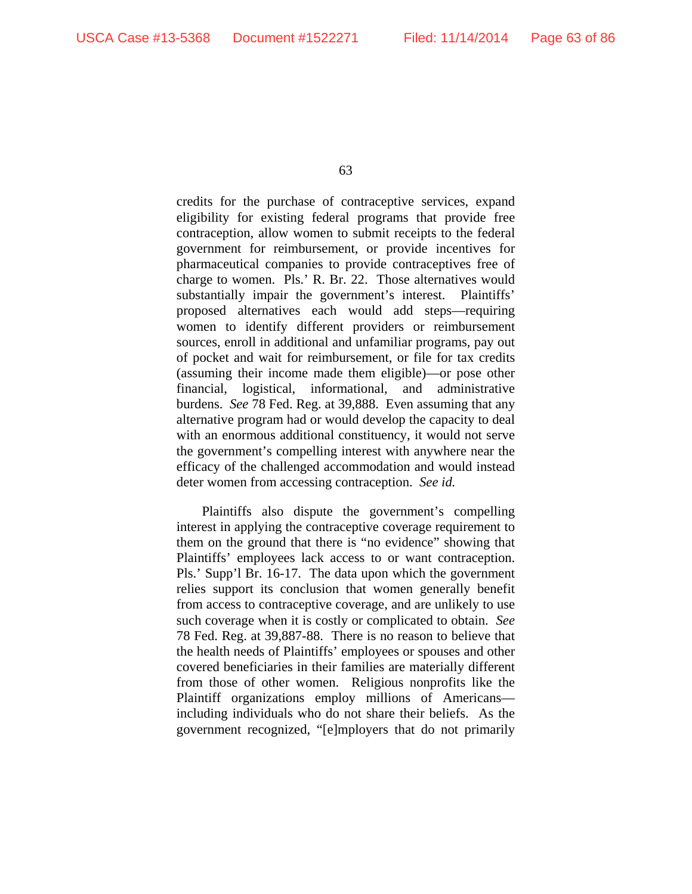credits for the purchase of contraceptive services, expand eligibility for existing federal programs that provide free contraception, allow women to submit receipts to the federal government for reimbursement, or provide incentives for pharmaceutical companies to provide contraceptives free of charge to women. Pls.' R. Br. 22. Those alternatives would substantially impair the government's interest. Plaintiffs' proposed alternatives each would add steps—requiring women to identify different providers or reimbursement sources, enroll in additional and unfamiliar programs, pay out of pocket and wait for reimbursement, or file for tax credits (assuming their income made them eligible)—or pose other financial, logistical, informational, and administrative burdens. *See* 78 Fed. Reg. at 39,888. Even assuming that any alternative program had or would develop the capacity to deal with an enormous additional constituency, it would not serve the government's compelling interest with anywhere near the efficacy of the challenged accommodation and would instead deter women from accessing contraception. *See id.*

Plaintiffs also dispute the government's compelling interest in applying the contraceptive coverage requirement to them on the ground that there is "no evidence" showing that Plaintiffs' employees lack access to or want contraception. Pls.' Supp'l Br. 16-17. The data upon which the government relies support its conclusion that women generally benefit from access to contraceptive coverage, and are unlikely to use such coverage when it is costly or complicated to obtain. *See* 78 Fed. Reg. at 39,887-88. There is no reason to believe that the health needs of Plaintiffs' employees or spouses and other covered beneficiaries in their families are materially different from those of other women. Religious nonprofits like the Plaintiff organizations employ millions of Americans including individuals who do not share their beliefs. As the government recognized, "[e]mployers that do not primarily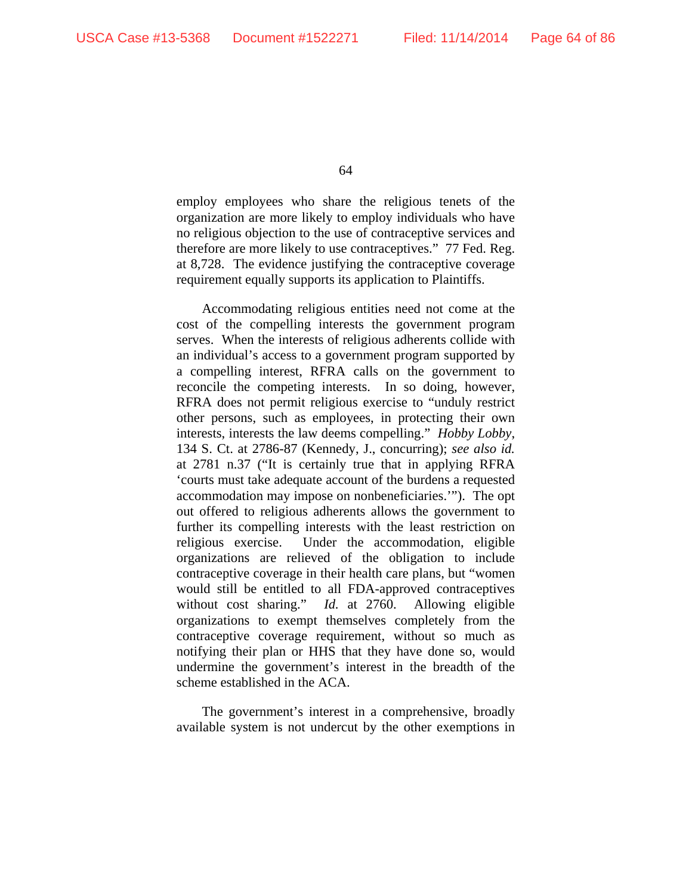employ employees who share the religious tenets of the organization are more likely to employ individuals who have no religious objection to the use of contraceptive services and therefore are more likely to use contraceptives." 77 Fed. Reg. at 8,728. The evidence justifying the contraceptive coverage requirement equally supports its application to Plaintiffs.

Accommodating religious entities need not come at the cost of the compelling interests the government program serves. When the interests of religious adherents collide with an individual's access to a government program supported by a compelling interest, RFRA calls on the government to reconcile the competing interests. In so doing, however, RFRA does not permit religious exercise to "unduly restrict other persons, such as employees, in protecting their own interests, interests the law deems compelling." *Hobby Lobby*, 134 S. Ct. at 2786-87 (Kennedy, J., concurring); *see also id.* at 2781 n.37 ("It is certainly true that in applying RFRA 'courts must take adequate account of the burdens a requested accommodation may impose on nonbeneficiaries.'"). The opt out offered to religious adherents allows the government to further its compelling interests with the least restriction on religious exercise. Under the accommodation, eligible organizations are relieved of the obligation to include contraceptive coverage in their health care plans, but "women would still be entitled to all FDA-approved contraceptives without cost sharing." *Id.* at 2760. Allowing eligible organizations to exempt themselves completely from the contraceptive coverage requirement, without so much as notifying their plan or HHS that they have done so, would undermine the government's interest in the breadth of the scheme established in the ACA.

The government's interest in a comprehensive, broadly available system is not undercut by the other exemptions in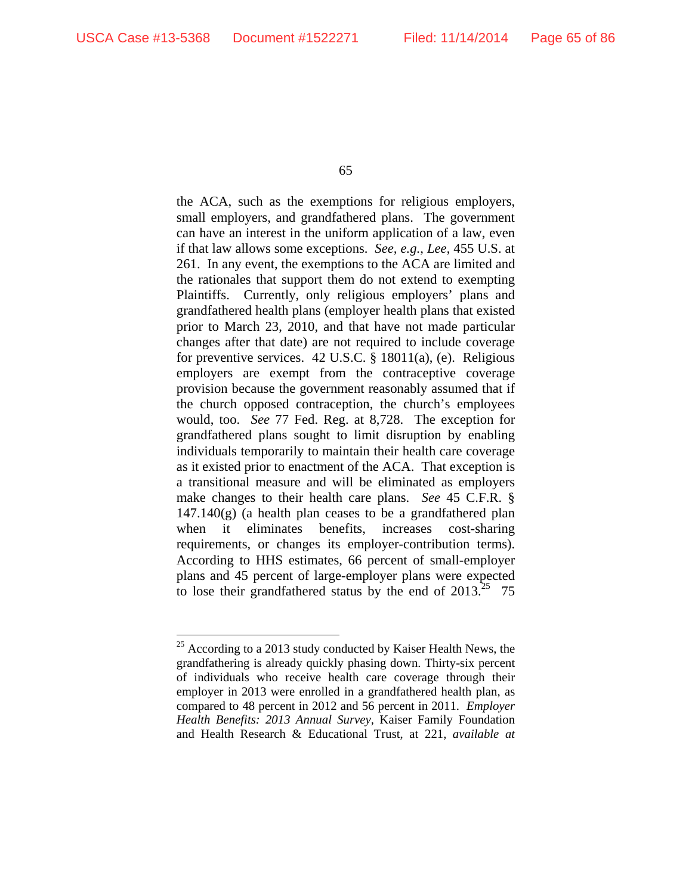the ACA, such as the exemptions for religious employers, small employers, and grandfathered plans. The government can have an interest in the uniform application of a law, even if that law allows some exceptions. *See, e.g.*, *Lee*, 455 U.S. at 261. In any event, the exemptions to the ACA are limited and the rationales that support them do not extend to exempting Plaintiffs. Currently, only religious employers' plans and grandfathered health plans (employer health plans that existed prior to March 23, 2010, and that have not made particular changes after that date) are not required to include coverage for preventive services. 42 U.S.C. § 18011(a), (e). Religious employers are exempt from the contraceptive coverage provision because the government reasonably assumed that if the church opposed contraception, the church's employees would, too. *See* 77 Fed. Reg. at 8,728. The exception for grandfathered plans sought to limit disruption by enabling individuals temporarily to maintain their health care coverage as it existed prior to enactment of the ACA. That exception is a transitional measure and will be eliminated as employers make changes to their health care plans. *See* 45 C.F.R. §  $147.140(g)$  (a health plan ceases to be a grandfathered plan when it eliminates benefits, increases cost-sharing requirements, or changes its employer-contribution terms). According to HHS estimates, 66 percent of small-employer plans and 45 percent of large-employer plans were expected to lose their grandfathered status by the end of  $2013^{25}$  75

 $\overline{a}$  $25$  According to a 2013 study conducted by Kaiser Health News, the grandfathering is already quickly phasing down. Thirty-six percent of individuals who receive health care coverage through their employer in 2013 were enrolled in a grandfathered health plan, as compared to 48 percent in 2012 and 56 percent in 2011. *Employer Health Benefits: 2013 Annual Survey,* Kaiser Family Foundation and Health Research & Educational Trust, at 221, *available at*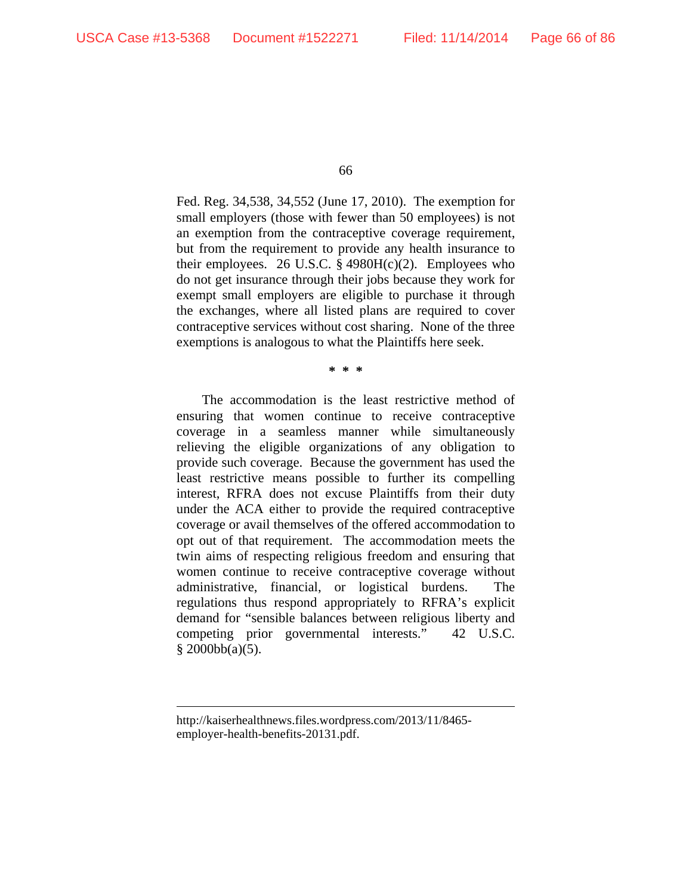Fed. Reg. 34,538, 34,552 (June 17, 2010). The exemption for small employers (those with fewer than 50 employees) is not an exemption from the contraceptive coverage requirement, but from the requirement to provide any health insurance to their employees. 26 U.S.C. § 4980H(c)(2). Employees who do not get insurance through their jobs because they work for exempt small employers are eligible to purchase it through the exchanges, where all listed plans are required to cover contraceptive services without cost sharing. None of the three exemptions is analogous to what the Plaintiffs here seek.

**\* \* \*** 

The accommodation is the least restrictive method of ensuring that women continue to receive contraceptive coverage in a seamless manner while simultaneously relieving the eligible organizations of any obligation to provide such coverage. Because the government has used the least restrictive means possible to further its compelling interest, RFRA does not excuse Plaintiffs from their duty under the ACA either to provide the required contraceptive coverage or avail themselves of the offered accommodation to opt out of that requirement. The accommodation meets the twin aims of respecting religious freedom and ensuring that women continue to receive contraceptive coverage without administrative, financial, or logistical burdens. The regulations thus respond appropriately to RFRA's explicit demand for "sensible balances between religious liberty and competing prior governmental interests." 42 U.S.C.  $§ 2000bb(a)(5).$ 

 $\overline{a}$ 

http://kaiserhealthnews.files.wordpress.com/2013/11/8465 employer-health-benefits-20131.pdf.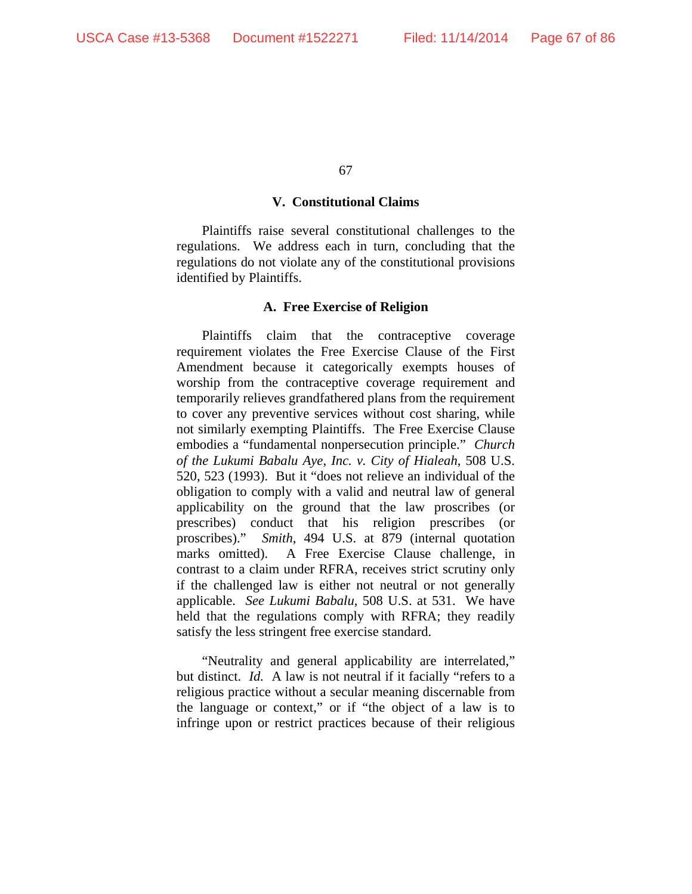#### **V. Constitutional Claims**

Plaintiffs raise several constitutional challenges to the regulations. We address each in turn, concluding that the regulations do not violate any of the constitutional provisions identified by Plaintiffs.

### **A. Free Exercise of Religion**

Plaintiffs claim that the contraceptive coverage requirement violates the Free Exercise Clause of the First Amendment because it categorically exempts houses of worship from the contraceptive coverage requirement and temporarily relieves grandfathered plans from the requirement to cover any preventive services without cost sharing, while not similarly exempting Plaintiffs. The Free Exercise Clause embodies a "fundamental nonpersecution principle." *Church of the Lukumi Babalu Aye, Inc. v. City of Hialeah*, 508 U.S. 520, 523 (1993). But it "does not relieve an individual of the obligation to comply with a valid and neutral law of general applicability on the ground that the law proscribes (or prescribes) conduct that his religion prescribes (or proscribes)." *Smith*, 494 U.S. at 879 (internal quotation marks omitted). A Free Exercise Clause challenge, in contrast to a claim under RFRA, receives strict scrutiny only if the challenged law is either not neutral or not generally applicable. *See Lukumi Babalu*, 508 U.S. at 531. We have held that the regulations comply with RFRA; they readily satisfy the less stringent free exercise standard.

"Neutrality and general applicability are interrelated," but distinct. *Id.* A law is not neutral if it facially "refers to a religious practice without a secular meaning discernable from the language or context," or if "the object of a law is to infringe upon or restrict practices because of their religious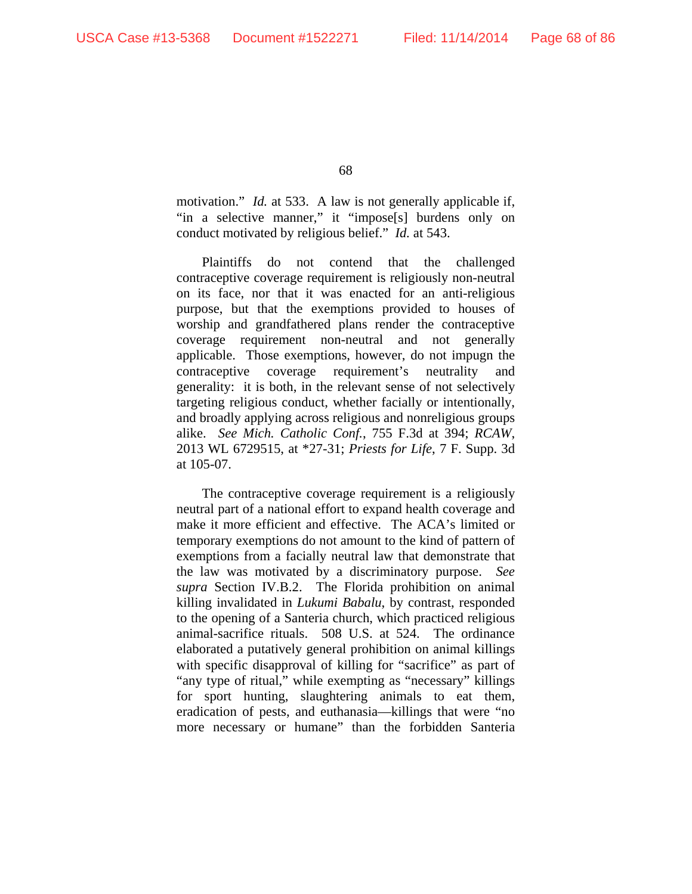motivation." *Id.* at 533. A law is not generally applicable if, "in a selective manner," it "impose[s] burdens only on conduct motivated by religious belief." *Id.* at 543.

Plaintiffs do not contend that the challenged contraceptive coverage requirement is religiously non-neutral on its face, nor that it was enacted for an anti-religious purpose, but that the exemptions provided to houses of worship and grandfathered plans render the contraceptive coverage requirement non-neutral and not generally applicable. Those exemptions, however, do not impugn the contraceptive coverage requirement's neutrality and generality: it is both, in the relevant sense of not selectively targeting religious conduct, whether facially or intentionally, and broadly applying across religious and nonreligious groups alike. *See Mich. Catholic Conf.*, 755 F.3d at 394; *RCAW*, 2013 WL 6729515, at \*27-31; *Priests for Life*, 7 F. Supp. 3d at 105-07.

The contraceptive coverage requirement is a religiously neutral part of a national effort to expand health coverage and make it more efficient and effective. The ACA's limited or temporary exemptions do not amount to the kind of pattern of exemptions from a facially neutral law that demonstrate that the law was motivated by a discriminatory purpose. *See supra* Section IV.B.2. The Florida prohibition on animal killing invalidated in *Lukumi Babalu*, by contrast, responded to the opening of a Santeria church, which practiced religious animal-sacrifice rituals. 508 U.S. at 524. The ordinance elaborated a putatively general prohibition on animal killings with specific disapproval of killing for "sacrifice" as part of "any type of ritual," while exempting as "necessary" killings for sport hunting, slaughtering animals to eat them, eradication of pests, and euthanasia—killings that were "no more necessary or humane" than the forbidden Santeria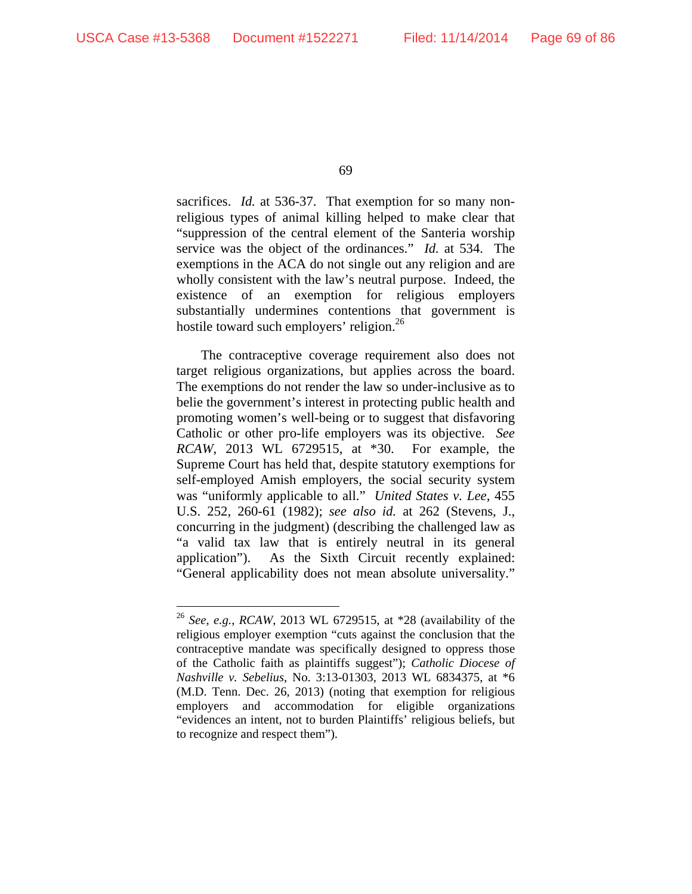$\overline{a}$ 

69

sacrifices. *Id.* at 536-37. That exemption for so many nonreligious types of animal killing helped to make clear that "suppression of the central element of the Santeria worship service was the object of the ordinances." *Id.* at 534. The exemptions in the ACA do not single out any religion and are wholly consistent with the law's neutral purpose. Indeed, the existence of an exemption for religious employers substantially undermines contentions that government is hostile toward such employers' religion.<sup>26</sup>

The contraceptive coverage requirement also does not target religious organizations, but applies across the board. The exemptions do not render the law so under-inclusive as to belie the government's interest in protecting public health and promoting women's well-being or to suggest that disfavoring Catholic or other pro-life employers was its objective. *See RCAW*, 2013 WL 6729515, at \*30. For example, the Supreme Court has held that, despite statutory exemptions for self-employed Amish employers, the social security system was "uniformly applicable to all." *United States v. Lee*, 455 U.S. 252, 260-61 (1982); *see also id.* at 262 (Stevens, J., concurring in the judgment) (describing the challenged law as "a valid tax law that is entirely neutral in its general application"). As the Sixth Circuit recently explained: "General applicability does not mean absolute universality."

<sup>26</sup> *See, e.g.*, *RCAW*, 2013 WL 6729515, at \*28 (availability of the religious employer exemption "cuts against the conclusion that the contraceptive mandate was specifically designed to oppress those of the Catholic faith as plaintiffs suggest"); *Catholic Diocese of Nashville v. Sebelius*, No. 3:13-01303, 2013 WL 6834375, at \*6 (M.D. Tenn. Dec. 26, 2013) (noting that exemption for religious employers and accommodation for eligible organizations "evidences an intent, not to burden Plaintiffs' religious beliefs, but to recognize and respect them").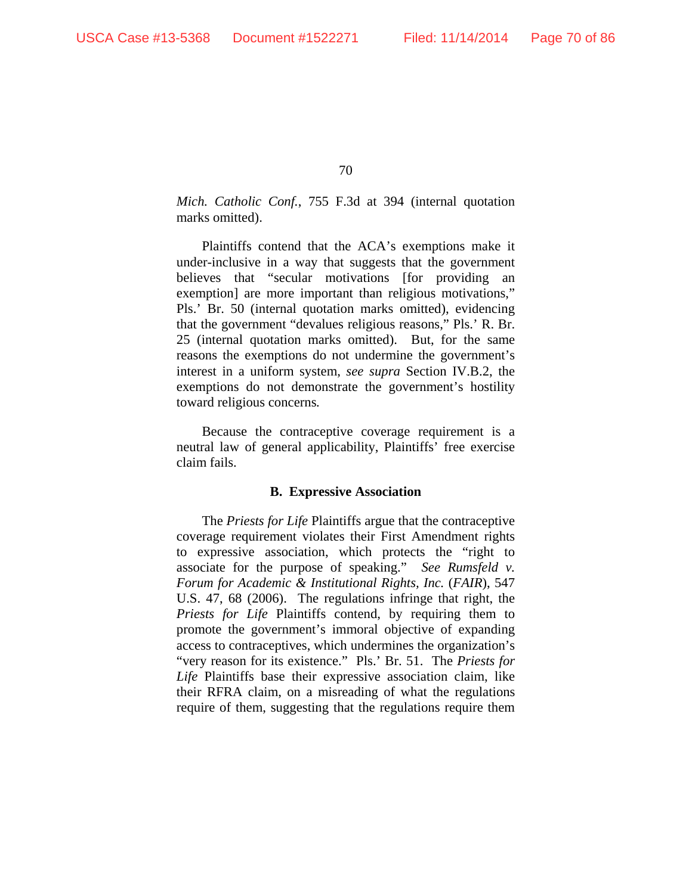*Mich. Catholic Conf.*, 755 F.3d at 394 (internal quotation marks omitted).

Plaintiffs contend that the ACA's exemptions make it under-inclusive in a way that suggests that the government believes that "secular motivations [for providing an exemption] are more important than religious motivations," Pls.' Br. 50 (internal quotation marks omitted), evidencing that the government "devalues religious reasons," Pls.' R. Br. 25 (internal quotation marks omitted). But, for the same reasons the exemptions do not undermine the government's interest in a uniform system, *see supra* Section IV.B.2, the exemptions do not demonstrate the government's hostility toward religious concerns*.* 

Because the contraceptive coverage requirement is a neutral law of general applicability, Plaintiffs' free exercise claim fails.

### **B. Expressive Association**

The *Priests for Life* Plaintiffs argue that the contraceptive coverage requirement violates their First Amendment rights to expressive association, which protects the "right to associate for the purpose of speaking." *See Rumsfeld v. Forum for Academic & Institutional Rights, Inc.* (*FAIR*), 547 U.S. 47, 68 (2006). The regulations infringe that right, the *Priests for Life* Plaintiffs contend, by requiring them to promote the government's immoral objective of expanding access to contraceptives, which undermines the organization's "very reason for its existence." Pls.' Br. 51. The *Priests for Life* Plaintiffs base their expressive association claim, like their RFRA claim, on a misreading of what the regulations require of them, suggesting that the regulations require them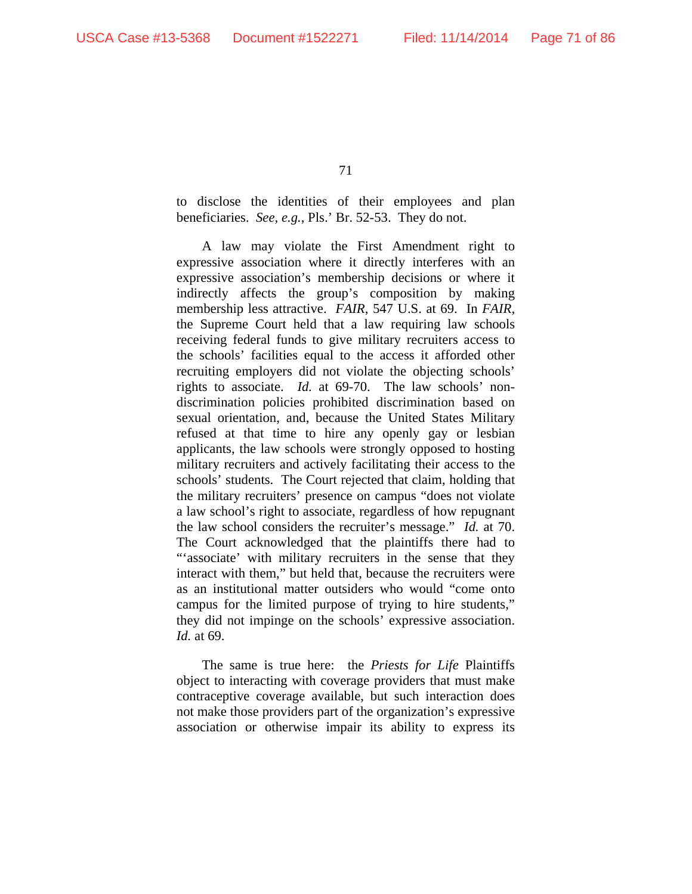to disclose the identities of their employees and plan beneficiaries. *See, e.g.*, Pls.' Br. 52-53. They do not.

A law may violate the First Amendment right to expressive association where it directly interferes with an expressive association's membership decisions or where it indirectly affects the group's composition by making membership less attractive. *FAIR*, 547 U.S. at 69. In *FAIR*, the Supreme Court held that a law requiring law schools receiving federal funds to give military recruiters access to the schools' facilities equal to the access it afforded other recruiting employers did not violate the objecting schools' rights to associate. *Id.* at 69-70. The law schools' nondiscrimination policies prohibited discrimination based on sexual orientation, and, because the United States Military refused at that time to hire any openly gay or lesbian applicants, the law schools were strongly opposed to hosting military recruiters and actively facilitating their access to the schools' students. The Court rejected that claim, holding that the military recruiters' presence on campus "does not violate a law school's right to associate, regardless of how repugnant the law school considers the recruiter's message." *Id.* at 70. The Court acknowledged that the plaintiffs there had to "'associate' with military recruiters in the sense that they interact with them," but held that, because the recruiters were as an institutional matter outsiders who would "come onto campus for the limited purpose of trying to hire students," they did not impinge on the schools' expressive association. *Id.* at 69.

The same is true here: the *Priests for Life* Plaintiffs object to interacting with coverage providers that must make contraceptive coverage available, but such interaction does not make those providers part of the organization's expressive association or otherwise impair its ability to express its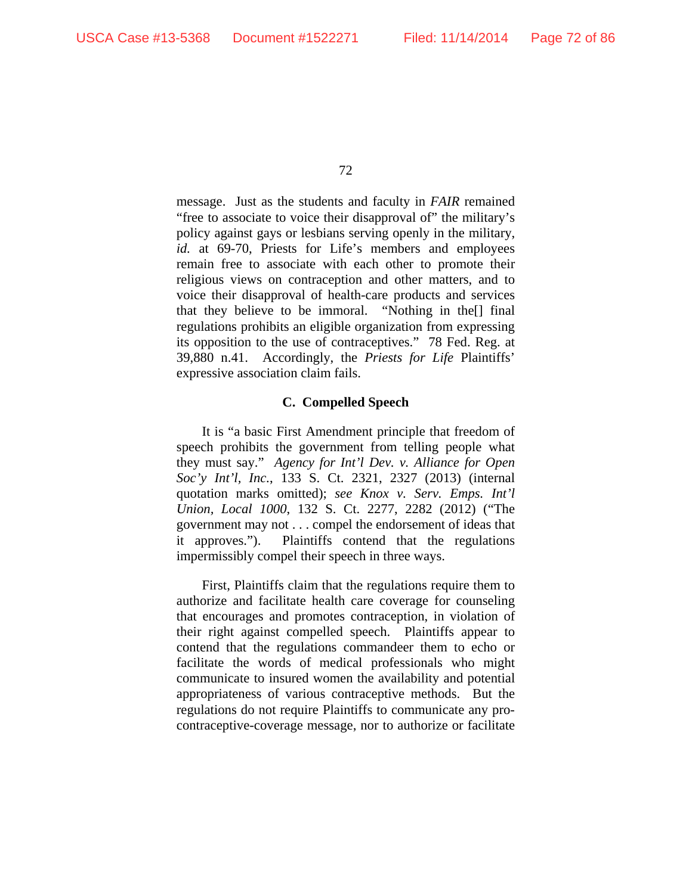message. Just as the students and faculty in *FAIR* remained "free to associate to voice their disapproval of" the military's policy against gays or lesbians serving openly in the military, *id.* at 69-70, Priests for Life's members and employees remain free to associate with each other to promote their religious views on contraception and other matters, and to voice their disapproval of health-care products and services that they believe to be immoral. "Nothing in the[] final regulations prohibits an eligible organization from expressing its opposition to the use of contraceptives." 78 Fed. Reg. at 39,880 n.41. Accordingly, the *Priests for Life* Plaintiffs' expressive association claim fails.

### **C. Compelled Speech**

It is "a basic First Amendment principle that freedom of speech prohibits the government from telling people what they must say." *Agency for Int'l Dev. v. Alliance for Open Soc'y Int'l, Inc.*, 133 S. Ct. 2321, 2327 (2013) (internal quotation marks omitted); *see Knox v. Serv. Emps. Int'l Union, Local 1000*, 132 S. Ct. 2277, 2282 (2012) ("The government may not . . . compel the endorsement of ideas that it approves."). Plaintiffs contend that the regulations impermissibly compel their speech in three ways.

First, Plaintiffs claim that the regulations require them to authorize and facilitate health care coverage for counseling that encourages and promotes contraception, in violation of their right against compelled speech. Plaintiffs appear to contend that the regulations commandeer them to echo or facilitate the words of medical professionals who might communicate to insured women the availability and potential appropriateness of various contraceptive methods. But the regulations do not require Plaintiffs to communicate any procontraceptive-coverage message, nor to authorize or facilitate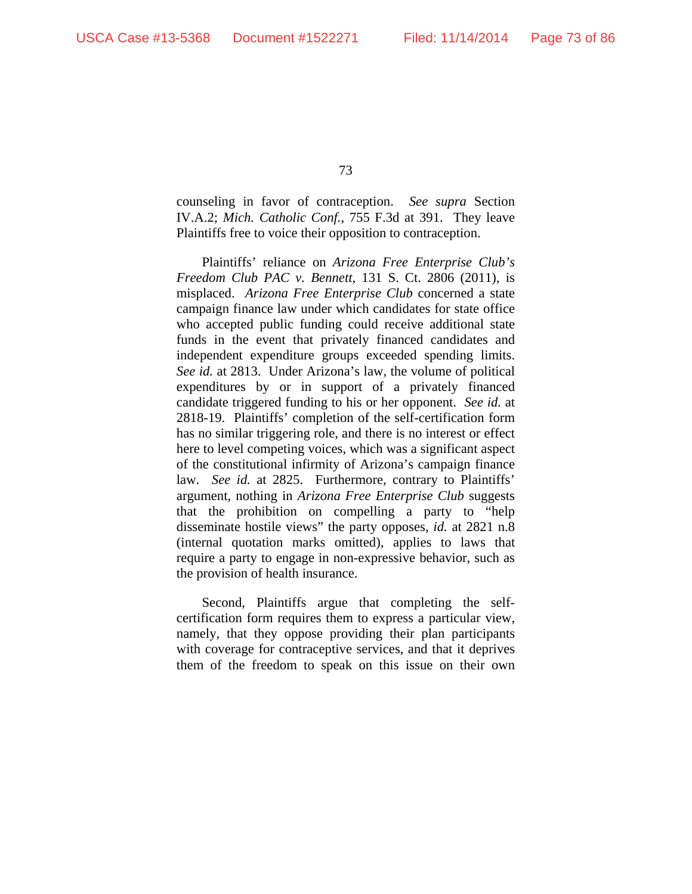counseling in favor of contraception. *See supra* Section IV.A.2; *Mich. Catholic Conf.*, 755 F.3d at 391. They leave Plaintiffs free to voice their opposition to contraception.

Plaintiffs' reliance on *Arizona Free Enterprise Club's Freedom Club PAC v. Bennett*, 131 S. Ct. 2806 (2011), is misplaced. *Arizona Free Enterprise Club* concerned a state campaign finance law under which candidates for state office who accepted public funding could receive additional state funds in the event that privately financed candidates and independent expenditure groups exceeded spending limits. *See id.* at 2813. Under Arizona's law, the volume of political expenditures by or in support of a privately financed candidate triggered funding to his or her opponent. *See id.* at 2818-19. Plaintiffs' completion of the self-certification form has no similar triggering role, and there is no interest or effect here to level competing voices, which was a significant aspect of the constitutional infirmity of Arizona's campaign finance law. *See id.* at 2825. Furthermore, contrary to Plaintiffs' argument, nothing in *Arizona Free Enterprise Club* suggests that the prohibition on compelling a party to "help disseminate hostile views" the party opposes, *id.* at 2821 n.8 (internal quotation marks omitted), applies to laws that require a party to engage in non-expressive behavior, such as the provision of health insurance.

Second, Plaintiffs argue that completing the selfcertification form requires them to express a particular view, namely, that they oppose providing their plan participants with coverage for contraceptive services, and that it deprives them of the freedom to speak on this issue on their own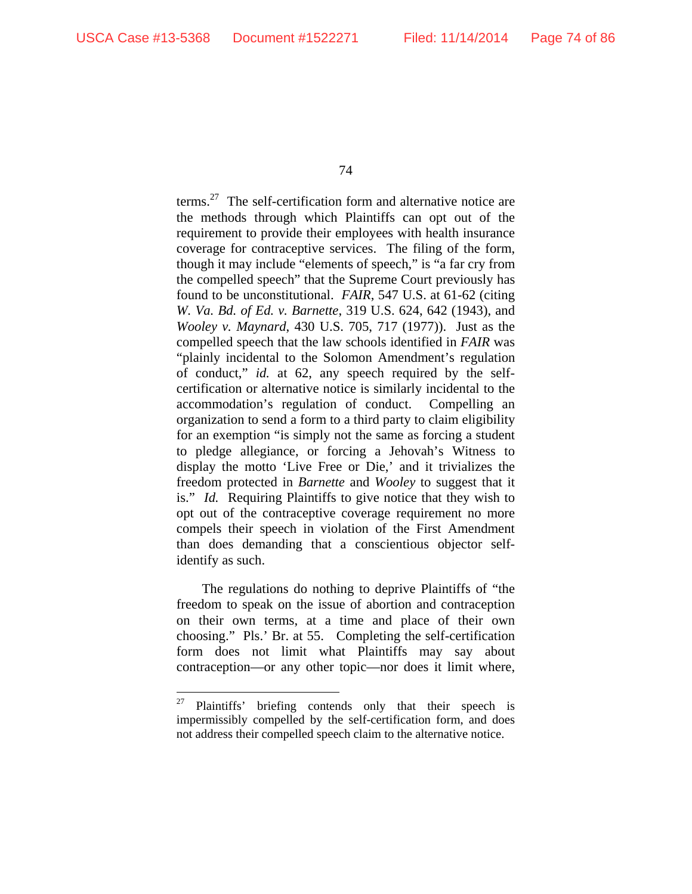$\overline{a}$ 

74

terms.<sup>27</sup> The self-certification form and alternative notice are the methods through which Plaintiffs can opt out of the requirement to provide their employees with health insurance coverage for contraceptive services. The filing of the form, though it may include "elements of speech," is "a far cry from the compelled speech" that the Supreme Court previously has found to be unconstitutional. *FAIR*, 547 U.S. at 61-62 (citing *W. Va. Bd. of Ed. v. Barnette*, 319 U.S. 624, 642 (1943), and *Wooley v. Maynard*, 430 U.S. 705, 717 (1977)). Just as the compelled speech that the law schools identified in *FAIR* was "plainly incidental to the Solomon Amendment's regulation of conduct," *id.* at 62, any speech required by the selfcertification or alternative notice is similarly incidental to the accommodation's regulation of conduct. Compelling an organization to send a form to a third party to claim eligibility for an exemption "is simply not the same as forcing a student to pledge allegiance, or forcing a Jehovah's Witness to display the motto 'Live Free or Die,' and it trivializes the freedom protected in *Barnette* and *Wooley* to suggest that it is." *Id.* Requiring Plaintiffs to give notice that they wish to opt out of the contraceptive coverage requirement no more compels their speech in violation of the First Amendment than does demanding that a conscientious objector selfidentify as such.

The regulations do nothing to deprive Plaintiffs of "the freedom to speak on the issue of abortion and contraception on their own terms, at a time and place of their own choosing." Pls.' Br. at 55. Completing the self-certification form does not limit what Plaintiffs may say about contraception—or any other topic—nor does it limit where,

<sup>&</sup>lt;sup>27</sup> Plaintiffs' briefing contends only that their speech is impermissibly compelled by the self-certification form, and does not address their compelled speech claim to the alternative notice.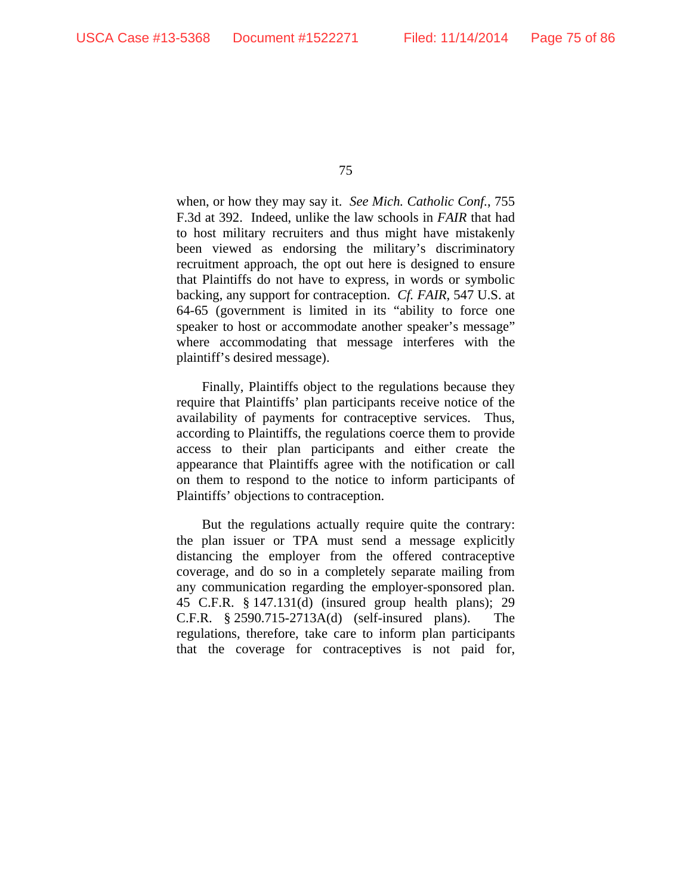when, or how they may say it. *See Mich. Catholic Conf.*, 755 F.3d at 392. Indeed, unlike the law schools in *FAIR* that had to host military recruiters and thus might have mistakenly been viewed as endorsing the military's discriminatory recruitment approach, the opt out here is designed to ensure that Plaintiffs do not have to express, in words or symbolic backing, any support for contraception. *Cf. FAIR*, 547 U.S. at 64-65 (government is limited in its "ability to force one speaker to host or accommodate another speaker's message" where accommodating that message interferes with the plaintiff's desired message).

Finally, Plaintiffs object to the regulations because they require that Plaintiffs' plan participants receive notice of the availability of payments for contraceptive services. Thus, according to Plaintiffs, the regulations coerce them to provide access to their plan participants and either create the appearance that Plaintiffs agree with the notification or call on them to respond to the notice to inform participants of Plaintiffs' objections to contraception.

But the regulations actually require quite the contrary: the plan issuer or TPA must send a message explicitly distancing the employer from the offered contraceptive coverage, and do so in a completely separate mailing from any communication regarding the employer-sponsored plan. 45 C.F.R. § 147.131(d) (insured group health plans); 29 C.F.R. § 2590.715-2713A(d) (self-insured plans). The regulations, therefore, take care to inform plan participants that the coverage for contraceptives is not paid for,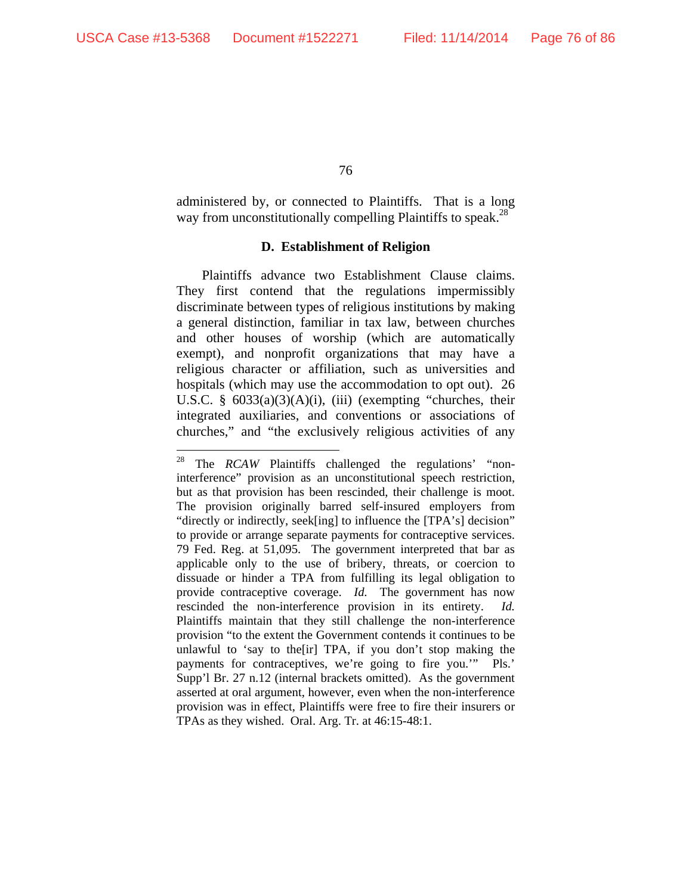$\overline{a}$ 

76

administered by, or connected to Plaintiffs. That is a long way from unconstitutionally compelling Plaintiffs to speak.<sup>28</sup>

## **D. Establishment of Religion**

Plaintiffs advance two Establishment Clause claims. They first contend that the regulations impermissibly discriminate between types of religious institutions by making a general distinction, familiar in tax law, between churches and other houses of worship (which are automatically exempt), and nonprofit organizations that may have a religious character or affiliation, such as universities and hospitals (which may use the accommodation to opt out). 26 U.S.C.  $\S$  6033(a)(3)(A)(i), (iii) (exempting "churches, their integrated auxiliaries, and conventions or associations of churches," and "the exclusively religious activities of any

<sup>&</sup>lt;sup>28</sup> The *RCAW* Plaintiffs challenged the regulations' "noninterference" provision as an unconstitutional speech restriction, but as that provision has been rescinded, their challenge is moot. The provision originally barred self-insured employers from "directly or indirectly, seek[ing] to influence the [TPA's] decision" to provide or arrange separate payments for contraceptive services. 79 Fed. Reg. at 51,095. The government interpreted that bar as applicable only to the use of bribery, threats, or coercion to dissuade or hinder a TPA from fulfilling its legal obligation to provide contraceptive coverage. *Id.* The government has now rescinded the non-interference provision in its entirety. *Id.* Plaintiffs maintain that they still challenge the non-interference provision "to the extent the Government contends it continues to be unlawful to 'say to the[ir] TPA, if you don't stop making the payments for contraceptives, we're going to fire you.'" Pls.' Supp'l Br. 27 n.12 (internal brackets omitted). As the government asserted at oral argument, however, even when the non-interference provision was in effect, Plaintiffs were free to fire their insurers or TPAs as they wished. Oral. Arg. Tr. at 46:15-48:1.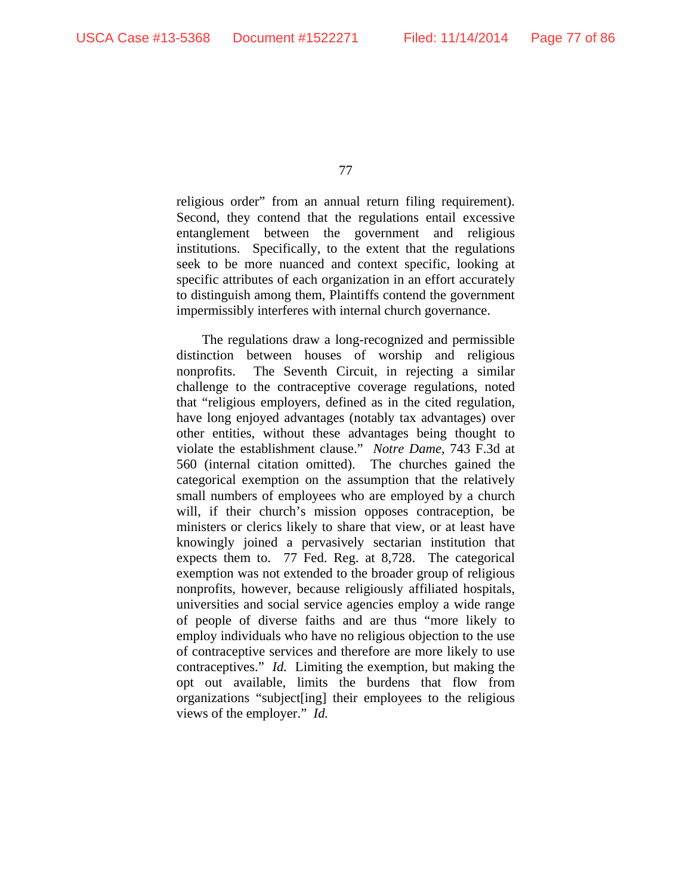religious order" from an annual return filing requirement). Second, they contend that the regulations entail excessive entanglement between the government and religious institutions. Specifically, to the extent that the regulations seek to be more nuanced and context specific, looking at specific attributes of each organization in an effort accurately to distinguish among them, Plaintiffs contend the government impermissibly interferes with internal church governance.

The regulations draw a long-recognized and permissible distinction between houses of worship and religious nonprofits. The Seventh Circuit, in rejecting a similar challenge to the contraceptive coverage regulations, noted that "religious employers, defined as in the cited regulation, have long enjoyed advantages (notably tax advantages) over other entities, without these advantages being thought to violate the establishment clause." *Notre Dame*, 743 F.3d at 560 (internal citation omitted). The churches gained the categorical exemption on the assumption that the relatively small numbers of employees who are employed by a church will, if their church's mission opposes contraception, be ministers or clerics likely to share that view, or at least have knowingly joined a pervasively sectarian institution that expects them to. 77 Fed. Reg. at 8,728. The categorical exemption was not extended to the broader group of religious nonprofits, however, because religiously affiliated hospitals, universities and social service agencies employ a wide range of people of diverse faiths and are thus "more likely to employ individuals who have no religious objection to the use of contraceptive services and therefore are more likely to use contraceptives." *Id.* Limiting the exemption, but making the opt out available, limits the burdens that flow from organizations "subject[ing] their employees to the religious views of the employer." *Id.*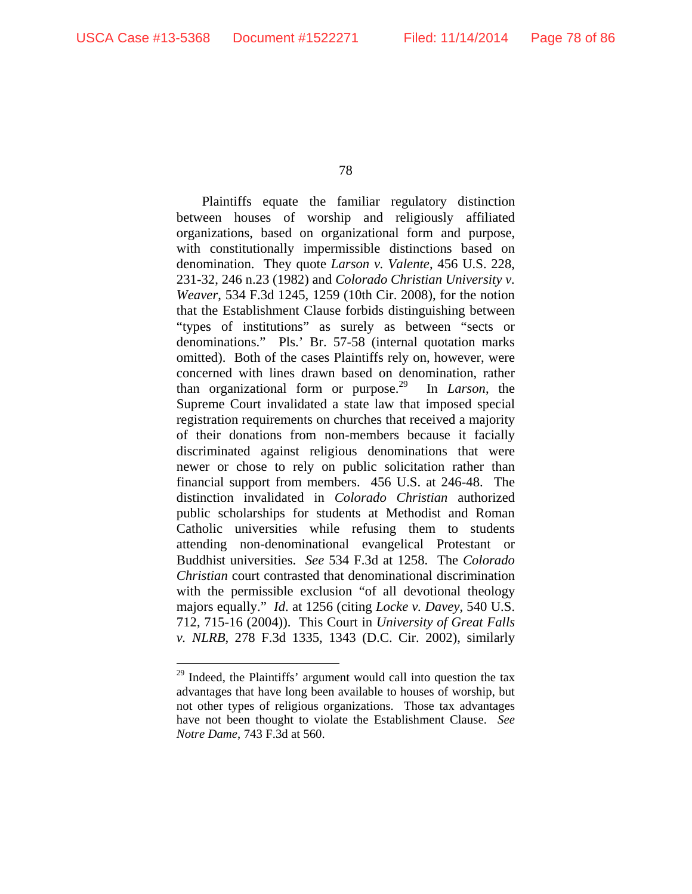$\overline{a}$ 

78

Plaintiffs equate the familiar regulatory distinction between houses of worship and religiously affiliated organizations, based on organizational form and purpose, with constitutionally impermissible distinctions based on denomination. They quote *Larson v. Valente*, 456 U.S. 228, 231-32, 246 n.23 (1982) and *Colorado Christian University v. Weaver*, 534 F.3d 1245, 1259 (10th Cir. 2008), for the notion that the Establishment Clause forbids distinguishing between "types of institutions" as surely as between "sects or denominations." Pls.' Br. 57-58 (internal quotation marks omitted). Both of the cases Plaintiffs rely on, however, were concerned with lines drawn based on denomination, rather than organizational form or purpose.29 In *Larson*, the Supreme Court invalidated a state law that imposed special registration requirements on churches that received a majority of their donations from non-members because it facially discriminated against religious denominations that were newer or chose to rely on public solicitation rather than financial support from members. 456 U.S. at 246-48. The distinction invalidated in *Colorado Christian* authorized public scholarships for students at Methodist and Roman Catholic universities while refusing them to students attending non-denominational evangelical Protestant or Buddhist universities. *See* 534 F.3d at 1258. The *Colorado Christian* court contrasted that denominational discrimination with the permissible exclusion "of all devotional theology majors equally." *Id*. at 1256 (citing *Locke v. Davey*, 540 U.S. 712, 715-16 (2004)). This Court in *University of Great Falls v. NLRB*, 278 F.3d 1335, 1343 (D.C. Cir. 2002), similarly

<sup>&</sup>lt;sup>29</sup> Indeed, the Plaintiffs' argument would call into question the tax advantages that have long been available to houses of worship, but not other types of religious organizations. Those tax advantages have not been thought to violate the Establishment Clause. *See Notre Dame*, 743 F.3d at 560.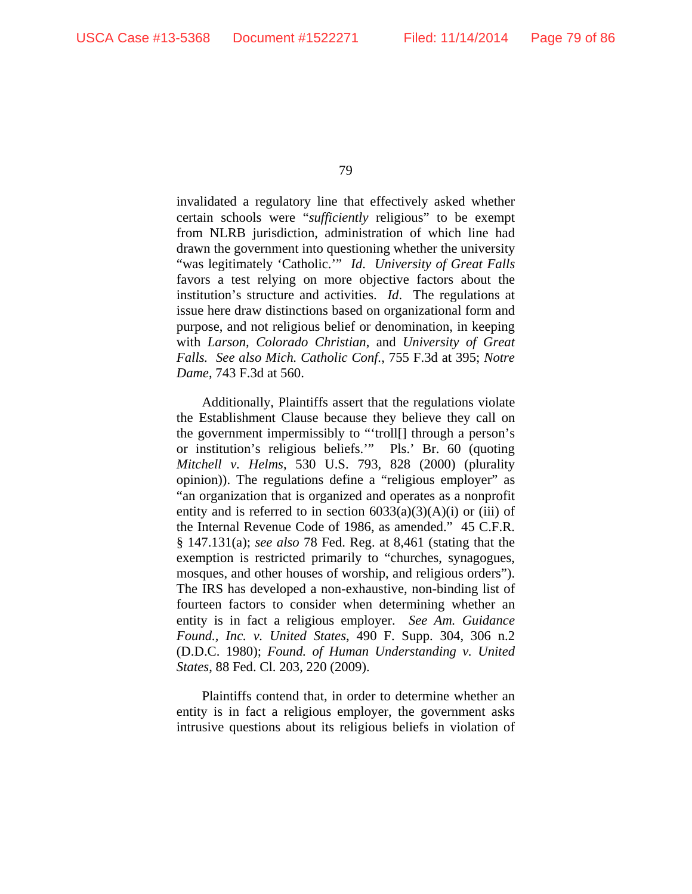invalidated a regulatory line that effectively asked whether certain schools were "*sufficiently* religious" to be exempt from NLRB jurisdiction, administration of which line had drawn the government into questioning whether the university "was legitimately 'Catholic.'" *Id*. *University of Great Falls* favors a test relying on more objective factors about the institution's structure and activities. *Id*. The regulations at issue here draw distinctions based on organizational form and purpose, and not religious belief or denomination, in keeping with *Larson, Colorado Christian*, and *University of Great Falls. See also Mich. Catholic Conf.*, 755 F.3d at 395; *Notre Dame*, 743 F.3d at 560.

Additionally, Plaintiffs assert that the regulations violate the Establishment Clause because they believe they call on the government impermissibly to "'troll[] through a person's or institution's religious beliefs.'" Pls.' Br. 60 (quoting *Mitchell v. Helms*, 530 U.S. 793, 828 (2000) (plurality opinion)). The regulations define a "religious employer" as "an organization that is organized and operates as a nonprofit entity and is referred to in section  $6033(a)(3)(A)(i)$  or (iii) of the Internal Revenue Code of 1986, as amended." 45 C.F.R. § 147.131(a); *see also* 78 Fed. Reg. at 8,461 (stating that the exemption is restricted primarily to "churches, synagogues, mosques, and other houses of worship, and religious orders"). The IRS has developed a non-exhaustive, non-binding list of fourteen factors to consider when determining whether an entity is in fact a religious employer. *See Am. Guidance Found., Inc. v. United States*, 490 F. Supp. 304, 306 n.2 (D.D.C. 1980); *Found. of Human Understanding v. United States*, 88 Fed. Cl. 203, 220 (2009).

Plaintiffs contend that, in order to determine whether an entity is in fact a religious employer, the government asks intrusive questions about its religious beliefs in violation of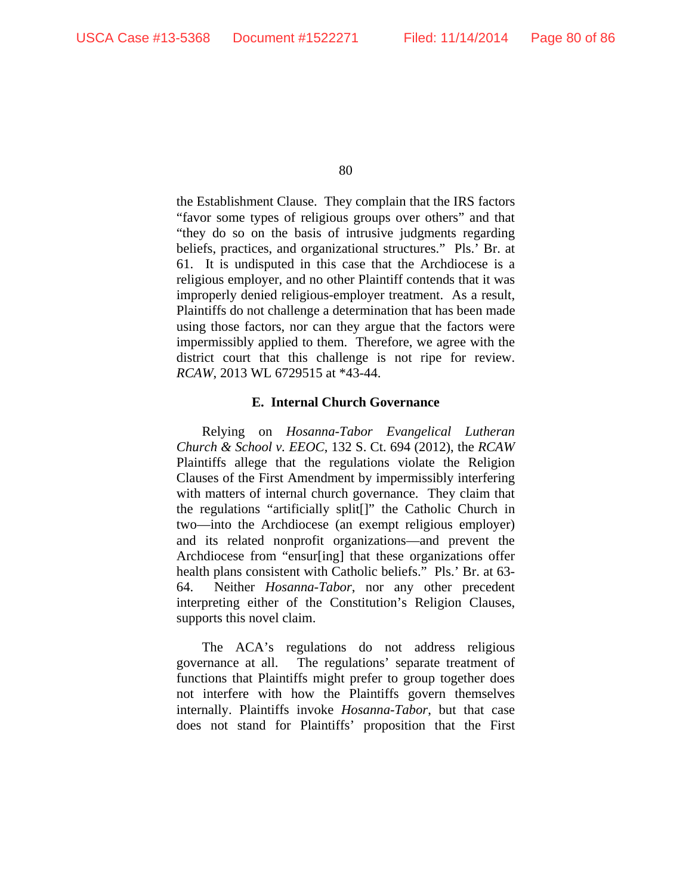the Establishment Clause. They complain that the IRS factors "favor some types of religious groups over others" and that "they do so on the basis of intrusive judgments regarding beliefs, practices, and organizational structures." Pls.' Br. at 61. It is undisputed in this case that the Archdiocese is a religious employer, and no other Plaintiff contends that it was improperly denied religious-employer treatment. As a result, Plaintiffs do not challenge a determination that has been made using those factors, nor can they argue that the factors were impermissibly applied to them. Therefore, we agree with the district court that this challenge is not ripe for review. *RCAW*, 2013 WL 6729515 at \*43-44.

## **E. Internal Church Governance**

Relying on *Hosanna-Tabor Evangelical Lutheran Church & School v. EEOC*, 132 S. Ct. 694 (2012), the *RCAW* Plaintiffs allege that the regulations violate the Religion Clauses of the First Amendment by impermissibly interfering with matters of internal church governance. They claim that the regulations "artificially split[]" the Catholic Church in two—into the Archdiocese (an exempt religious employer) and its related nonprofit organizations—and prevent the Archdiocese from "ensur[ing] that these organizations offer health plans consistent with Catholic beliefs." Pls.' Br. at 63- 64. Neither *Hosanna-Tabor*, nor any other precedent interpreting either of the Constitution's Religion Clauses, supports this novel claim.

The ACA's regulations do not address religious governance at all. The regulations' separate treatment of functions that Plaintiffs might prefer to group together does not interfere with how the Plaintiffs govern themselves internally. Plaintiffs invoke *Hosanna-Tabor*, but that case does not stand for Plaintiffs' proposition that the First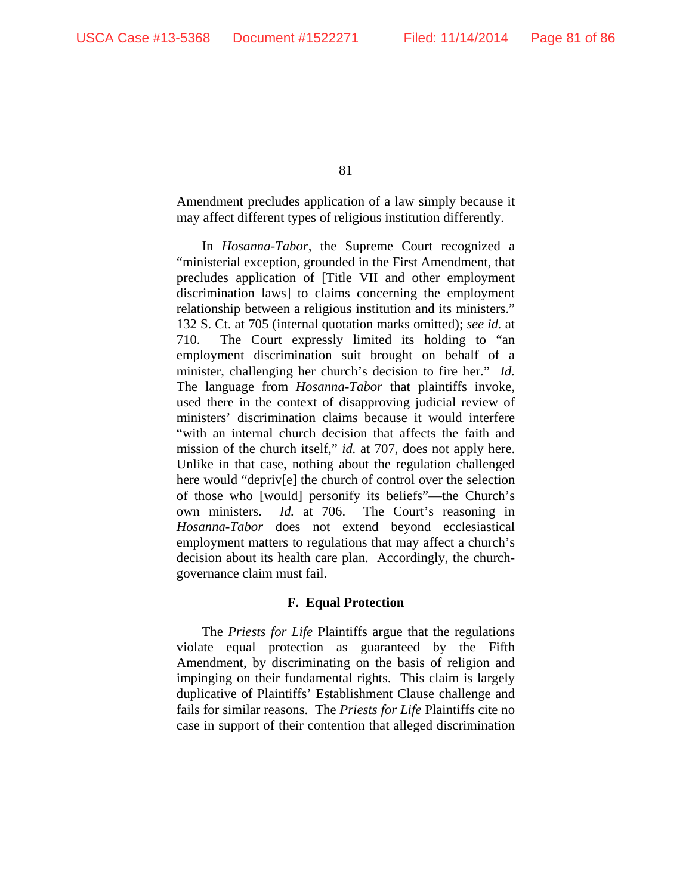Amendment precludes application of a law simply because it may affect different types of religious institution differently.

In *Hosanna-Tabor*, the Supreme Court recognized a "ministerial exception, grounded in the First Amendment, that precludes application of [Title VII and other employment discrimination laws] to claims concerning the employment relationship between a religious institution and its ministers." 132 S. Ct. at 705 (internal quotation marks omitted); *see id.* at 710. The Court expressly limited its holding to "an employment discrimination suit brought on behalf of a minister, challenging her church's decision to fire her." *Id.* The language from *Hosanna-Tabor* that plaintiffs invoke, used there in the context of disapproving judicial review of ministers' discrimination claims because it would interfere "with an internal church decision that affects the faith and mission of the church itself," *id.* at 707, does not apply here. Unlike in that case, nothing about the regulation challenged here would "depriv[e] the church of control over the selection of those who [would] personify its beliefs"—the Church's own ministers. *Id.* at 706. The Court's reasoning in *Hosanna-Tabor* does not extend beyond ecclesiastical employment matters to regulations that may affect a church's decision about its health care plan. Accordingly, the churchgovernance claim must fail.

## **F. Equal Protection**

The *Priests for Life* Plaintiffs argue that the regulations violate equal protection as guaranteed by the Fifth Amendment, by discriminating on the basis of religion and impinging on their fundamental rights. This claim is largely duplicative of Plaintiffs' Establishment Clause challenge and fails for similar reasons. The *Priests for Life* Plaintiffs cite no case in support of their contention that alleged discrimination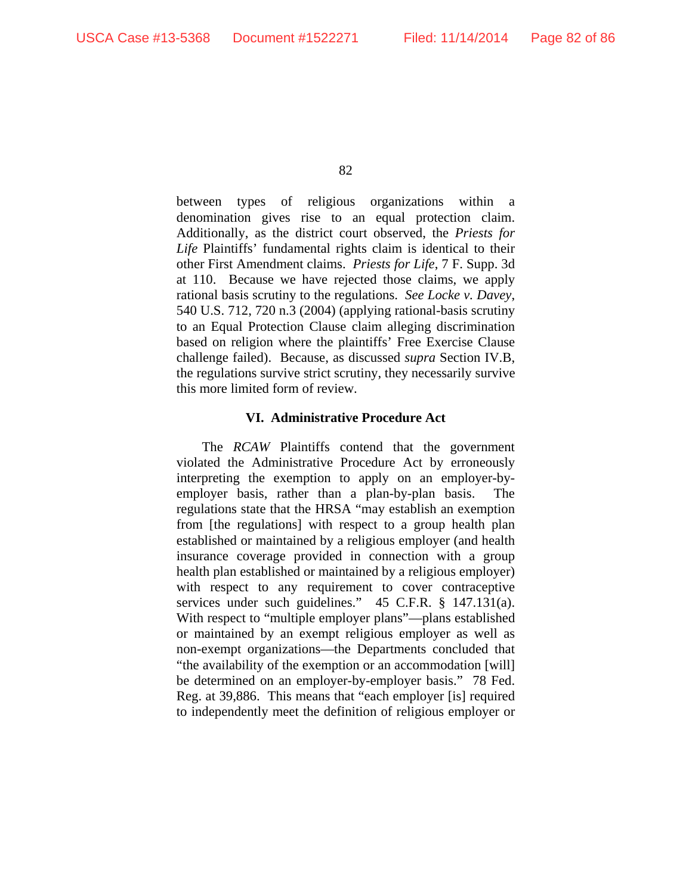between types of religious organizations within a denomination gives rise to an equal protection claim. Additionally, as the district court observed, the *Priests for Life* Plaintiffs' fundamental rights claim is identical to their other First Amendment claims. *Priests for Life*, 7 F. Supp. 3d at 110. Because we have rejected those claims, we apply rational basis scrutiny to the regulations. *See Locke v. Davey*, 540 U.S. 712, 720 n.3 (2004) (applying rational-basis scrutiny to an Equal Protection Clause claim alleging discrimination based on religion where the plaintiffs' Free Exercise Clause challenge failed). Because, as discussed *supra* Section IV.B, the regulations survive strict scrutiny, they necessarily survive this more limited form of review.

## **VI. Administrative Procedure Act**

The *RCAW* Plaintiffs contend that the government violated the Administrative Procedure Act by erroneously interpreting the exemption to apply on an employer-byemployer basis, rather than a plan-by-plan basis. The regulations state that the HRSA "may establish an exemption from [the regulations] with respect to a group health plan established or maintained by a religious employer (and health insurance coverage provided in connection with a group health plan established or maintained by a religious employer) with respect to any requirement to cover contraceptive services under such guidelines." 45 C.F.R. § 147.131(a). With respect to "multiple employer plans"—plans established or maintained by an exempt religious employer as well as non-exempt organizations—the Departments concluded that "the availability of the exemption or an accommodation [will] be determined on an employer-by-employer basis." 78 Fed. Reg. at 39,886. This means that "each employer [is] required to independently meet the definition of religious employer or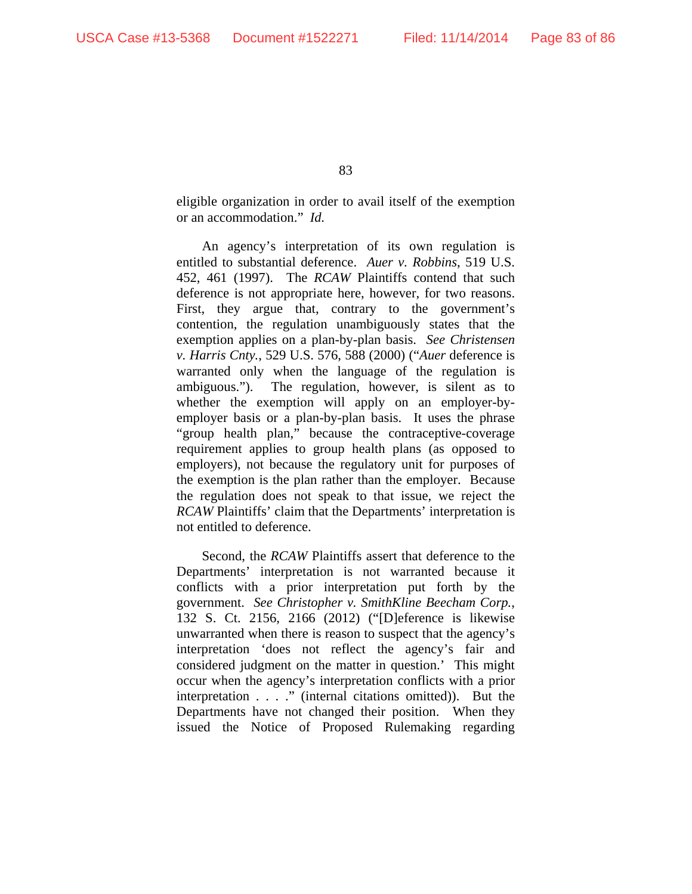eligible organization in order to avail itself of the exemption or an accommodation." *Id.*

An agency's interpretation of its own regulation is entitled to substantial deference. *Auer v. Robbins*, 519 U.S. 452, 461 (1997). The *RCAW* Plaintiffs contend that such deference is not appropriate here, however, for two reasons. First, they argue that, contrary to the government's contention, the regulation unambiguously states that the exemption applies on a plan-by-plan basis. *See Christensen v. Harris Cnty.*, 529 U.S. 576, 588 (2000) ("*Auer* deference is warranted only when the language of the regulation is ambiguous."). The regulation, however, is silent as to whether the exemption will apply on an employer-byemployer basis or a plan-by-plan basis. It uses the phrase "group health plan," because the contraceptive-coverage requirement applies to group health plans (as opposed to employers), not because the regulatory unit for purposes of the exemption is the plan rather than the employer. Because the regulation does not speak to that issue, we reject the *RCAW* Plaintiffs' claim that the Departments' interpretation is not entitled to deference.

Second, the *RCAW* Plaintiffs assert that deference to the Departments' interpretation is not warranted because it conflicts with a prior interpretation put forth by the government. *See Christopher v. SmithKline Beecham Corp.*, 132 S. Ct. 2156, 2166 (2012) ("[D]eference is likewise unwarranted when there is reason to suspect that the agency's interpretation 'does not reflect the agency's fair and considered judgment on the matter in question.' This might occur when the agency's interpretation conflicts with a prior interpretation . . . ." (internal citations omitted)). But the Departments have not changed their position. When they issued the Notice of Proposed Rulemaking regarding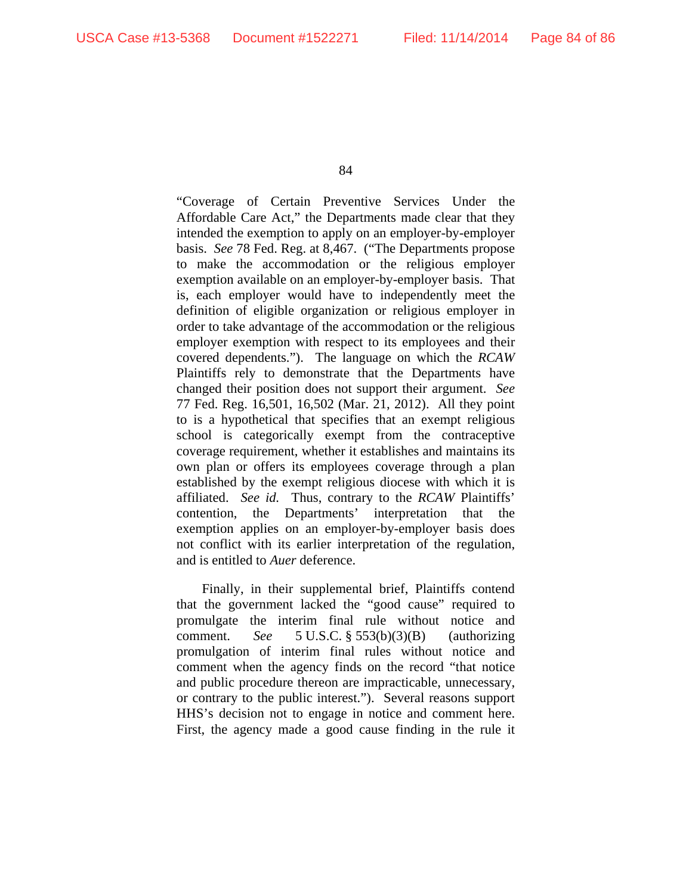"Coverage of Certain Preventive Services Under the Affordable Care Act," the Departments made clear that they intended the exemption to apply on an employer-by-employer basis. *See* 78 Fed. Reg. at 8,467. ("The Departments propose to make the accommodation or the religious employer exemption available on an employer-by-employer basis. That is, each employer would have to independently meet the definition of eligible organization or religious employer in order to take advantage of the accommodation or the religious employer exemption with respect to its employees and their covered dependents."). The language on which the *RCAW* Plaintiffs rely to demonstrate that the Departments have changed their position does not support their argument. *See*  77 Fed. Reg. 16,501, 16,502 (Mar. 21, 2012). All they point to is a hypothetical that specifies that an exempt religious school is categorically exempt from the contraceptive coverage requirement, whether it establishes and maintains its own plan or offers its employees coverage through a plan established by the exempt religious diocese with which it is affiliated. *See id.* Thus, contrary to the *RCAW* Plaintiffs' contention, the Departments' interpretation that the exemption applies on an employer-by-employer basis does not conflict with its earlier interpretation of the regulation, and is entitled to *Auer* deference.

Finally, in their supplemental brief, Plaintiffs contend that the government lacked the "good cause" required to promulgate the interim final rule without notice and comment. *See* 5 U.S.C. § 553(b)(3)(B) (authorizing promulgation of interim final rules without notice and comment when the agency finds on the record "that notice and public procedure thereon are impracticable, unnecessary, or contrary to the public interest."). Several reasons support HHS's decision not to engage in notice and comment here. First, the agency made a good cause finding in the rule it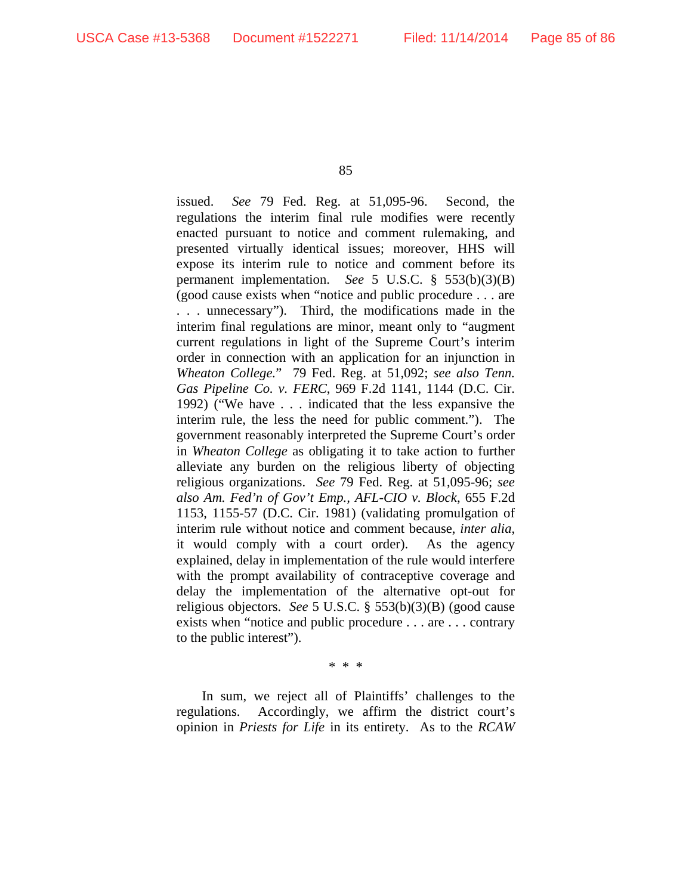issued. *See* 79 Fed. Reg. at 51,095-96. Second, the regulations the interim final rule modifies were recently enacted pursuant to notice and comment rulemaking, and presented virtually identical issues; moreover, HHS will expose its interim rule to notice and comment before its permanent implementation. *See* 5 U.S.C. § 553(b)(3)(B) (good cause exists when "notice and public procedure . . . are . . . unnecessary"). Third, the modifications made in the interim final regulations are minor, meant only to "augment current regulations in light of the Supreme Court's interim order in connection with an application for an injunction in *Wheaton College.*" 79 Fed. Reg. at 51,092; *see also Tenn. Gas Pipeline Co. v. FERC*, 969 F.2d 1141, 1144 (D.C. Cir. 1992) ("We have . . . indicated that the less expansive the interim rule, the less the need for public comment."). The government reasonably interpreted the Supreme Court's order in *Wheaton College* as obligating it to take action to further alleviate any burden on the religious liberty of objecting religious organizations. *See* 79 Fed. Reg. at 51,095-96; *see also Am. Fed'n of Gov't Emp., AFL-CIO v. Block*, 655 F.2d 1153, 1155-57 (D.C. Cir. 1981) (validating promulgation of interim rule without notice and comment because, *inter alia*, it would comply with a court order). As the agency explained, delay in implementation of the rule would interfere with the prompt availability of contraceptive coverage and delay the implementation of the alternative opt-out for religious objectors. *See* 5 U.S.C. § 553(b)(3)(B) (good cause exists when "notice and public procedure . . . are . . . contrary to the public interest").

\* \* \*

In sum, we reject all of Plaintiffs' challenges to the regulations. Accordingly, we affirm the district court's opinion in *Priests for Life* in its entirety. As to the *RCAW*